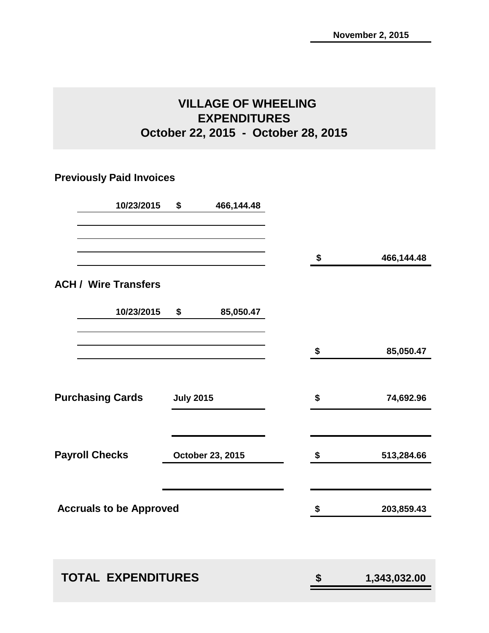### **VILLAGE OF WHEELING EXPENDITURES October 22, 2015 - October 28, 2015**

### **Previously Paid Invoices**

| 10/23/2015                     | \$               | 466,144.48       |                    |
|--------------------------------|------------------|------------------|--------------------|
|                                |                  |                  | \$<br>466,144.48   |
| <b>ACH / Wire Transfers</b>    |                  |                  |                    |
| 10/23/2015                     | \$               | 85,050.47        |                    |
|                                |                  |                  | \$<br>85,050.47    |
| <b>Purchasing Cards</b>        | <b>July 2015</b> |                  | \$<br>74,692.96    |
| <b>Payroll Checks</b>          |                  | October 23, 2015 | \$<br>513,284.66   |
| <b>Accruals to be Approved</b> |                  |                  | \$<br>203,859.43   |
|                                |                  |                  |                    |
| <b>TOTAL EXPENDITURES</b>      |                  |                  | \$<br>1,343,032.00 |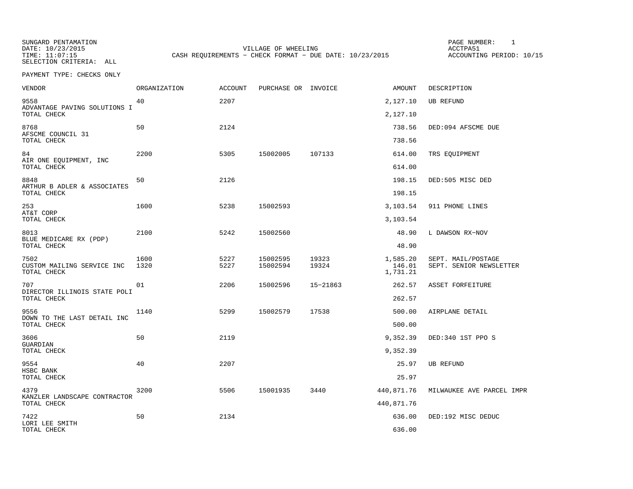SUNGARD PENTAMATION SUNGARD PENTAMATION SUNG PAGE NUMBER: 1 SUNGARD PENTAMATION SUNG PAGE NUMBER: 1 SUNG PAGE NUMBER: 1 SUNG PAGE NUMBER: 1 SUNG PAGE NUMBER: 1 SUNG PAGE NUMBER: 1 SUNG PAGE NUMBER: 1 SUNG PAGE NUMBER: 1 SU

DATE: 10/23/2015 VILLAGE OF WHEELING ACCTPA51CASH REQUIREMENTS - CHECK FORMAT - DUE DATE: 10/23/2015

ACCOUNTING PERIOD: 10/15

SELECTION CRITERIA: ALLPAYMENT TYPE: CHECKS ONLY

| <b>VENDOR</b>                                     | ORGANIZATION | <b>ACCOUNT</b> | PURCHASE OR INVOICE  |                | AMOUNT                         | DESCRIPTION                                   |
|---------------------------------------------------|--------------|----------------|----------------------|----------------|--------------------------------|-----------------------------------------------|
| 9558<br>ADVANTAGE PAVING SOLUTIONS I              | 40           | 2207           |                      |                | 2,127.10                       | <b>UB REFUND</b>                              |
| TOTAL CHECK                                       |              |                |                      |                | 2,127.10                       |                                               |
| 8768<br>AFSCME COUNCIL 31<br>TOTAL CHECK          | 50           | 2124           |                      |                | 738.56<br>738.56               | DED:094 AFSCME DUE                            |
| 84                                                | 2200         | 5305           | 15002005             | 107133         | 614.00                         | TRS EQUIPMENT                                 |
| AIR ONE EQUIPMENT, INC<br>TOTAL CHECK             |              |                |                      |                | 614.00                         |                                               |
| 8848                                              | 50           | 2126           |                      |                | 198.15                         | DED:505 MISC DED                              |
| ARTHUR B ADLER & ASSOCIATES<br>TOTAL CHECK        |              |                |                      |                | 198.15                         |                                               |
| 253                                               | 1600         | 5238           | 15002593             |                | 3,103.54                       | 911 PHONE LINES                               |
| AT&T CORP<br>TOTAL CHECK                          |              |                |                      |                | 3,103.54                       |                                               |
| 8013                                              | 2100         | 5242           | 15002560             |                | 48.90                          | L DAWSON RX-NOV                               |
| BLUE MEDICARE RX (PDP)<br>TOTAL CHECK             |              |                |                      |                | 48.90                          |                                               |
| 7502<br>CUSTOM MAILING SERVICE INC<br>TOTAL CHECK | 1600<br>1320 | 5227<br>5227   | 15002595<br>15002594 | 19323<br>19324 | 1,585.20<br>146.01<br>1,731.21 | SEPT. MAIL/POSTAGE<br>SEPT. SENIOR NEWSLETTER |
| 707                                               | 01           | 2206           | 15002596             | 15-21863       | 262.57                         | ASSET FORFEITURE                              |
| DIRECTOR ILLINOIS STATE POLI<br>TOTAL CHECK       |              |                |                      |                | 262.57                         |                                               |
| 9556                                              | 1140         | 5299           | 15002579             | 17538          | 500.00                         | AIRPLANE DETAIL                               |
| DOWN TO THE LAST DETAIL INC<br>TOTAL CHECK        |              |                |                      |                | 500.00                         |                                               |
| 3606                                              | 50           | 2119           |                      |                | 9,352.39                       | DED:340 1ST PPO S                             |
| GUARDIAN<br>TOTAL CHECK                           |              |                |                      |                | 9,352.39                       |                                               |
| 9554                                              | 40           | 2207           |                      |                | 25.97                          | UB REFUND                                     |
| HSBC BANK<br>TOTAL CHECK                          |              |                |                      |                | 25.97                          |                                               |
| 4379                                              | 3200         | 5506           | 15001935             | 3440           | 440,871.76                     | MILWAUKEE AVE PARCEL IMPR                     |
| KANZLER LANDSCAPE CONTRACTOR<br>TOTAL CHECK       |              |                |                      |                | 440,871.76                     |                                               |
| 7422                                              | 50           | 2134           |                      |                | 636.00                         | DED:192 MISC DEDUC                            |
| LORI LEE SMITH<br>TOTAL CHECK                     |              |                |                      |                | 636.00                         |                                               |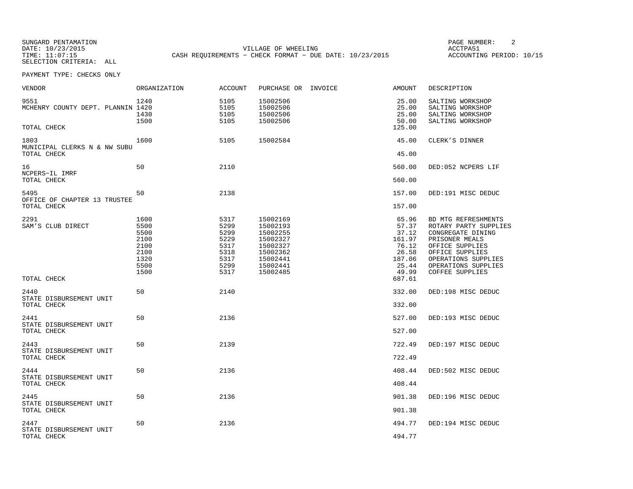SUNGARD PENTAMATION SUNGARD PENTAMATION SUNG PAGE NUMBER: 2 DATE: 10/23/2015 VILLAGE OF WHEELING ACCTPA51CASH REQUIREMENTS - CHECK FORMAT - DUE DATE: 10/23/2015

ACCOUNTING PERIOD: 10/15

SELECTION CRITERIA: ALLPAYMENT TYPE: CHECKS ONLY

| VENDOR                                                   | ORGANIZATION                                                         | <b>ACCOUNT</b>                                                       | PURCHASE OR INVOICE                                                                                      | <b>AMOUNT</b>                                                                   | DESCRIPTION                                                                                                                                                                                       |
|----------------------------------------------------------|----------------------------------------------------------------------|----------------------------------------------------------------------|----------------------------------------------------------------------------------------------------------|---------------------------------------------------------------------------------|---------------------------------------------------------------------------------------------------------------------------------------------------------------------------------------------------|
| 9551<br>MCHENRY COUNTY DEPT. PLANNIN 1420<br>TOTAL CHECK | 1240<br>1430<br>1500                                                 | 5105<br>5105<br>5105<br>5105                                         | 15002506<br>15002506<br>15002506<br>15002506                                                             | 25.00<br>25.00<br>25.00<br>50.00<br>125.00                                      | SALTING WORKSHOP<br>SALTING WORKSHOP<br>SALTING WORKSHOP<br>SALTING WORKSHOP                                                                                                                      |
|                                                          |                                                                      |                                                                      |                                                                                                          |                                                                                 |                                                                                                                                                                                                   |
| 1803<br>MUNICIPAL CLERKS N & NW SUBU<br>TOTAL CHECK      | 1600                                                                 | 5105                                                                 | 15002584                                                                                                 | 45.00<br>45.00                                                                  | CLERK'S DINNER                                                                                                                                                                                    |
| 16<br>NCPERS-IL IMRF                                     | 50                                                                   | 2110                                                                 |                                                                                                          | 560.00                                                                          | DED:052 NCPERS LIF                                                                                                                                                                                |
| TOTAL CHECK                                              |                                                                      |                                                                      |                                                                                                          | 560.00                                                                          |                                                                                                                                                                                                   |
| 5495<br>OFFICE OF CHAPTER 13 TRUSTEE                     | 50                                                                   | 2138                                                                 |                                                                                                          | 157.00                                                                          | DED:191 MISC DEDUC                                                                                                                                                                                |
| TOTAL CHECK                                              |                                                                      |                                                                      |                                                                                                          | 157.00                                                                          |                                                                                                                                                                                                   |
| 2291<br>SAM'S CLUB DIRECT                                | 1600<br>5500<br>5500<br>2100<br>2100<br>2100<br>1320<br>5500<br>1500 | 5317<br>5299<br>5299<br>5229<br>5317<br>5318<br>5317<br>5299<br>5317 | 15002169<br>15002193<br>15002255<br>15002327<br>15002327<br>15002362<br>15002441<br>15002441<br>15002485 | 65.96<br>57.37<br>37.12<br>161.97<br>76.12<br>26.58<br>187.06<br>25.44<br>49.99 | BD MTG REFRESHMENTS<br>ROTARY PARTY SUPPLIES<br>CONGREGATE DINING<br>PRISONER MEALS<br>OFFICE SUPPLIES<br>OFFICE SUPPLIES<br>OPERATIONS SUPPLIES<br>OPERATIONS SUPPLIES<br><b>COFFEE SUPPLIES</b> |
| TOTAL CHECK                                              |                                                                      |                                                                      |                                                                                                          | 687.61                                                                          |                                                                                                                                                                                                   |
| 2440<br>STATE DISBURSEMENT UNIT<br>TOTAL CHECK           | 50                                                                   | 2140                                                                 |                                                                                                          | 332.00<br>332.00                                                                | DED:198 MISC DEDUC                                                                                                                                                                                |
|                                                          |                                                                      |                                                                      |                                                                                                          |                                                                                 |                                                                                                                                                                                                   |
| 2441<br>STATE DISBURSEMENT UNIT<br>TOTAL CHECK           | 50                                                                   | 2136                                                                 |                                                                                                          | 527.00<br>527.00                                                                | DED:193 MISC DEDUC                                                                                                                                                                                |
| 2443                                                     | 50                                                                   | 2139                                                                 |                                                                                                          | 722.49                                                                          | DED:197 MISC DEDUC                                                                                                                                                                                |
| STATE DISBURSEMENT UNIT<br>TOTAL CHECK                   |                                                                      |                                                                      |                                                                                                          | 722.49                                                                          |                                                                                                                                                                                                   |
| 2444<br>STATE DISBURSEMENT UNIT<br>TOTAL CHECK           | 50                                                                   | 2136                                                                 |                                                                                                          | 408.44<br>408.44                                                                | DED:502 MISC DEDUC                                                                                                                                                                                |
|                                                          |                                                                      |                                                                      |                                                                                                          |                                                                                 |                                                                                                                                                                                                   |
| 2445<br>STATE DISBURSEMENT UNIT<br>TOTAL CHECK           | 50                                                                   | 2136                                                                 |                                                                                                          | 901.38<br>901.38                                                                | DED:196 MISC DEDUC                                                                                                                                                                                |
|                                                          |                                                                      |                                                                      |                                                                                                          |                                                                                 |                                                                                                                                                                                                   |
| 2447<br>STATE DISBURSEMENT UNIT<br>TOTAL CHECK           | 50                                                                   | 2136                                                                 |                                                                                                          | 494.77<br>494.77                                                                | DED:194 MISC DEDUC                                                                                                                                                                                |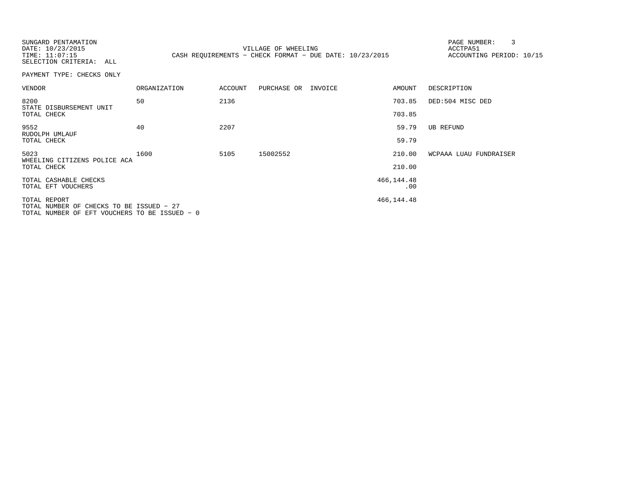SUNGARD PENTAMATION SUNGARD PENTAMATION SUNG PAGE NUMBER: 3 VILLAGE OF WHEELING **ACCTPA51** TIME: 11:07:15 CASH REQUIREMENTS - CHECK FORMAT - DUE DATE: 10/23/2015

ACCOUNTING PERIOD: 10/15

SELECTION CRITERIA: ALLPAYMENT TYPE: CHECKS ONLY

| <b>VENDOR</b>                                                                                             | <b>ORGANIZATION</b> | <b>ACCOUNT</b> | PURCHASE OR | INVOICE | AMOUNT       | DESCRIPTION            |
|-----------------------------------------------------------------------------------------------------------|---------------------|----------------|-------------|---------|--------------|------------------------|
| 8200<br>STATE DISBURSEMENT UNIT                                                                           | 50                  | 2136           |             |         | 703.85       | DED:504 MISC DED       |
| TOTAL CHECK                                                                                               |                     |                |             |         | 703.85       |                        |
| 9552<br>RUDOLPH UMLAUF                                                                                    | 40                  | 2207           |             |         | 59.79        | UB REFUND              |
| TOTAL CHECK                                                                                               |                     |                |             |         | 59.79        |                        |
| 5023<br>WHEELING CITIZENS POLICE ACA                                                                      | 1600                | 5105           | 15002552    |         | 210.00       | WCPAAA LUAU FUNDRAISER |
| TOTAL CHECK                                                                                               |                     |                |             |         | 210.00       |                        |
| TOTAL CASHABLE CHECKS                                                                                     |                     |                |             |         | 466, 144. 48 |                        |
| TOTAL EFT VOUCHERS                                                                                        |                     |                |             |         | .00          |                        |
| TOTAL REPORT<br>TOTAL NUMBER OF CHECKS TO BE ISSUED - 27<br>TOTAL NUMBER OF EFT VOUCHERS TO BE ISSUED - 0 |                     |                |             |         | 466, 144. 48 |                        |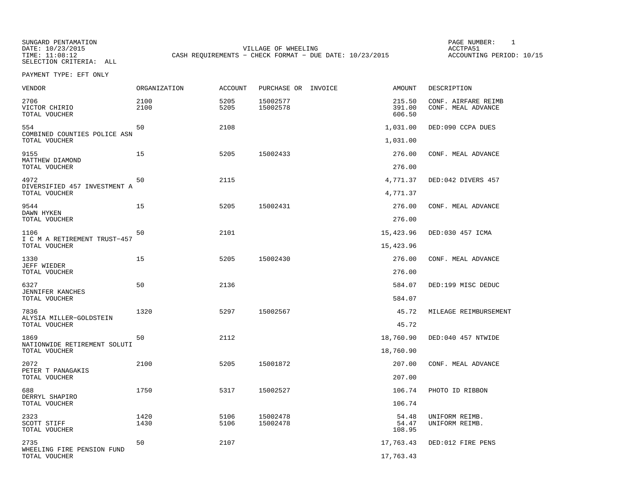SELECTION CRITERIA: ALL

SUNGARD PENTAMATION SUNGARD PENTAMATION SUNG PAGE NUMBER: 1 SUNGARD PENTAMATION SUNG PAGE NUMBER: 1 SUNG PAGE NUMBER: 1 SUNG PAGE NUMBER: 1 SUNG PAGE NUMBER: 1 SUNG PAGE NUMBER: 1 SUNG PAGE NUMBER: 1 SUNG PAGE NUMBER: 1 SU DATE: 10/23/2015 VILLAGE OF WHEELING ACCTPA51CASH REQUIREMENTS - CHECK FORMAT - DUE DATE: 10/23/2015

ACCOUNTING PERIOD: 10/15

PAYMENT TYPE: EFT ONLY

| <b>VENDOR</b>                                         | ORGANIZATION | ACCOUNT      | PURCHASE OR INVOICE  | <b>AMOUNT</b>              | DESCRIPTION                               |
|-------------------------------------------------------|--------------|--------------|----------------------|----------------------------|-------------------------------------------|
| 2706<br>VICTOR CHIRIO<br>TOTAL VOUCHER                | 2100<br>2100 | 5205<br>5205 | 15002577<br>15002578 | 215.50<br>391.00<br>606.50 | CONF. AIRFARE REIMB<br>CONF. MEAL ADVANCE |
| 554<br>COMBINED COUNTIES POLICE ASN                   | 50           | 2108         |                      | 1,031.00                   | DED:090 CCPA DUES                         |
| TOTAL VOUCHER                                         |              |              |                      | 1,031.00                   |                                           |
| 9155<br>MATTHEW DIAMOND<br>TOTAL VOUCHER              | 15           | 5205         | 15002433             | 276.00<br>276.00           | CONF. MEAL ADVANCE                        |
|                                                       |              |              |                      |                            |                                           |
| 4972<br>DIVERSIFIED 457 INVESTMENT A<br>TOTAL VOUCHER | 50           | 2115         |                      | 4,771.37<br>4,771.37       | DED:042 DIVERS 457                        |
| 9544                                                  | 15           | 5205         | 15002431             | 276.00                     | CONF. MEAL ADVANCE                        |
| DAWN HYKEN<br>TOTAL VOUCHER                           |              |              |                      | 276.00                     |                                           |
| 1106                                                  | 50           | 2101         |                      | 15,423.96                  | DED:030 457 ICMA                          |
| I C M A RETIREMENT TRUST-457<br>TOTAL VOUCHER         |              |              |                      | 15,423.96                  |                                           |
| 1330                                                  | 15           | 5205         | 15002430             | 276.00                     | CONF. MEAL ADVANCE                        |
| JEFF WIEDER<br>TOTAL VOUCHER                          |              |              |                      | 276.00                     |                                           |
| 6327                                                  | 50           | 2136         |                      | 584.07                     | DED:199 MISC DEDUC                        |
| JENNIFER KANCHES<br>TOTAL VOUCHER                     |              |              |                      | 584.07                     |                                           |
| 7836                                                  | 1320         | 5297         | 15002567             | 45.72                      | MILEAGE REIMBURSEMENT                     |
| ALYSIA MILLER-GOLDSTEIN<br>TOTAL VOUCHER              |              |              |                      | 45.72                      |                                           |
| 1869<br>NATIONWIDE RETIREMENT SOLUTI                  | 50           | 2112         |                      | 18,760.90                  | DED:040 457 NTWIDE                        |
| TOTAL VOUCHER                                         |              |              |                      | 18,760.90                  |                                           |
| 2072                                                  | 2100         | 5205         | 15001872             | 207.00                     | CONF. MEAL ADVANCE                        |
| PETER T PANAGAKIS<br>TOTAL VOUCHER                    |              |              |                      | 207.00                     |                                           |
| 688                                                   | 1750         | 5317         | 15002527             | 106.74                     | PHOTO ID RIBBON                           |
| DERRYL SHAPIRO<br>TOTAL VOUCHER                       |              |              |                      | 106.74                     |                                           |
| 2323                                                  | 1420         | 5106         | 15002478             | 54.48                      | UNIFORM REIMB.                            |
| SCOTT STIFF<br>TOTAL VOUCHER                          | 1430         | 5106         | 15002478             | 54.47<br>108.95            | UNIFORM REIMB.                            |
| 2735                                                  | 50           | 2107         |                      | 17,763.43                  | DED:012 FIRE PENS                         |
| WHEELING FIRE PENSION FUND<br>TOTAL VOUCHER           |              |              |                      | 17,763.43                  |                                           |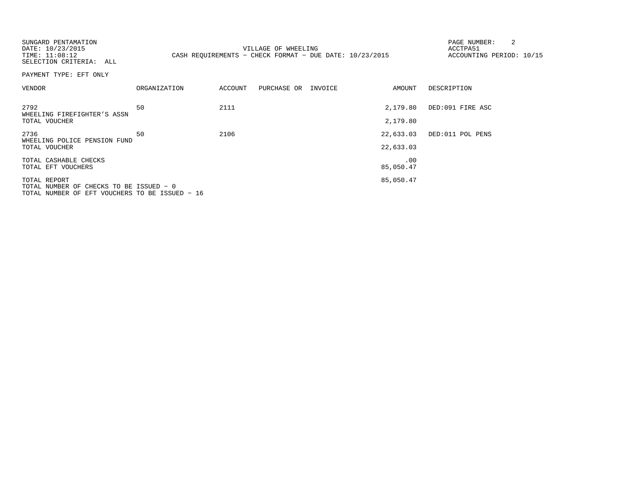| SUNGARD PENTAMATION<br>DATE: 10/23/2015<br>TIME: 11:08:12<br>SELECTION CRITERIA: ALL                      |              |         | VILLAGE OF WHEELING<br>CASH REQUIREMENTS - CHECK FORMAT - DUE DATE: $10/23/2015$ |                        | PAGE NUMBER:<br>ACCTPA51<br>ACCOUNTING PERIOD: 10/15 |
|-----------------------------------------------------------------------------------------------------------|--------------|---------|----------------------------------------------------------------------------------|------------------------|------------------------------------------------------|
| PAYMENT TYPE: EFT ONLY                                                                                    |              |         |                                                                                  |                        |                                                      |
| VENDOR                                                                                                    | ORGANIZATION | ACCOUNT | PURCHASE OR INVOICE                                                              | AMOUNT                 | DESCRIPTION                                          |
| 2792<br>WHEELING FIREFIGHTER'S ASSN<br>TOTAL VOUCHER                                                      | 50           | 2111    |                                                                                  | 2,179.80<br>2,179.80   | DED:091 FIRE ASC                                     |
| 2736<br>WHEELING POLICE PENSION FUND<br>TOTAL VOUCHER                                                     | 50           | 2106    |                                                                                  | 22,633.03<br>22,633.03 | DED:011 POL PENS                                     |
| TOTAL CASHABLE CHECKS<br>TOTAL EFT VOUCHERS                                                               |              |         |                                                                                  | .00<br>85,050.47       |                                                      |
| TOTAL REPORT<br>TOTAL NUMBER OF CHECKS TO BE ISSUED - 0<br>TOTAL NUMBER OF EFT VOUCHERS TO BE ISSUED - 16 |              |         |                                                                                  | 85,050.47              |                                                      |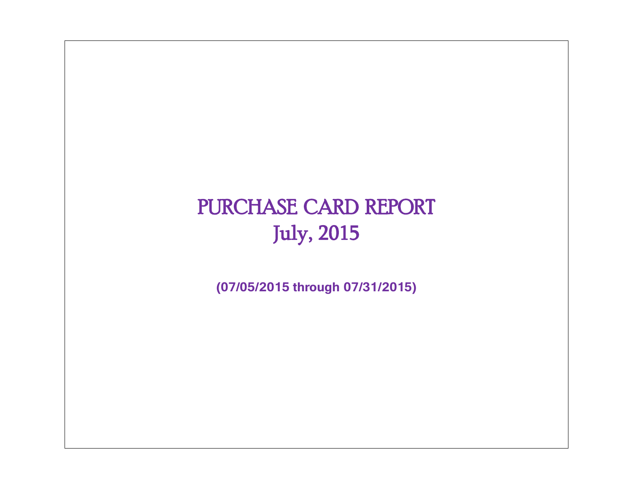# PURCHASE CARD REPORT July, 2015

**(07/05/2015 through 07/31/2015)**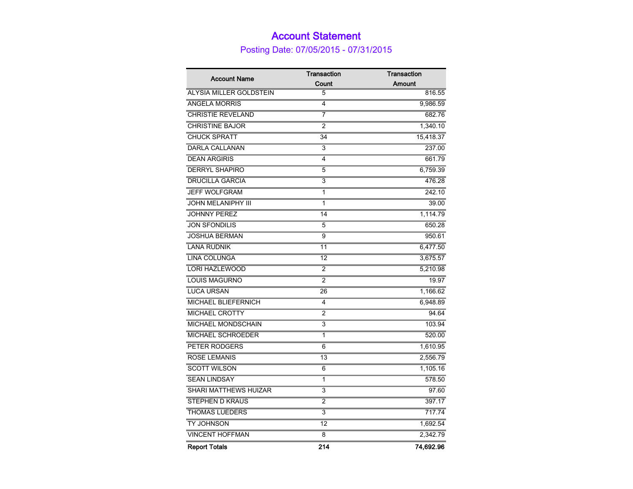### Account Statement

Posting Date: 07/05/2015 - 07/31/2015

| <b>Account Name</b>            | <b>Transaction</b> | <b>Transaction</b> |
|--------------------------------|--------------------|--------------------|
|                                | Count              | Amount             |
| <b>ALYSIA MILLER GOLDSTEIN</b> | 5                  | 816.55             |
| <b>ANGELA MORRIS</b>           | 4                  | 9,986.59           |
| <b>CHRISTIE REVELAND</b>       | 7                  | 682.76             |
| <b>CHRISTINE BAJOR</b>         | 2                  | 1,340.10           |
| <b>CHUCK SPRATT</b>            | 34                 | 15,418.37          |
| <b>DARLA CALLANAN</b>          | 3                  | 237.00             |
| <b>DEAN ARGIRIS</b>            | 4                  | 661.79             |
| <b>DERRYL SHAPIRO</b>          | 5                  | 6,759.39           |
| <b>DRUCILLA GARCIA</b>         | 3                  | 476.28             |
| <b>JEFF WOLFGRAM</b>           | 1                  | 242.10             |
| <b>JOHN MELANIPHY III</b>      | 1                  | 39.00              |
| <b>JOHNNY PEREZ</b>            | 14                 | 1,114.79           |
| <b>JON SFONDILIS</b>           | 5                  | 650.28             |
| <b>JOSHUA BERMAN</b>           | $\overline{9}$     | 950.61             |
| <b>LANA RUDNIK</b>             | 11                 | 6,477.50           |
| LINA COLUNGA                   | 12                 | 3,675.57           |
| <b>LORI HAZLEWOOD</b>          | $\overline{2}$     | 5,210.98           |
| <b>LOUIS MAGURNO</b>           | 2                  | 19.97              |
| <b>LUCA URSAN</b>              | 26                 | 1,166.62           |
| <b>MICHAEL BLIEFERNICH</b>     | 4                  | 6,948.89           |
| <b>MICHAEL CROTTY</b>          | 2                  | 94.64              |
| <b>MICHAEL MONDSCHAIN</b>      | 3                  | 103.94             |
| <b>MICHAEL SCHROEDER</b>       | 1                  | 520.00             |
| PETER RODGERS                  | 6                  | 1,610.95           |
| <b>ROSE LEMANIS</b>            | 13                 | 2,556.79           |
| <b>SCOTT WILSON</b>            | 6                  | 1,105.16           |
| <b>SEAN LINDSAY</b>            | 1                  | 578.50             |
| SHARI MATTHEWS HUIZAR          | 3                  | 97.60              |
| <b>STEPHEN D KRAUS</b>         | 2                  | 397.17             |
| <b>THOMAS LUEDERS</b>          | 3                  | 717.74             |
| TY JOHNSON                     | 12                 | 1,692.54           |
| <b>VINCENT HOFFMAN</b>         | 8                  | 2,342.79           |
| <b>Report Totals</b>           | 214                | 74,692.96          |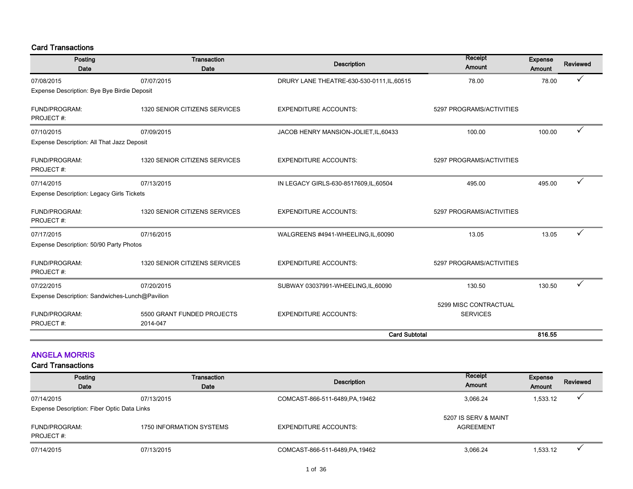#### Card Transactions

| Posting<br><b>Date</b>                           | <b>Transaction</b><br>Date             | <b>Description</b>                         | Receipt<br><b>Expense</b><br>Amount<br>Amount |        | Reviewed     |
|--------------------------------------------------|----------------------------------------|--------------------------------------------|-----------------------------------------------|--------|--------------|
| 07/08/2015                                       | 07/07/2015                             | DRURY LANE THEATRE-630-530-0111, IL, 60515 | 78.00                                         | 78.00  |              |
| Expense Description: Bye Bye Birdie Deposit      |                                        |                                            |                                               |        |              |
| FUND/PROGRAM:<br>PROJECT#:                       | 1320 SENIOR CITIZENS SERVICES          | <b>EXPENDITURE ACCOUNTS:</b>               | 5297 PROGRAMS/ACTIVITIES                      |        |              |
| 07/10/2015                                       | 07/09/2015                             | JACOB HENRY MANSION-JOLIET, IL, 60433      | 100.00                                        | 100.00 | ✓            |
| Expense Description: All That Jazz Deposit       |                                        |                                            |                                               |        |              |
| FUND/PROGRAM:<br>PROJECT#:                       | 1320 SENIOR CITIZENS SERVICES          | <b>EXPENDITURE ACCOUNTS:</b>               | 5297 PROGRAMS/ACTIVITIES                      |        |              |
| 07/14/2015                                       | 07/13/2015                             | IN LEGACY GIRLS-630-8517609,IL,60504       | 495.00                                        | 495.00 | $\checkmark$ |
| <b>Expense Description: Legacy Girls Tickets</b> |                                        |                                            |                                               |        |              |
| FUND/PROGRAM:<br>PROJECT#:                       | 1320 SENIOR CITIZENS SERVICES          | <b>EXPENDITURE ACCOUNTS:</b>               | 5297 PROGRAMS/ACTIVITIES                      |        |              |
| 07/17/2015                                       | 07/16/2015                             | WALGREENS #4941-WHEELING,IL,60090          | 13.05                                         | 13.05  |              |
| Expense Description: 50/90 Party Photos          |                                        |                                            |                                               |        |              |
| FUND/PROGRAM:<br>PROJECT#:                       | 1320 SENIOR CITIZENS SERVICES          | <b>EXPENDITURE ACCOUNTS:</b>               | 5297 PROGRAMS/ACTIVITIES                      |        |              |
| 07/22/2015                                       | 07/20/2015                             | SUBWAY 03037991-WHEELING,IL,60090          | 130.50                                        | 130.50 |              |
| Expense Description: Sandwiches-Lunch@Pavilion   |                                        |                                            |                                               |        |              |
| FUND/PROGRAM:<br>PROJECT#:                       | 5500 GRANT FUNDED PROJECTS<br>2014-047 | <b>EXPENDITURE ACCOUNTS:</b>               | 5299 MISC CONTRACTUAL<br><b>SERVICES</b>      |        |              |
|                                                  |                                        | <b>Card Subtotal</b>                       |                                               | 816.55 |              |

#### ANGELA MORRIS

| Posting                                     | Transaction              | Description                     | Receipt              |          | Reviewed |  |  |  |
|---------------------------------------------|--------------------------|---------------------------------|----------------------|----------|----------|--|--|--|
| Date                                        | Date                     |                                 | Amount               | Amount   |          |  |  |  |
| 07/14/2015                                  | 07/13/2015               | COMCAST-866-511-6489, PA, 19462 | 3,066.24             | 1,533.12 |          |  |  |  |
| Expense Description: Fiber Optic Data Links |                          |                                 |                      |          |          |  |  |  |
|                                             |                          |                                 | 5207 IS SERV & MAINT |          |          |  |  |  |
| FUND/PROGRAM:                               | 1750 INFORMATION SYSTEMS | EXPENDITURE ACCOUNTS:           | AGREEMENT            |          |          |  |  |  |
| PROJECT#:                                   |                          |                                 |                      |          |          |  |  |  |
| 07/14/2015                                  | 07/13/2015               | COMCAST-866-511-6489, PA, 19462 | 3,066.24             | 1,533.12 |          |  |  |  |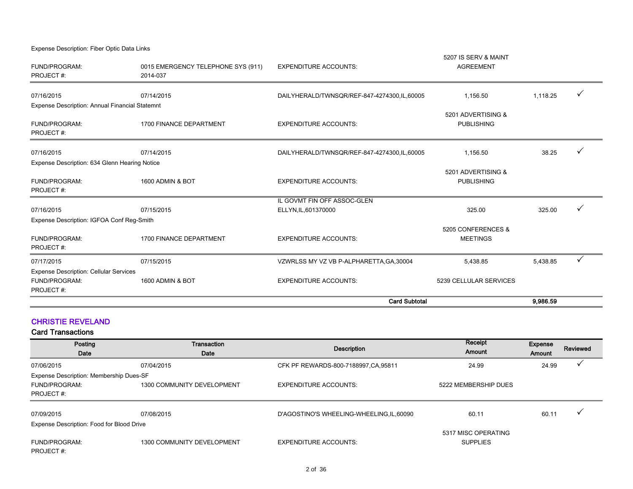| Expense Description: Fiber Optic Data Links                             |                                                |                                             |                                          |          |              |
|-------------------------------------------------------------------------|------------------------------------------------|---------------------------------------------|------------------------------------------|----------|--------------|
| FUND/PROGRAM:<br>PROJECT#:                                              | 0015 EMERGENCY TELEPHONE SYS (911)<br>2014-037 | <b>EXPENDITURE ACCOUNTS:</b>                | 5207 IS SERV & MAINT<br><b>AGREEMENT</b> |          |              |
| 07/16/2015                                                              | 07/14/2015                                     | DAILYHERALD/TWNSQR/REF-847-4274300,IL,60005 | 1,156.50                                 | 1,118.25 |              |
| Expense Description: Annual Financial Statemnt                          |                                                |                                             |                                          |          |              |
| <b>FUND/PROGRAM:</b><br>PROJECT#:                                       | 1700 FINANCE DEPARTMENT                        | <b>EXPENDITURE ACCOUNTS:</b>                | 5201 ADVERTISING &<br><b>PUBLISHING</b>  |          |              |
| 07/16/2015                                                              | 07/14/2015                                     | DAILYHERALD/TWNSQR/REF-847-4274300.IL.60005 | 1,156.50                                 | 38.25    |              |
| Expense Description: 634 Glenn Hearing Notice                           |                                                |                                             |                                          |          |              |
| <b>FUND/PROGRAM:</b><br>PROJECT#:                                       | 1600 ADMIN & BOT                               | <b>EXPENDITURE ACCOUNTS:</b>                | 5201 ADVERTISING &<br><b>PUBLISHING</b>  |          |              |
|                                                                         |                                                | IL GOVMT FIN OFF ASSOC-GLEN                 |                                          |          |              |
| 07/16/2015                                                              | 07/15/2015                                     | ELLYN, IL, 601370000                        | 325.00                                   | 325.00   |              |
| Expense Description: IGFOA Conf Reg-Smith<br>FUND/PROGRAM:<br>PROJECT#: | 1700 FINANCE DEPARTMENT                        | <b>EXPENDITURE ACCOUNTS:</b>                | 5205 CONFERENCES &<br><b>MEETINGS</b>    |          |              |
| 07/17/2015                                                              | 07/15/2015                                     | VZWRLSS MY VZ VB P-ALPHARETTA, GA, 30004    | 5,438.85                                 | 5,438.85 | $\checkmark$ |
| <b>Expense Description: Cellular Services</b>                           |                                                |                                             |                                          |          |              |
| FUND/PROGRAM:<br>PROJECT#:                                              | 1600 ADMIN & BOT                               | <b>EXPENDITURE ACCOUNTS:</b>                | 5239 CELLULAR SERVICES                   |          |              |
|                                                                         |                                                | <b>Card Subtotal</b>                        |                                          | 9.986.59 |              |

#### CHRISTIE REVELAND

| Posting<br>Date                           | Transaction<br>Date        | <b>Description</b>                        | Receipt<br>Amount                      | Expense<br>Amount | Reviewed |
|-------------------------------------------|----------------------------|-------------------------------------------|----------------------------------------|-------------------|----------|
| 07/06/2015                                | 07/04/2015                 | CFK PF REWARDS-800-7188997, CA, 95811     | 24.99                                  | 24.99             |          |
| Expense Description: Membership Dues-SF   |                            |                                           |                                        |                   |          |
| FUND/PROGRAM:                             | 1300 COMMUNITY DEVELOPMENT | <b>EXPENDITURE ACCOUNTS:</b>              | 5222 MEMBERSHIP DUES                   |                   |          |
| PROJECT#:                                 |                            |                                           |                                        |                   |          |
| 07/09/2015                                | 07/08/2015                 | D'AGOSTINO'S WHEELING-WHEELING, IL, 60090 | 60.11                                  | 60.11             |          |
| Expense Description: Food for Blood Drive |                            |                                           |                                        |                   |          |
| FUND/PROGRAM:<br>PROJECT#:                | 1300 COMMUNITY DEVELOPMENT | <b>EXPENDITURE ACCOUNTS:</b>              | 5317 MISC OPERATING<br><b>SUPPLIES</b> |                   |          |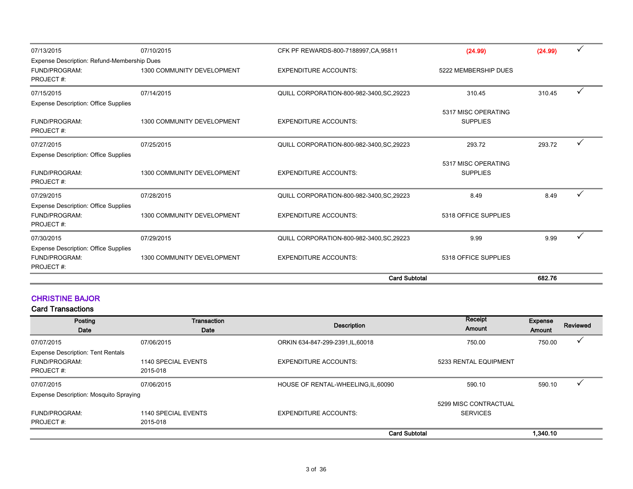| 07/13/2015                                                                | 07/10/2015                 | CFK PF REWARDS-800-7188997, CA, 95811     | (24.99)                                | (24.99) |  |
|---------------------------------------------------------------------------|----------------------------|-------------------------------------------|----------------------------------------|---------|--|
| Expense Description: Refund-Membership Dues                               |                            |                                           |                                        |         |  |
| FUND/PROGRAM:<br>PROJECT#:                                                | 1300 COMMUNITY DEVELOPMENT | <b>EXPENDITURE ACCOUNTS:</b>              | 5222 MEMBERSHIP DUES                   |         |  |
| 07/15/2015                                                                | 07/14/2015                 | QUILL CORPORATION-800-982-3400, SC, 29223 | 310.45                                 | 310.45  |  |
| <b>Expense Description: Office Supplies</b>                               |                            |                                           |                                        |         |  |
| FUND/PROGRAM:<br>PROJECT#:                                                | 1300 COMMUNITY DEVELOPMENT | <b>EXPENDITURE ACCOUNTS:</b>              | 5317 MISC OPERATING<br><b>SUPPLIES</b> |         |  |
| 07/27/2015                                                                | 07/25/2015                 | QUILL CORPORATION-800-982-3400, SC, 29223 | 293.72                                 | 293.72  |  |
| <b>Expense Description: Office Supplies</b>                               |                            |                                           |                                        |         |  |
| FUND/PROGRAM:<br>PROJECT#:                                                | 1300 COMMUNITY DEVELOPMENT | <b>EXPENDITURE ACCOUNTS:</b>              | 5317 MISC OPERATING<br><b>SUPPLIES</b> |         |  |
| 07/29/2015                                                                | 07/28/2015                 | QUILL CORPORATION-800-982-3400, SC, 29223 | 8.49                                   | 8.49    |  |
| <b>Expense Description: Office Supplies</b><br>FUND/PROGRAM:<br>PROJECT#: | 1300 COMMUNITY DEVELOPMENT | <b>EXPENDITURE ACCOUNTS:</b>              | 5318 OFFICE SUPPLIES                   |         |  |
| 07/30/2015                                                                | 07/29/2015                 | QUILL CORPORATION-800-982-3400, SC, 29223 | 9.99                                   | 9.99    |  |
| <b>Expense Description: Office Supplies</b><br>FUND/PROGRAM:<br>PROJECT#: | 1300 COMMUNITY DEVELOPMENT | <b>EXPENDITURE ACCOUNTS:</b>              | 5318 OFFICE SUPPLIES                   |         |  |
|                                                                           |                            | <b>Card Subtotal</b>                      |                                        | 682.76  |  |

#### CHRISTINE BAJOR

| Posting<br>Date                                                               | Transaction<br>Date             | <b>Description</b>                  | Receipt<br>Amount                        | Expense<br>Amount | Reviewed |
|-------------------------------------------------------------------------------|---------------------------------|-------------------------------------|------------------------------------------|-------------------|----------|
| 07/07/2015                                                                    | 07/06/2015                      | ORKIN 634-847-299-2391, IL, 60018   | 750.00                                   | 750.00            | ✓        |
| <b>Expense Description: Tent Rentals</b><br><b>FUND/PROGRAM:</b><br>PROJECT#: | 1140 SPECIAL EVENTS<br>2015-018 | <b>EXPENDITURE ACCOUNTS:</b>        | 5233 RENTAL EQUIPMENT                    |                   |          |
| 07/07/2015                                                                    | 07/06/2015                      | HOUSE OF RENTAL-WHEELING, IL, 60090 | 590.10                                   | 590.10            |          |
| Expense Description: Mosquito Spraying<br>FUND/PROGRAM:<br>PROJECT#:          | 1140 SPECIAL EVENTS<br>2015-018 | <b>EXPENDITURE ACCOUNTS:</b>        | 5299 MISC CONTRACTUAL<br><b>SERVICES</b> |                   |          |
|                                                                               |                                 | <b>Card Subtotal</b>                |                                          | 1.340.10          |          |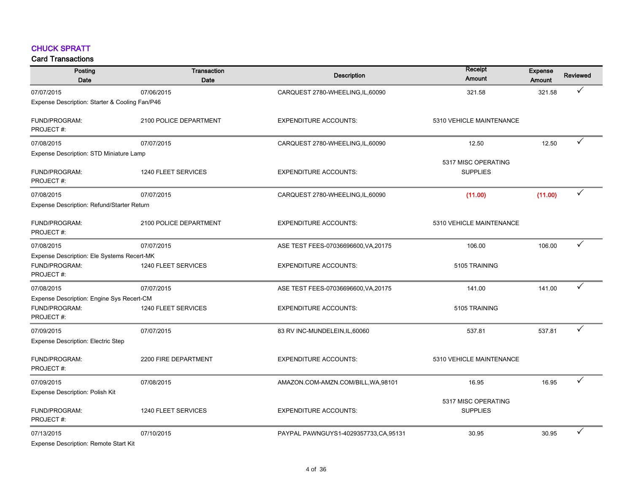#### CHUCK SPRATT

| Posting<br><b>Date</b>                         | Transaction<br>Date    | <b>Description</b>                     | Receipt<br>Amount                      | <b>Expense</b><br>Amount | <b>Reviewed</b> |
|------------------------------------------------|------------------------|----------------------------------------|----------------------------------------|--------------------------|-----------------|
| 07/07/2015                                     | 07/06/2015             | CARQUEST 2780-WHEELING,IL,60090        | 321.58                                 | 321.58                   | $\checkmark$    |
| Expense Description: Starter & Cooling Fan/P46 |                        |                                        |                                        |                          |                 |
| FUND/PROGRAM:<br>PROJECT#:                     | 2100 POLICE DEPARTMENT | <b>EXPENDITURE ACCOUNTS:</b>           | 5310 VEHICLE MAINTENANCE               |                          |                 |
| 07/08/2015                                     | 07/07/2015             | CARQUEST 2780-WHEELING, IL, 60090      | 12.50                                  | 12.50                    | $\checkmark$    |
| Expense Description: STD Miniature Lamp        |                        |                                        |                                        |                          |                 |
| FUND/PROGRAM:<br>PROJECT#:                     | 1240 FLEET SERVICES    | <b>EXPENDITURE ACCOUNTS:</b>           | 5317 MISC OPERATING<br><b>SUPPLIES</b> |                          |                 |
| 07/08/2015                                     | 07/07/2015             | CARQUEST 2780-WHEELING,IL,60090        | (11.00)                                | (11.00)                  | ✓               |
| Expense Description: Refund/Starter Return     |                        |                                        |                                        |                          |                 |
| FUND/PROGRAM:<br>PROJECT #:                    | 2100 POLICE DEPARTMENT | <b>EXPENDITURE ACCOUNTS:</b>           | 5310 VEHICLE MAINTENANCE               |                          |                 |
| 07/08/2015                                     | 07/07/2015             | ASE TEST FEES-07036696600, VA, 20175   | 106.00                                 | 106.00                   | $\checkmark$    |
| Expense Description: Ele Systems Recert-MK     |                        |                                        |                                        |                          |                 |
| FUND/PROGRAM:<br>PROJECT#:                     | 1240 FLEET SERVICES    | <b>EXPENDITURE ACCOUNTS:</b>           | 5105 TRAINING                          |                          |                 |
| 07/08/2015                                     | 07/07/2015             | ASE TEST FEES-07036696600, VA, 20175   | 141.00                                 | 141.00                   | ✓               |
| Expense Description: Engine Sys Recert-CM      |                        |                                        |                                        |                          |                 |
| FUND/PROGRAM:<br>PROJECT#:                     | 1240 FLEET SERVICES    | <b>EXPENDITURE ACCOUNTS:</b>           | 5105 TRAINING                          |                          |                 |
| 07/09/2015                                     | 07/07/2015             | 83 RV INC-MUNDELEIN, IL, 60060         | 537.81                                 | 537.81                   | ✓               |
| <b>Expense Description: Electric Step</b>      |                        |                                        |                                        |                          |                 |
| FUND/PROGRAM:<br>PROJECT#:                     | 2200 FIRE DEPARTMENT   | <b>EXPENDITURE ACCOUNTS:</b>           | 5310 VEHICLE MAINTENANCE               |                          |                 |
| 07/09/2015                                     | 07/08/2015             | AMAZON.COM-AMZN.COM/BILL, WA, 98101    | 16.95                                  | 16.95                    | $\checkmark$    |
| Expense Description: Polish Kit                |                        |                                        |                                        |                          |                 |
| FUND/PROGRAM:<br>PROJECT#:                     | 1240 FLEET SERVICES    | <b>EXPENDITURE ACCOUNTS:</b>           | 5317 MISC OPERATING<br><b>SUPPLIES</b> |                          |                 |
| 07/13/2015                                     | 07/10/2015             | PAYPAL PAWNGUYS1-4029357733, CA, 95131 | 30.95                                  | 30.95                    | ✓               |
| Expense Description: Remote Start Kit          |                        |                                        |                                        |                          |                 |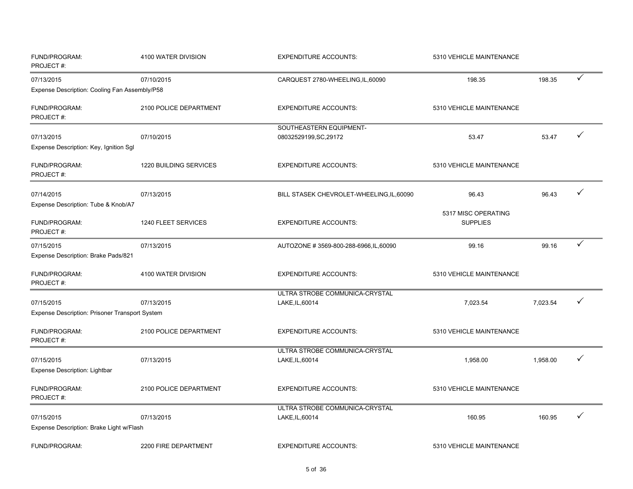| FUND/PROGRAM:<br>PROJECT#:                                   | 4100 WATER DIVISION    | <b>EXPENDITURE ACCOUNTS:</b>                      | 5310 VEHICLE MAINTENANCE               |          |              |
|--------------------------------------------------------------|------------------------|---------------------------------------------------|----------------------------------------|----------|--------------|
| 07/13/2015                                                   | 07/10/2015             | CARQUEST 2780-WHEELING, IL, 60090                 | 198.35                                 | 198.35   | $\checkmark$ |
| Expense Description: Cooling Fan Assembly/P58                |                        |                                                   |                                        |          |              |
| FUND/PROGRAM:<br>PROJECT#:                                   | 2100 POLICE DEPARTMENT | <b>EXPENDITURE ACCOUNTS:</b>                      | 5310 VEHICLE MAINTENANCE               |          |              |
| 07/13/2015<br>Expense Description: Key, Ignition Sgl         | 07/10/2015             | SOUTHEASTERN EQUIPMENT-<br>08032529199, SC, 29172 | 53.47                                  | 53.47    | $\checkmark$ |
| FUND/PROGRAM:<br>PROJECT#:                                   | 1220 BUILDING SERVICES | <b>EXPENDITURE ACCOUNTS:</b>                      | 5310 VEHICLE MAINTENANCE               |          |              |
| 07/14/2015<br>Expense Description: Tube & Knob/A7            | 07/13/2015             | BILL STASEK CHEVROLET-WHEELING, IL, 60090         | 96.43                                  | 96.43    | $\checkmark$ |
| FUND/PROGRAM:<br>PROJECT#:                                   | 1240 FLEET SERVICES    | <b>EXPENDITURE ACCOUNTS:</b>                      | 5317 MISC OPERATING<br><b>SUPPLIES</b> |          |              |
| 07/15/2015<br>Expense Description: Brake Pads/821            | 07/13/2015             | AUTOZONE #3569-800-288-6966,IL,60090              | 99.16                                  | 99.16    | ✓            |
| FUND/PROGRAM:<br>PROJECT#:                                   | 4100 WATER DIVISION    | <b>EXPENDITURE ACCOUNTS:</b>                      | 5310 VEHICLE MAINTENANCE               |          |              |
| 07/15/2015<br>Expense Description: Prisoner Transport System | 07/13/2015             | ULTRA STROBE COMMUNICA-CRYSTAL<br>LAKE, IL, 60014 | 7,023.54                               | 7,023.54 | ✓            |
| FUND/PROGRAM:<br>PROJECT#:                                   | 2100 POLICE DEPARTMENT | <b>EXPENDITURE ACCOUNTS:</b>                      | 5310 VEHICLE MAINTENANCE               |          |              |
| 07/15/2015<br><b>Expense Description: Lightbar</b>           | 07/13/2015             | ULTRA STROBE COMMUNICA-CRYSTAL<br>LAKE, IL, 60014 | 1,958.00                               | 1,958.00 | ✓            |
| FUND/PROGRAM:<br>PROJECT#:                                   | 2100 POLICE DEPARTMENT | <b>EXPENDITURE ACCOUNTS:</b>                      | 5310 VEHICLE MAINTENANCE               |          |              |
| 07/15/2015                                                   | 07/13/2015             | ULTRA STROBE COMMUNICA-CRYSTAL<br>LAKE, IL, 60014 | 160.95                                 | 160.95   | ✓            |
| Expense Description: Brake Light w/Flash                     |                        |                                                   |                                        |          |              |
| FUND/PROGRAM:                                                | 2200 FIRE DEPARTMENT   | <b>EXPENDITURE ACCOUNTS:</b>                      | 5310 VEHICLE MAINTENANCE               |          |              |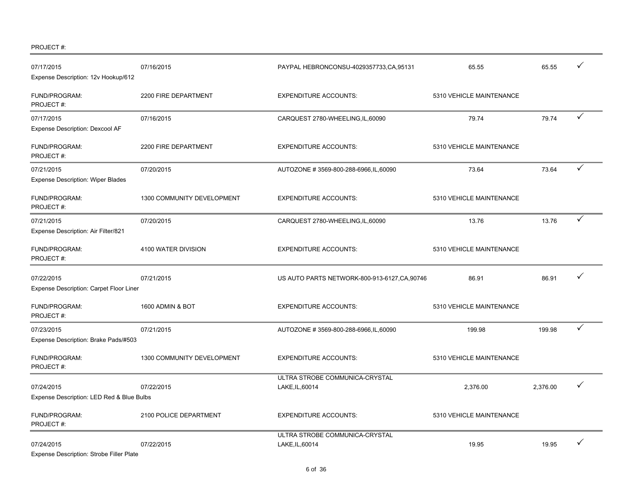PROJECT #:

| 07/17/2015<br>Expense Description: 12v Hookup/612             | 07/16/2015                 | PAYPAL HEBRONCONSU-4029357733, CA, 95131          | 65.55                    | 65.55    |              |
|---------------------------------------------------------------|----------------------------|---------------------------------------------------|--------------------------|----------|--------------|
| FUND/PROGRAM:<br>PROJECT#:                                    | 2200 FIRE DEPARTMENT       | <b>EXPENDITURE ACCOUNTS:</b>                      | 5310 VEHICLE MAINTENANCE |          |              |
| 07/17/2015<br>Expense Description: Dexcool AF                 | 07/16/2015                 | CARQUEST 2780-WHEELING, IL, 60090                 | 79.74                    | 79.74    | $\checkmark$ |
| FUND/PROGRAM:<br>PROJECT#:                                    | 2200 FIRE DEPARTMENT       | <b>EXPENDITURE ACCOUNTS:</b>                      | 5310 VEHICLE MAINTENANCE |          |              |
| 07/21/2015<br><b>Expense Description: Wiper Blades</b>        | 07/20/2015                 | AUTOZONE #3569-800-288-6966, IL, 60090            | 73.64                    | 73.64    | $\checkmark$ |
| FUND/PROGRAM:<br>PROJECT#:                                    | 1300 COMMUNITY DEVELOPMENT | <b>EXPENDITURE ACCOUNTS:</b>                      | 5310 VEHICLE MAINTENANCE |          |              |
| 07/21/2015<br>Expense Description: Air Filter/821             | 07/20/2015                 | CARQUEST 2780-WHEELING, IL, 60090                 | 13.76                    | 13.76    |              |
| FUND/PROGRAM:<br>PROJECT#:                                    | 4100 WATER DIVISION        | <b>EXPENDITURE ACCOUNTS:</b>                      | 5310 VEHICLE MAINTENANCE |          |              |
| 07/22/2015<br>Expense Description: Carpet Floor Liner         | 07/21/2015                 | US AUTO PARTS NETWORK-800-913-6127, CA, 90746     | 86.91                    | 86.91    |              |
| FUND/PROGRAM:<br>PROJECT#:                                    | 1600 ADMIN & BOT           | <b>EXPENDITURE ACCOUNTS:</b>                      | 5310 VEHICLE MAINTENANCE |          |              |
| 07/23/2015<br>Expense Description: Brake Pads/#503            | 07/21/2015                 | AUTOZONE #3569-800-288-6966,IL,60090              | 199.98                   | 199.98   | $\checkmark$ |
| FUND/PROGRAM:<br>PROJECT#:                                    | 1300 COMMUNITY DEVELOPMENT | <b>EXPENDITURE ACCOUNTS:</b>                      | 5310 VEHICLE MAINTENANCE |          |              |
| 07/24/2015<br>Expense Description: LED Red & Blue Bulbs       | 07/22/2015                 | ULTRA STROBE COMMUNICA-CRYSTAL<br>LAKE, IL, 60014 | 2.376.00                 | 2,376.00 |              |
| FUND/PROGRAM:<br>PROJECT#:                                    | 2100 POLICE DEPARTMENT     | <b>EXPENDITURE ACCOUNTS:</b>                      | 5310 VEHICLE MAINTENANCE |          |              |
| 07/24/2015<br><b>Expense Description: Strobe Filler Plate</b> | 07/22/2015                 | ULTRA STROBE COMMUNICA-CRYSTAL<br>LAKE, IL, 60014 | 19.95                    | 19.95    |              |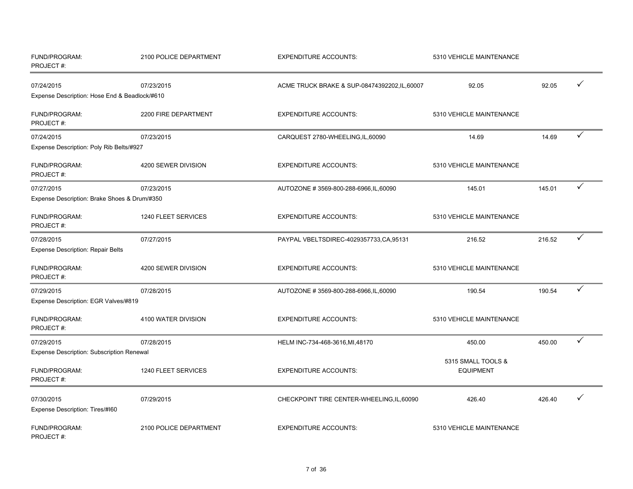| FUND/PROGRAM:<br>PROJECT#:                    | 2100 POLICE DEPARTMENT | <b>EXPENDITURE ACCOUNTS:</b>                  | 5310 VEHICLE MAINTENANCE               |        |              |
|-----------------------------------------------|------------------------|-----------------------------------------------|----------------------------------------|--------|--------------|
| 07/24/2015                                    | 07/23/2015             | ACME TRUCK BRAKE & SUP-08474392202, IL, 60007 | 92.05                                  | 92.05  | ✓            |
| Expense Description: Hose End & Beadlock/#610 |                        |                                               |                                        |        |              |
| FUND/PROGRAM:<br>PROJECT#:                    | 2200 FIRE DEPARTMENT   | <b>EXPENDITURE ACCOUNTS:</b>                  | 5310 VEHICLE MAINTENANCE               |        |              |
| 07/24/2015                                    | 07/23/2015             | CARQUEST 2780-WHEELING, IL, 60090             | 14.69                                  | 14.69  | ✓            |
| Expense Description: Poly Rib Belts/#927      |                        |                                               |                                        |        |              |
| FUND/PROGRAM:<br>PROJECT#:                    | 4200 SEWER DIVISION    | <b>EXPENDITURE ACCOUNTS:</b>                  | 5310 VEHICLE MAINTENANCE               |        |              |
| 07/27/2015                                    | 07/23/2015             | AUTOZONE #3569-800-288-6966, IL, 60090        | 145.01                                 | 145.01 | ✓            |
| Expense Description: Brake Shoes & Drum/#350  |                        |                                               |                                        |        |              |
| FUND/PROGRAM:<br>PROJECT#:                    | 1240 FLEET SERVICES    | <b>EXPENDITURE ACCOUNTS:</b>                  | 5310 VEHICLE MAINTENANCE               |        |              |
| 07/28/2015                                    | 07/27/2015             | PAYPAL VBELTSDIREC-4029357733,CA,95131        | 216.52                                 | 216.52 | ✓            |
| Expense Description: Repair Belts             |                        |                                               |                                        |        |              |
| FUND/PROGRAM:<br>PROJECT#:                    | 4200 SEWER DIVISION    | <b>EXPENDITURE ACCOUNTS:</b>                  | 5310 VEHICLE MAINTENANCE               |        |              |
| 07/29/2015                                    | 07/28/2015             | AUTOZONE # 3569-800-288-6966, IL, 60090       | 190.54                                 | 190.54 | ✓            |
| Expense Description: EGR Valves/#819          |                        |                                               |                                        |        |              |
| FUND/PROGRAM:<br>PROJECT#:                    | 4100 WATER DIVISION    | <b>EXPENDITURE ACCOUNTS:</b>                  | 5310 VEHICLE MAINTENANCE               |        |              |
| 07/29/2015                                    | 07/28/2015             | HELM INC-734-468-3616, MI, 48170              | 450.00                                 | 450.00 | $\checkmark$ |
| Expense Description: Subscription Renewal     |                        |                                               |                                        |        |              |
| FUND/PROGRAM:<br>PROJECT#:                    | 1240 FLEET SERVICES    | <b>EXPENDITURE ACCOUNTS:</b>                  | 5315 SMALL TOOLS &<br><b>EQUIPMENT</b> |        |              |
| 07/30/2015<br>Expense Description: Tires/#160 | 07/29/2015             | CHECKPOINT TIRE CENTER-WHEELING, IL, 60090    | 426.40                                 | 426.40 | ✓            |
| FUND/PROGRAM:<br>PROJECT#:                    | 2100 POLICE DEPARTMENT | <b>EXPENDITURE ACCOUNTS:</b>                  | 5310 VEHICLE MAINTENANCE               |        |              |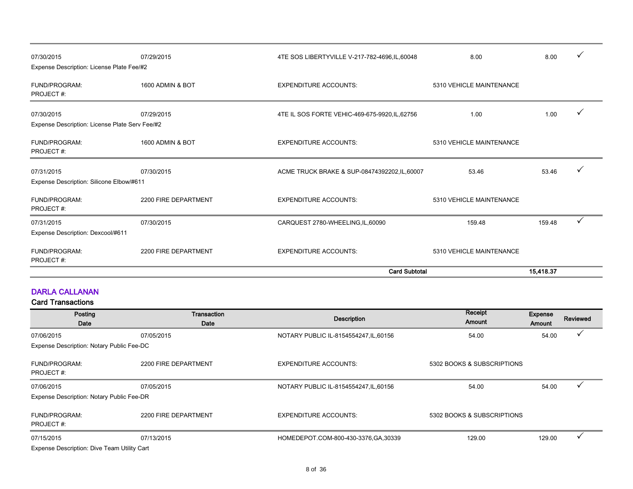| 07/30/2015<br>Expense Description: License Plate Fee/#2      | 07/29/2015           | 4TE SOS LIBERTYVILLE V-217-782-4696, IL, 60048 | 8.00                     | 8.00      |  |
|--------------------------------------------------------------|----------------------|------------------------------------------------|--------------------------|-----------|--|
| FUND/PROGRAM:<br>PROJECT#:                                   | 1600 ADMIN & BOT     | <b>EXPENDITURE ACCOUNTS:</b>                   | 5310 VEHICLE MAINTENANCE |           |  |
| 07/30/2015<br>Expense Description: License Plate Serv Fee/#2 | 07/29/2015           | 4TE IL SOS FORTE VEHIC-469-675-9920, IL, 62756 | 1.00                     | 1.00      |  |
| FUND/PROGRAM:<br>PROJECT#:                                   | 1600 ADMIN & BOT     | <b>EXPENDITURE ACCOUNTS:</b>                   | 5310 VEHICLE MAINTENANCE |           |  |
| 07/31/2015<br>Expense Description: Silicone Elbow/#611       | 07/30/2015           | ACME TRUCK BRAKE & SUP-08474392202, IL, 60007  | 53.46                    | 53.46     |  |
| FUND/PROGRAM:<br>PROJECT#:                                   | 2200 FIRE DEPARTMENT | <b>EXPENDITURE ACCOUNTS:</b>                   | 5310 VEHICLE MAINTENANCE |           |  |
| 07/31/2015                                                   | 07/30/2015           | CARQUEST 2780-WHEELING, IL, 60090              | 159.48                   | 159.48    |  |
| Expense Description: Dexcool/#611                            |                      |                                                |                          |           |  |
| FUND/PROGRAM:<br>PROJECT#:                                   | 2200 FIRE DEPARTMENT | <b>EXPENDITURE ACCOUNTS:</b>                   | 5310 VEHICLE MAINTENANCE |           |  |
|                                                              |                      | <b>Card Subtotal</b>                           |                          | 15.418.37 |  |

#### DARLA CALLANAN

| Posting<br>Date                             | Transaction<br>Date  | <b>Description</b>                     | Receipt<br>Amount          | <b>Expense</b><br>Amount | <b>Reviewed</b> |
|---------------------------------------------|----------------------|----------------------------------------|----------------------------|--------------------------|-----------------|
| 07/06/2015                                  | 07/05/2015           | NOTARY PUBLIC IL-8154554247, IL, 60156 | 54.00                      | 54.00                    |                 |
| Expense Description: Notary Public Fee-DC   |                      |                                        |                            |                          |                 |
| FUND/PROGRAM:<br>PROJECT#:                  | 2200 FIRE DEPARTMENT | <b>EXPENDITURE ACCOUNTS:</b>           | 5302 BOOKS & SUBSCRIPTIONS |                          |                 |
| 07/06/2015                                  | 07/05/2015           | NOTARY PUBLIC IL-8154554247, IL, 60156 | 54.00                      | 54.00                    |                 |
| Expense Description: Notary Public Fee-DR   |                      |                                        |                            |                          |                 |
| <b>FUND/PROGRAM:</b><br>PROJECT#:           | 2200 FIRE DEPARTMENT | <b>EXPENDITURE ACCOUNTS:</b>           | 5302 BOOKS & SUBSCRIPTIONS |                          |                 |
| 07/15/2015                                  | 07/13/2015           | HOMEDEPOT.COM-800-430-3376.GA,30339    | 129.00                     | 129.00                   |                 |
| Expense Description: Dive Team Utility Cart |                      |                                        |                            |                          |                 |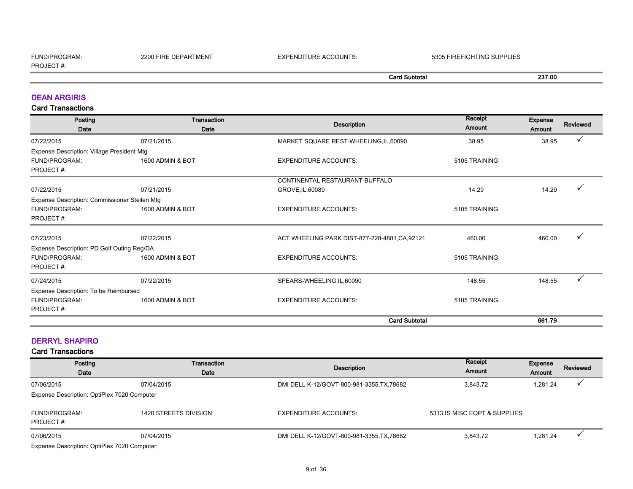| FUND/PROGRAM:    | 2200<br>) FIRE DEPARTMENT | <b>EXPENDITURE ACCOUNTS:</b> | 5305 FIREFIGHTING SUPPLIES |        |
|------------------|---------------------------|------------------------------|----------------------------|--------|
| <b>PROJECT#:</b> |                           |                              |                            |        |
|                  |                           |                              | Card Subtotal              | 237.00 |

#### DEAN ARGIRIS

Card Transactions

| Posting                                       | Transaction      |                                                | Receipt                 | <b>Expense</b> |              |
|-----------------------------------------------|------------------|------------------------------------------------|-------------------------|----------------|--------------|
| Date                                          | Date             | <b>Description</b>                             | Amount<br><b>Amount</b> |                | Reviewed     |
| 07/22/2015                                    | 07/21/2015       | MARKET SQUARE REST-WHEELING, IL, 60090         | 38.95                   | 38.95          | $\checkmark$ |
| Expense Description: Village President Mtg    |                  |                                                |                         |                |              |
| <b>FUND/PROGRAM:</b>                          | 1600 ADMIN & BOT | <b>EXPENDITURE ACCOUNTS:</b>                   | 5105 TRAINING           |                |              |
| PROJECT#:                                     |                  |                                                |                         |                |              |
|                                               |                  | CONTINENTAL RESTAURANT-BUFFALO                 |                         |                |              |
| 07/22/2015                                    | 07/21/2015       | GROVE, IL, 60089                               | 14.29                   | 14.29          |              |
| Expense Description: Commissioner Steilen Mtg |                  |                                                |                         |                |              |
| <b>FUND/PROGRAM:</b>                          | 1600 ADMIN & BOT | <b>EXPENDITURE ACCOUNTS:</b>                   | 5105 TRAINING           |                |              |
| PROJECT#:                                     |                  |                                                |                         |                |              |
| 07/23/2015                                    | 07/22/2015       | ACT WHEELING PARK DIST-877-228-4881, CA, 92121 | 460.00                  | 460.00         |              |
| Expense Description: PD Golf Outing Reg/DA    |                  |                                                |                         |                |              |
| <b>FUND/PROGRAM:</b>                          | 1600 ADMIN & BOT | <b>EXPENDITURE ACCOUNTS:</b>                   | 5105 TRAINING           |                |              |
| PROJECT#:                                     |                  |                                                |                         |                |              |
| 07/24/2015                                    | 07/22/2015       | SPEARS-WHEELING, IL, 60090                     | 148.55                  | 148.55         |              |
| Expense Description: To be Reimbursed         |                  |                                                |                         |                |              |
| <b>FUND/PROGRAM:</b>                          | 1600 ADMIN & BOT | <b>EXPENDITURE ACCOUNTS:</b>                   | 5105 TRAINING           |                |              |
| PROJECT#:                                     |                  |                                                |                         |                |              |
|                                               |                  | <b>Card Subtotal</b>                           |                         | 661.79         |              |

#### DERRYL SHAPIRO

| Posting<br>Date                                           | Transaction<br>Date   | Description                                | Receipt<br>Amount            | <b>Expense</b><br>Amount | Reviewed |
|-----------------------------------------------------------|-----------------------|--------------------------------------------|------------------------------|--------------------------|----------|
| 07/06/2015<br>Expense Description: OptiPlex 7020 Computer | 07/04/2015            | DMI DELL K-12/GOVT-800-981-3355, TX, 78682 | 3,843.72                     | 1,281.24                 |          |
| FUND/PROGRAM:<br>PROJECT#:                                | 1420 STREETS DIVISION | <b>EXPENDITURE ACCOUNTS:</b>               | 5313 IS MISC EQPT & SUPPLIES |                          |          |
| 07/06/2015<br>Expense Description: OptiPlex 7020 Computer | 07/04/2015            | DMI DELL K-12/GOVT-800-981-3355, TX, 78682 | 3.843.72                     | 1,281.24                 |          |
|                                                           |                       |                                            |                              |                          |          |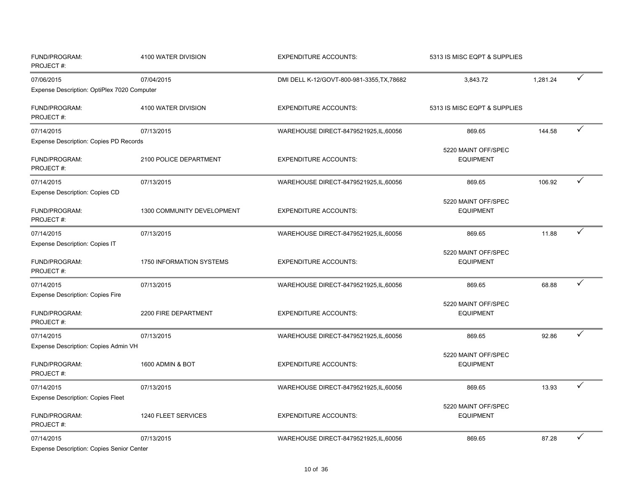| FUND/PROGRAM:<br>PROJECT#:                                          | 4100 WATER DIVISION        | <b>EXPENDITURE ACCOUNTS:</b>               | 5313 IS MISC EQPT & SUPPLIES            |          |   |
|---------------------------------------------------------------------|----------------------------|--------------------------------------------|-----------------------------------------|----------|---|
| 07/06/2015                                                          | 07/04/2015                 | DMI DELL K-12/GOVT-800-981-3355, TX, 78682 | 3,843.72                                | 1,281.24 | ✓ |
| Expense Description: OptiPlex 7020 Computer                         |                            |                                            |                                         |          |   |
| FUND/PROGRAM:<br>PROJECT#:                                          | 4100 WATER DIVISION        | <b>EXPENDITURE ACCOUNTS:</b>               | 5313 IS MISC EQPT & SUPPLIES            |          |   |
| 07/14/2015                                                          | 07/13/2015                 | WAREHOUSE DIRECT-8479521925, IL, 60056     | 869.65                                  | 144.58   | ✓ |
| <b>Expense Description: Copies PD Records</b>                       |                            |                                            |                                         |          |   |
| FUND/PROGRAM:<br>PROJECT#:                                          | 2100 POLICE DEPARTMENT     | <b>EXPENDITURE ACCOUNTS:</b>               | 5220 MAINT OFF/SPEC<br><b>EQUIPMENT</b> |          |   |
| 07/14/2015                                                          | 07/13/2015                 | WAREHOUSE DIRECT-8479521925, IL, 60056     | 869.65                                  | 106.92   | ✓ |
| <b>Expense Description: Copies CD</b><br>FUND/PROGRAM:<br>PROJECT#: | 1300 COMMUNITY DEVELOPMENT | <b>EXPENDITURE ACCOUNTS:</b>               | 5220 MAINT OFF/SPEC<br><b>EQUIPMENT</b> |          |   |
| 07/14/2015                                                          | 07/13/2015                 | WAREHOUSE DIRECT-8479521925, IL, 60056     | 869.65                                  | 11.88    | ✓ |
| <b>Expense Description: Copies IT</b>                               |                            |                                            |                                         |          |   |
| FUND/PROGRAM:<br>PROJECT#:                                          | 1750 INFORMATION SYSTEMS   | <b>EXPENDITURE ACCOUNTS:</b>               | 5220 MAINT OFF/SPEC<br><b>EQUIPMENT</b> |          |   |
| 07/14/2015                                                          | 07/13/2015                 | WAREHOUSE DIRECT-8479521925,IL,60056       | 869.65                                  | 68.88    | ✓ |
| <b>Expense Description: Copies Fire</b>                             |                            |                                            |                                         |          |   |
| FUND/PROGRAM:<br>PROJECT#:                                          | 2200 FIRE DEPARTMENT       | <b>EXPENDITURE ACCOUNTS:</b>               | 5220 MAINT OFF/SPEC<br><b>EQUIPMENT</b> |          |   |
| 07/14/2015                                                          | 07/13/2015                 | WAREHOUSE DIRECT-8479521925, IL, 60056     | 869.65                                  | 92.86    | ✓ |
| Expense Description: Copies Admin VH<br>FUND/PROGRAM:<br>PROJECT#:  | 1600 ADMIN & BOT           | <b>EXPENDITURE ACCOUNTS:</b>               | 5220 MAINT OFF/SPEC<br><b>EQUIPMENT</b> |          |   |
| 07/14/2015                                                          | 07/13/2015                 | WAREHOUSE DIRECT-8479521925, IL, 60056     | 869.65                                  | 13.93    | ✓ |
| <b>Expense Description: Copies Fleet</b>                            |                            |                                            |                                         |          |   |
| FUND/PROGRAM:<br>PROJECT#:                                          | 1240 FLEET SERVICES        | <b>EXPENDITURE ACCOUNTS:</b>               | 5220 MAINT OFF/SPEC<br><b>EQUIPMENT</b> |          |   |
| 07/14/2015                                                          | 07/13/2015                 | WAREHOUSE DIRECT-8479521925, IL, 60056     | 869.65                                  | 87.28    | ✓ |
| Expanse Description: Conies Senior Center                           |                            |                                            |                                         |          |   |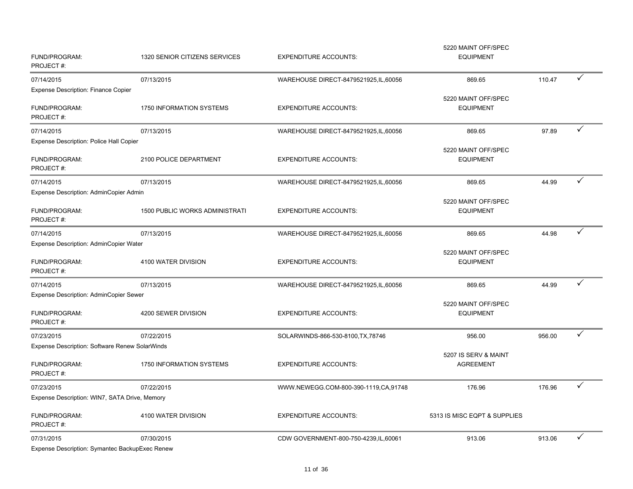| Expense Description: Symantec BackupExec Renew                       |                                       |                                        |                                         |        |              |
|----------------------------------------------------------------------|---------------------------------------|----------------------------------------|-----------------------------------------|--------|--------------|
| 07/31/2015                                                           | 07/30/2015                            | CDW GOVERNMENT-800-750-4239, IL, 60061 | 913.06                                  | 913.06 | ✓            |
| FUND/PROGRAM:<br>PROJECT#:                                           | 4100 WATER DIVISION                   | <b>EXPENDITURE ACCOUNTS:</b>           | 5313 IS MISC EQPT & SUPPLIES            |        |              |
| Expense Description: WIN7, SATA Drive, Memory                        |                                       |                                        |                                         |        |              |
| 07/23/2015                                                           | 07/22/2015                            | WWW.NEWEGG.COM-800-390-1119,CA,91748   | 176.96                                  | 176.96 | ✓            |
| FUND/PROGRAM:<br>PROJECT#:                                           | 1750 INFORMATION SYSTEMS              | <b>EXPENDITURE ACCOUNTS:</b>           | <b>AGREEMENT</b>                        |        |              |
| Expense Description: Software Renew SolarWinds                       |                                       |                                        | 5207 IS SERV & MAINT                    |        |              |
| 07/23/2015                                                           | 07/22/2015                            | SOLARWINDS-866-530-8100, TX, 78746     | 956.00                                  | 956.00 | $\checkmark$ |
| FUND/PROGRAM:<br>PROJECT#:                                           | 4200 SEWER DIVISION                   | <b>EXPENDITURE ACCOUNTS:</b>           | 5220 MAINT OFF/SPEC<br><b>EQUIPMENT</b> |        |              |
| <b>Expense Description: AdminCopier Sewer</b>                        |                                       |                                        |                                         |        |              |
| 07/14/2015                                                           | 07/13/2015                            | WAREHOUSE DIRECT-8479521925, IL, 60056 | 869.65                                  | 44.99  | ✓            |
| Expense Description: AdminCopier Water<br>FUND/PROGRAM:<br>PROJECT#: | 4100 WATER DIVISION                   | <b>EXPENDITURE ACCOUNTS:</b>           | 5220 MAINT OFF/SPEC<br><b>EQUIPMENT</b> |        |              |
| 07/14/2015                                                           | 07/13/2015                            | WAREHOUSE DIRECT-8479521925, IL, 60056 | 869.65                                  | 44.98  | ✓            |
| FUND/PROGRAM:<br>PROJECT#:                                           | <b>1500 PUBLIC WORKS ADMINISTRATI</b> | <b>EXPENDITURE ACCOUNTS:</b>           | 5220 MAINT OFF/SPEC<br><b>EQUIPMENT</b> |        |              |
| 07/14/2015<br>Expense Description: AdminCopier Admin                 | 07/13/2015                            | WAREHOUSE DIRECT-8479521925, IL, 60056 | 869.65                                  | 44.99  | ✓            |
| FUND/PROGRAM:<br>PROJECT#:                                           | 2100 POLICE DEPARTMENT                | <b>EXPENDITURE ACCOUNTS:</b>           | 5220 MAINT OFF/SPEC<br><b>EQUIPMENT</b> |        |              |
| 07/14/2015<br>Expense Description: Police Hall Copier                | 07/13/2015                            | WAREHOUSE DIRECT-8479521925, IL, 60056 | 869.65                                  | 97.89  | ✓            |
| FUND/PROGRAM:<br>PROJECT#:                                           | 1750 INFORMATION SYSTEMS              | <b>EXPENDITURE ACCOUNTS:</b>           | 5220 MAINT OFF/SPEC<br><b>EQUIPMENT</b> |        |              |
| 07/14/2015<br><b>Expense Description: Finance Copier</b>             | 07/13/2015                            | WAREHOUSE DIRECT-8479521925, IL, 60056 | 869.65                                  | 110.47 | ✓            |
| FUND/PROGRAM:<br>PROJECT#:                                           | 1320 SENIOR CITIZENS SERVICES         | <b>EXPENDITURE ACCOUNTS:</b>           | <b>EQUIPMENT</b>                        |        |              |
|                                                                      |                                       |                                        | 5220 MAINT OFF/SPEC                     |        |              |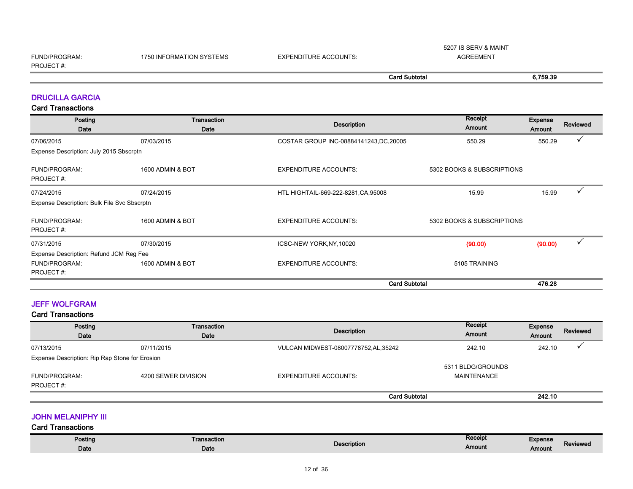| FUND/PROGRAM:    | <b>1750 INFORMATION SYSTEMS</b> | <b>EXPENDITURE ACCOUNTS:</b> |                      | AGREEMENT |          |
|------------------|---------------------------------|------------------------------|----------------------|-----------|----------|
| <b>PROJECT#:</b> |                                 |                              |                      |           |          |
|                  |                                 |                              | <b>Card Subtotal</b> |           | 6,759.39 |

5207 IS SERV & MAINT

#### DRUCILLA GARCIA

Card Transactions

| Posting<br>Date                             | Transaction<br>Date | <b>Description</b>                      | Receipt<br>Amount          | <b>Expense</b><br>Amount | <b>Reviewed</b> |
|---------------------------------------------|---------------------|-----------------------------------------|----------------------------|--------------------------|-----------------|
| 07/06/2015                                  | 07/03/2015          | COSTAR GROUP INC-08884141243, DC, 20005 | 550.29                     | 550.29                   |                 |
| Expense Description: July 2015 Sbscrptn     |                     |                                         |                            |                          |                 |
| <b>FUND/PROGRAM:</b><br>PROJECT#:           | 1600 ADMIN & BOT    | <b>EXPENDITURE ACCOUNTS:</b>            | 5302 BOOKS & SUBSCRIPTIONS |                          |                 |
| 07/24/2015                                  | 07/24/2015          | HTL HIGHTAIL-669-222-8281, CA, 95008    | 15.99                      | 15.99                    |                 |
| Expense Description: Bulk File Svc Sbscrptn |                     |                                         |                            |                          |                 |
| <b>FUND/PROGRAM:</b><br>PROJECT#:           | 1600 ADMIN & BOT    | <b>EXPENDITURE ACCOUNTS:</b>            | 5302 BOOKS & SUBSCRIPTIONS |                          |                 |
| 07/31/2015                                  | 07/30/2015          | ICSC-NEW YORK, NY, 10020                | (90.00)                    | (90.00)                  | $\checkmark$    |
| Expense Description: Refund JCM Reg Fee     |                     |                                         |                            |                          |                 |
| <b>FUND/PROGRAM:</b><br>PROJECT#:           | 1600 ADMIN & BOT    | <b>EXPENDITURE ACCOUNTS:</b>            | 5105 TRAINING              |                          |                 |
|                                             |                     | <b>Card Subtotal</b>                    |                            | 476.28                   |                 |

#### JEFF WOLFGRAM

#### Card Transactions

| Posting<br>Date                                                 | <b>Transaction</b><br>Date | Description                         | Receipt<br>Amount                | Expense<br>Amount | <b>Reviewed</b> |
|-----------------------------------------------------------------|----------------------------|-------------------------------------|----------------------------------|-------------------|-----------------|
| 07/13/2015                                                      | 07/11/2015                 | VULCAN MIDWEST-08007778752,AL,35242 | 242.10                           | 242.10            |                 |
| Expense Description: Rip Rap Stone for Erosion<br>FUND/PROGRAM: | 4200 SEWER DIVISION        | <b>EXPENDITURE ACCOUNTS:</b>        | 5311 BLDG/GROUNDS<br>MAINTENANCE |                   |                 |
| PROJECT#:                                                       |                            |                                     |                                  |                   |                 |
|                                                                 |                            | <b>Card Subtotal</b>                |                                  | 242.10            |                 |

**JOHN MELANIPHY III** 

| Posting | Transaction |             | <b>Receipt</b><br>and the state of the state of | Expense            |
|---------|-------------|-------------|-------------------------------------------------|--------------------|
| Date    | Date        | Description | Amount                                          | Reviewed<br>Amount |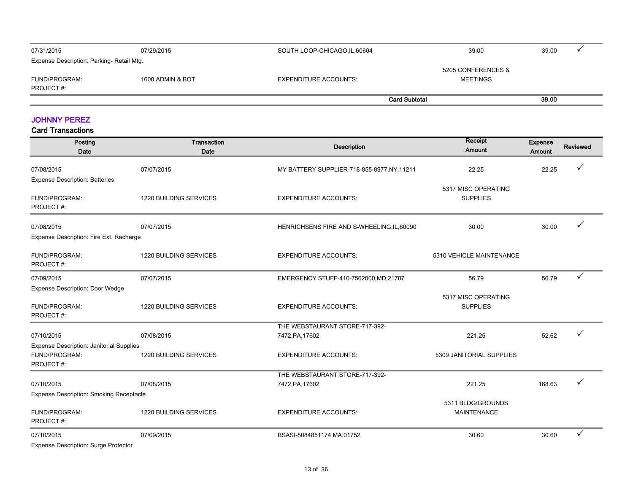| 07/31/2015                                | 07/29/2015       | SOUTH LOOP-CHICAGO, IL, 60604 | 39.00                | 39.00 |  |
|-------------------------------------------|------------------|-------------------------------|----------------------|-------|--|
| Expense Description: Parking- Retail Mtg. |                  |                               | 5205 CONFERENCES &   |       |  |
| FUND/PROGRAM:<br>PROJECT#:                | 1600 ADMIN & BOT | <b>EXPENDITURE ACCOUNTS:</b>  | <b>MEETINGS</b>      |       |  |
|                                           |                  |                               | <b>Card Subtotal</b> | 39.00 |  |

#### JOHNNY PEREZ

| Posting<br>Date                                | Transaction<br>Date           | Description                                 | Receipt<br>Amount        | <b>Expense</b><br>Amount | <b>Reviewed</b> |
|------------------------------------------------|-------------------------------|---------------------------------------------|--------------------------|--------------------------|-----------------|
| 07/08/2015                                     | 07/07/2015                    | MY BATTERY SUPPLIER-718-855-8977, NY, 11211 | 22.25                    | 22.25                    |                 |
| <b>Expense Description: Batteries</b>          |                               |                                             |                          |                          |                 |
|                                                |                               |                                             | 5317 MISC OPERATING      |                          |                 |
| FUND/PROGRAM:<br>PROJECT#:                     | <b>1220 BUILDING SERVICES</b> | <b>EXPENDITURE ACCOUNTS:</b>                | <b>SUPPLIES</b>          |                          |                 |
|                                                |                               |                                             |                          |                          |                 |
| 07/08/2015                                     | 07/07/2015                    | HENRICHSENS FIRE AND S-WHEELING, IL, 60090  | 30.00                    | 30.00                    |                 |
| Expense Description: Fire Ext. Recharge        |                               |                                             |                          |                          |                 |
|                                                |                               |                                             |                          |                          |                 |
| FUND/PROGRAM:<br>PROJECT#:                     | 1220 BUILDING SERVICES        | <b>EXPENDITURE ACCOUNTS:</b>                | 5310 VEHICLE MAINTENANCE |                          |                 |
|                                                |                               |                                             |                          |                          |                 |
| 07/09/2015                                     | 07/07/2015                    | EMERGENCY STUFF-410-7562000, MD, 21787      | 56.79                    | 56.79                    | ✓               |
| <b>Expense Description: Door Wedge</b>         |                               |                                             |                          |                          |                 |
|                                                |                               |                                             | 5317 MISC OPERATING      |                          |                 |
| FUND/PROGRAM:<br>PROJECT#:                     | 1220 BUILDING SERVICES        | <b>EXPENDITURE ACCOUNTS:</b>                | <b>SUPPLIES</b>          |                          |                 |
|                                                |                               | THE WEBSTAURANT STORE-717-392-              |                          |                          |                 |
| 07/10/2015                                     | 07/08/2015                    | 7472, PA, 17602                             | 221.25                   | 52.62                    |                 |
| Expense Description: Janitorial Supplies       |                               |                                             |                          |                          |                 |
| FUND/PROGRAM:                                  | 1220 BUILDING SERVICES        | <b>EXPENDITURE ACCOUNTS:</b>                | 5309 JANITORIAL SUPPLIES |                          |                 |
| PROJECT#:                                      |                               |                                             |                          |                          |                 |
|                                                |                               | THE WEBSTAURANT STORE-717-392-              |                          |                          |                 |
| 07/10/2015                                     | 07/08/2015                    | 7472, PA, 17602                             | 221.25                   | 168.63                   |                 |
| <b>Expense Description: Smoking Receptacle</b> |                               |                                             |                          |                          |                 |
|                                                |                               |                                             | 5311 BLDG/GROUNDS        |                          |                 |
| FUND/PROGRAM:                                  | 1220 BUILDING SERVICES        | <b>EXPENDITURE ACCOUNTS:</b>                | <b>MAINTENANCE</b>       |                          |                 |
| PROJECT#:                                      |                               |                                             |                          |                          |                 |
| 07/10/2015                                     | 07/09/2015                    | BSASI-5084851174, MA, 01752                 | 30.60                    | 30.60                    | ✓               |
| <b>Expense Description: Surge Protector</b>    |                               |                                             |                          |                          |                 |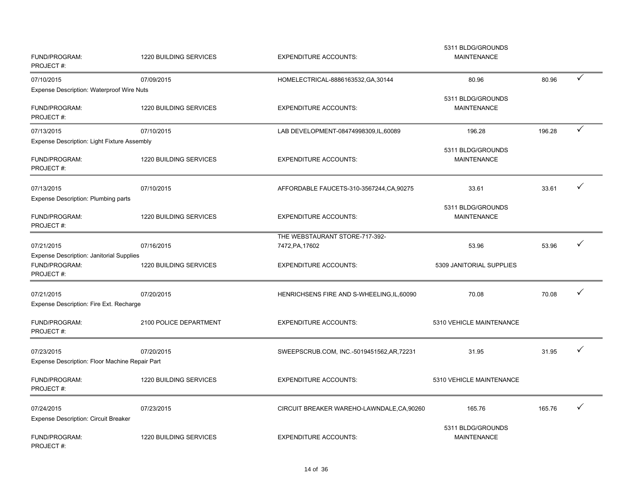| FUND/PROGRAM:<br>PROJECT#:                                                    | 1220 BUILDING SERVICES | <b>EXPENDITURE ACCOUNTS:</b>                      | 5311 BLDG/GROUNDS<br><b>MAINTENANCE</b> |        |   |
|-------------------------------------------------------------------------------|------------------------|---------------------------------------------------|-----------------------------------------|--------|---|
| 07/10/2015                                                                    | 07/09/2015             | HOMELECTRICAL-8886163532, GA, 30144               | 80.96                                   | 80.96  | ✓ |
| <b>Expense Description: Waterproof Wire Nuts</b>                              |                        |                                                   |                                         |        |   |
| FUND/PROGRAM:<br>PROJECT#:                                                    | 1220 BUILDING SERVICES | <b>EXPENDITURE ACCOUNTS:</b>                      | 5311 BLDG/GROUNDS<br><b>MAINTENANCE</b> |        |   |
| 07/13/2015                                                                    | 07/10/2015             | LAB DEVELOPMENT-08474998309,IL,60089              | 196.28                                  | 196.28 | ✓ |
| Expense Description: Light Fixture Assembly                                   |                        |                                                   |                                         |        |   |
| FUND/PROGRAM:<br>PROJECT#:                                                    | 1220 BUILDING SERVICES | <b>EXPENDITURE ACCOUNTS:</b>                      | 5311 BLDG/GROUNDS<br><b>MAINTENANCE</b> |        |   |
| 07/13/2015<br>Expense Description: Plumbing parts                             | 07/10/2015             | AFFORDABLE FAUCETS-310-3567244, CA, 90275         | 33.61                                   | 33.61  | ✓ |
| FUND/PROGRAM:<br>PROJECT#:                                                    | 1220 BUILDING SERVICES | <b>EXPENDITURE ACCOUNTS:</b>                      | 5311 BLDG/GROUNDS<br><b>MAINTENANCE</b> |        |   |
| 07/21/2015                                                                    | 07/16/2015             | THE WEBSTAURANT STORE-717-392-<br>7472, PA, 17602 | 53.96                                   | 53.96  | ✓ |
| <b>Expense Description: Janitorial Supplies</b><br>FUND/PROGRAM:<br>PROJECT#: | 1220 BUILDING SERVICES | <b>EXPENDITURE ACCOUNTS:</b>                      | 5309 JANITORIAL SUPPLIES                |        |   |
| 07/21/2015                                                                    | 07/20/2015             | HENRICHSENS FIRE AND S-WHEELING, IL, 60090        | 70.08                                   | 70.08  |   |
| Expense Description: Fire Ext. Recharge                                       |                        |                                                   |                                         |        |   |
| FUND/PROGRAM:<br>PROJECT#:                                                    | 2100 POLICE DEPARTMENT | <b>EXPENDITURE ACCOUNTS:</b>                      | 5310 VEHICLE MAINTENANCE                |        |   |
| 07/23/2015                                                                    | 07/20/2015             | SWEEPSCRUB.COM, INC.-5019451562,AR,72231          | 31.95                                   | 31.95  | ✓ |
| Expense Description: Floor Machine Repair Part                                |                        |                                                   |                                         |        |   |
| FUND/PROGRAM:<br>PROJECT#:                                                    | 1220 BUILDING SERVICES | <b>EXPENDITURE ACCOUNTS:</b>                      | 5310 VEHICLE MAINTENANCE                |        |   |
| 07/24/2015<br><b>Expense Description: Circuit Breaker</b>                     | 07/23/2015             | CIRCUIT BREAKER WAREHO-LAWNDALE, CA, 90260        | 165.76                                  | 165.76 |   |
| FUND/PROGRAM:<br>PROJECT#:                                                    | 1220 BUILDING SERVICES | <b>EXPENDITURE ACCOUNTS:</b>                      | 5311 BLDG/GROUNDS<br><b>MAINTENANCE</b> |        |   |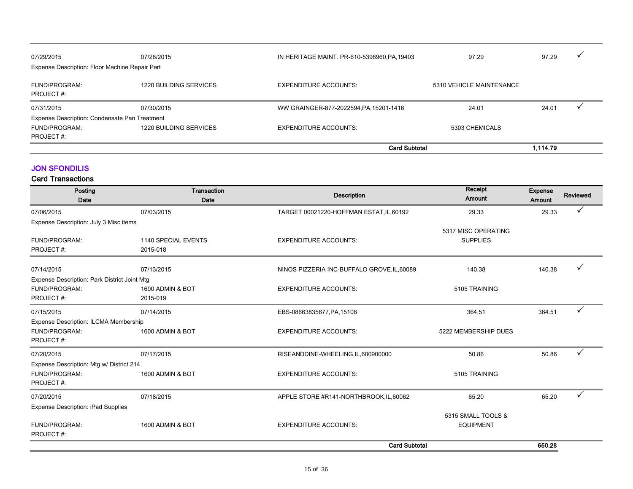| 07/29/2015<br>Expense Description: Floor Machine Repair Part | 07/28/2015                    | IN HERITAGE MAINT. PR-610-5396960, PA, 19403 | 97.29                    | 97.29    |  |
|--------------------------------------------------------------|-------------------------------|----------------------------------------------|--------------------------|----------|--|
| FUND/PROGRAM:<br>PROJECT#:                                   | 1220 BUILDING SERVICES        | <b>EXPENDITURE ACCOUNTS:</b>                 | 5310 VEHICLE MAINTENANCE |          |  |
| 07/31/2015                                                   | 07/30/2015                    | WW GRAINGER-877-2022594, PA, 15201-1416      | 24.01                    | 24.01    |  |
| Expense Description: Condensate Pan Treatment                |                               |                                              |                          |          |  |
| FUND/PROGRAM:                                                | <b>1220 BUILDING SERVICES</b> | <b>EXPENDITURE ACCOUNTS:</b>                 | 5303 CHEMICALS           |          |  |
| PROJECT#:                                                    |                               |                                              |                          |          |  |
|                                                              |                               | <b>Card Subtotal</b>                         |                          | 1.114.79 |  |

#### JON SFONDILIS

| Posting<br>Date                                                            | Transaction<br>Date             | <b>Description</b>                          | Receipt<br>Amount                      | <b>Expense</b><br>Amount | <b>Reviewed</b> |
|----------------------------------------------------------------------------|---------------------------------|---------------------------------------------|----------------------------------------|--------------------------|-----------------|
| 07/06/2015                                                                 | 07/03/2015                      | TARGET 00021220-HOFFMAN ESTAT, IL, 60192    | 29.33                                  | 29.33                    | ✓               |
| Expense Description: July 3 Misc items                                     |                                 |                                             | 5317 MISC OPERATING                    |                          |                 |
| FUND/PROGRAM:<br>PROJECT#:                                                 | 1140 SPECIAL EVENTS<br>2015-018 | <b>EXPENDITURE ACCOUNTS:</b>                | <b>SUPPLIES</b>                        |                          |                 |
| 07/14/2015                                                                 | 07/13/2015                      | NINOS PIZZERIA INC-BUFFALO GROVE, IL, 60089 | 140.38                                 | 140.38                   |                 |
| Expense Description: Park District Joint Mtg<br>FUND/PROGRAM:<br>PROJECT#: | 1600 ADMIN & BOT<br>2015-019    | <b>EXPENDITURE ACCOUNTS:</b>                | 5105 TRAINING                          |                          |                 |
| 07/15/2015                                                                 | 07/14/2015                      | EBS-08663835677, PA, 15108                  | 364.51                                 | 364.51                   | ✓               |
| Expense Description: ILCMA Membership<br>FUND/PROGRAM:<br>PROJECT#:        | 1600 ADMIN & BOT                | <b>EXPENDITURE ACCOUNTS:</b>                | 5222 MEMBERSHIP DUES                   |                          |                 |
| 07/20/2015                                                                 | 07/17/2015                      | RISEANDDINE-WHEELING, IL, 600900000         | 50.86                                  | 50.86                    | ✓               |
| Expense Description: Mtg w/ District 214<br>FUND/PROGRAM:<br>PROJECT#:     | 1600 ADMIN & BOT                | <b>EXPENDITURE ACCOUNTS:</b>                | 5105 TRAINING                          |                          |                 |
| 07/20/2015                                                                 | 07/18/2015                      | APPLE STORE #R141-NORTHBROOK,IL,60062       | 65.20                                  | 65.20                    | ✓               |
| <b>Expense Description: iPad Supplies</b><br>FUND/PROGRAM:<br>PROJECT#:    | 1600 ADMIN & BOT                | <b>EXPENDITURE ACCOUNTS:</b>                | 5315 SMALL TOOLS &<br><b>EQUIPMENT</b> |                          |                 |
|                                                                            |                                 | <b>Card Subtotal</b>                        |                                        | 650.28                   |                 |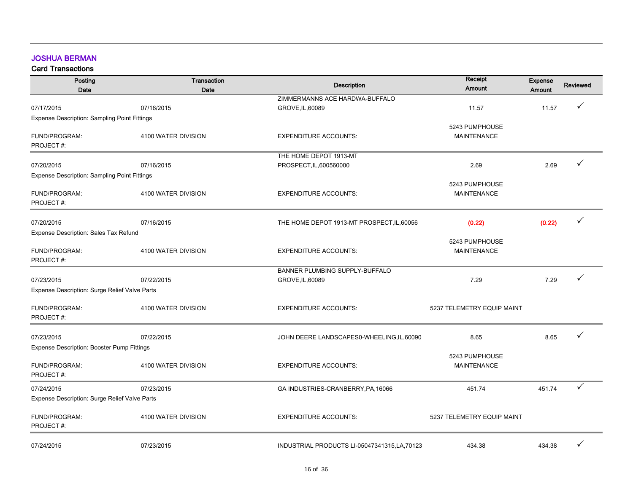#### JOSHUA BERMAN

| Posting                                             | Transaction         | <b>Description</b>                            | Receipt                    | <b>Expense</b> | <b>Reviewed</b> |
|-----------------------------------------------------|---------------------|-----------------------------------------------|----------------------------|----------------|-----------------|
| Date                                                | Date                |                                               | Amount                     | Amount         |                 |
|                                                     |                     | ZIMMERMANNS ACE HARDWA-BUFFALO                |                            |                |                 |
| 07/17/2015                                          | 07/16/2015          | GROVE, IL, 60089                              | 11.57                      | 11.57          |                 |
| <b>Expense Description: Sampling Point Fittings</b> |                     |                                               |                            |                |                 |
|                                                     |                     |                                               | 5243 PUMPHOUSE             |                |                 |
| FUND/PROGRAM:<br>PROJECT#:                          | 4100 WATER DIVISION | <b>EXPENDITURE ACCOUNTS:</b>                  | <b>MAINTENANCE</b>         |                |                 |
|                                                     |                     |                                               |                            |                |                 |
|                                                     |                     | THE HOME DEPOT 1913-MT                        |                            |                | ✓               |
| 07/20/2015                                          | 07/16/2015          | PROSPECT, IL, 600560000                       | 2.69                       | 2.69           |                 |
| <b>Expense Description: Sampling Point Fittings</b> |                     |                                               | 5243 PUMPHOUSE             |                |                 |
| FUND/PROGRAM:                                       | 4100 WATER DIVISION | <b>EXPENDITURE ACCOUNTS:</b>                  | <b>MAINTENANCE</b>         |                |                 |
| PROJECT#:                                           |                     |                                               |                            |                |                 |
|                                                     |                     |                                               |                            |                |                 |
| 07/20/2015                                          | 07/16/2015          | THE HOME DEPOT 1913-MT PROSPECT, IL, 60056    | (0.22)                     | (0.22)         | ✓               |
| Expense Description: Sales Tax Refund               |                     |                                               |                            |                |                 |
|                                                     |                     |                                               | 5243 PUMPHOUSE             |                |                 |
| FUND/PROGRAM:                                       | 4100 WATER DIVISION | <b>EXPENDITURE ACCOUNTS:</b>                  | <b>MAINTENANCE</b>         |                |                 |
| PROJECT#:                                           |                     |                                               |                            |                |                 |
|                                                     |                     | BANNER PLUMBING SUPPLY-BUFFALO                |                            |                |                 |
| 07/23/2015                                          | 07/22/2015          | GROVE, IL, 60089                              | 7.29                       | 7.29           | ✓               |
| Expense Description: Surge Relief Valve Parts       |                     |                                               |                            |                |                 |
|                                                     |                     |                                               |                            |                |                 |
| FUND/PROGRAM:                                       | 4100 WATER DIVISION | <b>EXPENDITURE ACCOUNTS:</b>                  | 5237 TELEMETRY EQUIP MAINT |                |                 |
| PROJECT#:                                           |                     |                                               |                            |                |                 |
|                                                     |                     |                                               |                            |                |                 |
| 07/23/2015                                          | 07/22/2015          | JOHN DEERE LANDSCAPES0-WHEELING, IL, 60090    | 8.65                       | 8.65           |                 |
| <b>Expense Description: Booster Pump Fittings</b>   |                     |                                               |                            |                |                 |
|                                                     |                     |                                               | 5243 PUMPHOUSE             |                |                 |
| FUND/PROGRAM:                                       | 4100 WATER DIVISION | <b>EXPENDITURE ACCOUNTS:</b>                  | <b>MAINTENANCE</b>         |                |                 |
| PROJECT#:                                           |                     |                                               |                            |                |                 |
| 07/24/2015                                          | 07/23/2015          | GA INDUSTRIES-CRANBERRY, PA, 16066            | 451.74                     | 451.74         | ✓               |
| Expense Description: Surge Relief Valve Parts       |                     |                                               |                            |                |                 |
|                                                     |                     |                                               |                            |                |                 |
| FUND/PROGRAM:                                       | 4100 WATER DIVISION | <b>EXPENDITURE ACCOUNTS:</b>                  | 5237 TELEMETRY EQUIP MAINT |                |                 |
| PROJECT#:                                           |                     |                                               |                            |                |                 |
|                                                     |                     |                                               |                            |                |                 |
| 07/24/2015                                          | 07/23/2015          | INDUSTRIAL PRODUCTS LI-05047341315, LA, 70123 | 434.38                     | 434.38         | ✓               |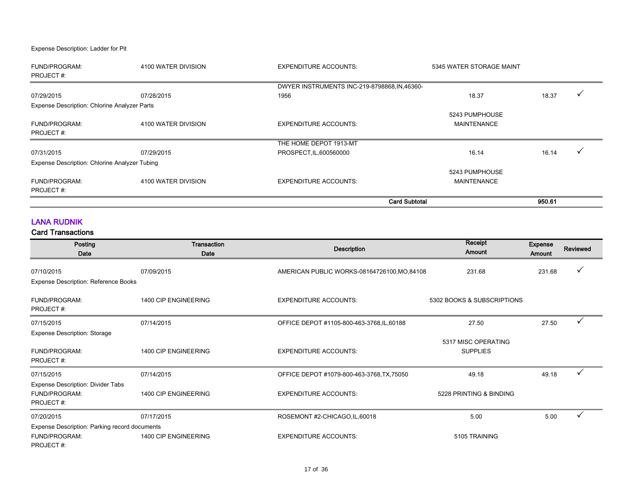Expense Description: Ladder for Pit

| <b>FUND/PROGRAM:</b>                          | 4100 WATER DIVISION | <b>EXPENDITURE ACCOUNTS:</b>                  | 5345 WATER STORAGE MAINT |        |  |
|-----------------------------------------------|---------------------|-----------------------------------------------|--------------------------|--------|--|
| PROJECT#:                                     |                     |                                               |                          |        |  |
|                                               |                     | DWYER INSTRUMENTS INC-219-8798868, IN, 46360- |                          |        |  |
| 07/29/2015                                    | 07/28/2015          | 1956                                          | 18.37                    | 18.37  |  |
| Expense Description: Chlorine Analyzer Parts  |                     |                                               |                          |        |  |
|                                               |                     |                                               | 5243 PUMPHOUSE           |        |  |
| <b>FUND/PROGRAM:</b>                          | 4100 WATER DIVISION | <b>EXPENDITURE ACCOUNTS:</b>                  | <b>MAINTENANCE</b>       |        |  |
| PROJECT#:                                     |                     |                                               |                          |        |  |
|                                               |                     | THE HOME DEPOT 1913-MT                        |                          |        |  |
| 07/31/2015                                    | 07/29/2015          | PROSPECT, IL, 600560000                       | 16.14                    | 16.14  |  |
| Expense Description: Chlorine Analyzer Tubing |                     |                                               |                          |        |  |
|                                               |                     |                                               | 5243 PUMPHOUSE           |        |  |
| <b>FUND/PROGRAM:</b>                          | 4100 WATER DIVISION | <b>EXPENDITURE ACCOUNTS:</b>                  | <b>MAINTENANCE</b>       |        |  |
| PROJECT#:                                     |                     |                                               |                          |        |  |
|                                               |                     |                                               | <b>Card Subtotal</b>     | 950.61 |  |

#### LANA RUDNIK

| Posting<br>Date                                                             | Transaction<br>Date  | <b>Description</b>                           | Receipt<br>Amount                      | <b>Expense</b><br>Amount | <b>Reviewed</b> |
|-----------------------------------------------------------------------------|----------------------|----------------------------------------------|----------------------------------------|--------------------------|-----------------|
| 07/10/2015<br><b>Expense Description: Reference Books</b>                   | 07/09/2015           | AMERICAN PUBLIC WORKS-08164726100, MO, 84108 | 231.68                                 | 231.68                   |                 |
| FUND/PROGRAM:<br>PROJECT#:                                                  | 1400 CIP ENGINEERING | <b>EXPENDITURE ACCOUNTS:</b>                 | 5302 BOOKS & SUBSCRIPTIONS             |                          |                 |
| 07/15/2015                                                                  | 07/14/2015           | OFFICE DEPOT #1105-800-463-3768, IL, 60188   | 27.50                                  | 27.50                    | ✓               |
| <b>Expense Description: Storage</b><br>FUND/PROGRAM:<br>PROJECT#:           | 1400 CIP ENGINEERING | <b>EXPENDITURE ACCOUNTS:</b>                 | 5317 MISC OPERATING<br><b>SUPPLIES</b> |                          |                 |
| 07/15/2015                                                                  | 07/14/2015           | OFFICE DEPOT #1079-800-463-3768, TX, 75050   | 49.18                                  | 49.18                    | ✓               |
| Expense Description: Divider Tabs<br>FUND/PROGRAM:<br>PROJECT#:             | 1400 CIP ENGINEERING | <b>EXPENDITURE ACCOUNTS:</b>                 | 5228 PRINTING & BINDING                |                          |                 |
| 07/20/2015                                                                  | 07/17/2015           | ROSEMONT #2-CHICAGO, IL, 60018               | 5.00                                   | 5.00                     |                 |
| Expense Description: Parking record documents<br>FUND/PROGRAM:<br>PROJECT#: | 1400 CIP ENGINEERING | <b>EXPENDITURE ACCOUNTS:</b>                 | 5105 TRAINING                          |                          |                 |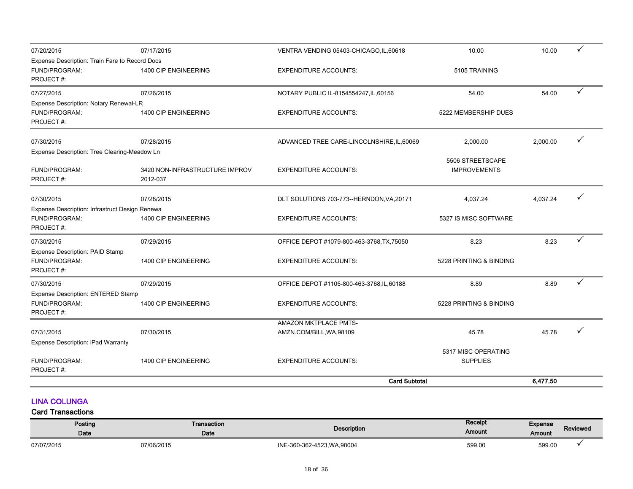| 07/20/2015                                                                   | 07/17/2015                                 | VENTRA VENDING 05403-CHICAGO, IL, 60618    | 10.00                                   | 10.00    | $\checkmark$ |
|------------------------------------------------------------------------------|--------------------------------------------|--------------------------------------------|-----------------------------------------|----------|--------------|
| Expense Description: Train Fare to Record Docs<br>FUND/PROGRAM:<br>PROJECT#: | 1400 CIP ENGINEERING                       | <b>EXPENDITURE ACCOUNTS:</b>               | 5105 TRAINING                           |          |              |
| 07/27/2015                                                                   | 07/26/2015                                 | NOTARY PUBLIC IL-8154554247, IL, 60156     | 54.00                                   | 54.00    | ✓            |
| Expense Description: Notary Renewal-LR<br><b>FUND/PROGRAM:</b><br>PROJECT#:  | 1400 CIP ENGINEERING                       | <b>EXPENDITURE ACCOUNTS:</b>               | 5222 MEMBERSHIP DUES                    |          |              |
| 07/30/2015                                                                   | 07/28/2015                                 | ADVANCED TREE CARE-LINCOLNSHIRE, IL, 60069 | 2,000.00                                | 2,000.00 |              |
| Expense Description: Tree Clearing-Meadow Ln<br>FUND/PROGRAM:<br>PROJECT#:   | 3420 NON-INFRASTRUCTURE IMPROV<br>2012-037 | <b>EXPENDITURE ACCOUNTS:</b>               | 5506 STREETSCAPE<br><b>IMPROVEMENTS</b> |          |              |
| 07/30/2015                                                                   | 07/28/2015                                 | DLT SOLUTIONS 703-773--HERNDON, VA, 20171  | 4,037.24                                | 4,037.24 |              |
| Expense Description: Infrastruct Design Renewa<br>FUND/PROGRAM:<br>PROJECT#: | 1400 CIP ENGINEERING                       | <b>EXPENDITURE ACCOUNTS:</b>               | 5327 IS MISC SOFTWARE                   |          |              |
| 07/30/2015                                                                   | 07/29/2015                                 | OFFICE DEPOT #1079-800-463-3768, TX, 75050 | 8.23                                    | 8.23     |              |
| <b>Expense Description: PAID Stamp</b><br><b>FUND/PROGRAM:</b><br>PROJECT#:  | 1400 CIP ENGINEERING                       | <b>EXPENDITURE ACCOUNTS:</b>               | 5228 PRINTING & BINDING                 |          |              |
| 07/30/2015                                                                   | 07/29/2015                                 | OFFICE DEPOT #1105-800-463-3768,IL,60188   | 8.89                                    | 8.89     | $\checkmark$ |
| Expense Description: ENTERED Stamp<br>FUND/PROGRAM:<br>PROJECT#:             | 1400 CIP ENGINEERING                       | <b>EXPENDITURE ACCOUNTS:</b>               | 5228 PRINTING & BINDING                 |          |              |
|                                                                              |                                            | AMAZON MKTPLACE PMTS-                      |                                         |          |              |
| 07/31/2015<br><b>Expense Description: iPad Warranty</b>                      | 07/30/2015                                 | AMZN.COM/BILL, WA, 98109                   | 45.78                                   | 45.78    |              |
| FUND/PROGRAM:<br>PROJECT#:                                                   | 1400 CIP ENGINEERING                       | <b>EXPENDITURE ACCOUNTS:</b>               | 5317 MISC OPERATING<br><b>SUPPLIES</b>  |          |              |
|                                                                              |                                            | <b>Card Subtotal</b>                       |                                         | 6,477.50 |              |

#### LINA COLUNGA

| Posting<br><b>Date</b> | $\mathsf{\Gamma}$ ransaction<br><b>Date</b> | Description                 | Receipt<br>Amount | Expense<br>Amount | <b>Reviewed</b> |
|------------------------|---------------------------------------------|-----------------------------|-------------------|-------------------|-----------------|
| 07/07/2015             | 07/06/2015                                  | INE-360-362-4523, WA, 98004 | 599.00            | 599.00            |                 |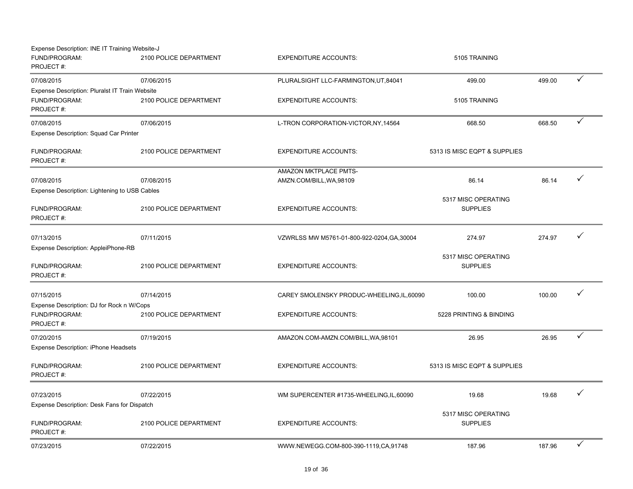| Expense Description: INE IT Training Website-J |                        |                                             |                              |        |              |
|------------------------------------------------|------------------------|---------------------------------------------|------------------------------|--------|--------------|
| FUND/PROGRAM:<br>PROJECT#:                     | 2100 POLICE DEPARTMENT | <b>EXPENDITURE ACCOUNTS:</b>                | 5105 TRAINING                |        |              |
| 07/08/2015                                     | 07/06/2015             | PLURALSIGHT LLC-FARMINGTON, UT, 84041       | 499.00                       | 499.00 | $\checkmark$ |
| Expense Description: Pluralst IT Train Website |                        |                                             |                              |        |              |
| FUND/PROGRAM:                                  | 2100 POLICE DEPARTMENT | <b>EXPENDITURE ACCOUNTS:</b>                | 5105 TRAINING                |        |              |
| PROJECT#:                                      |                        |                                             |                              |        |              |
| 07/08/2015                                     | 07/06/2015             | L-TRON CORPORATION-VICTOR, NY, 14564        | 668.50                       | 668.50 | $\checkmark$ |
| Expense Description: Squad Car Printer         |                        |                                             |                              |        |              |
| FUND/PROGRAM:                                  | 2100 POLICE DEPARTMENT | <b>EXPENDITURE ACCOUNTS:</b>                | 5313 IS MISC EQPT & SUPPLIES |        |              |
| PROJECT#:                                      |                        |                                             |                              |        |              |
|                                                |                        | AMAZON MKTPLACE PMTS-                       |                              |        |              |
| 07/08/2015                                     | 07/08/2015             | AMZN.COM/BILL, WA, 98109                    | 86.14                        | 86.14  | $\checkmark$ |
| Expense Description: Lightening to USB Cables  |                        |                                             |                              |        |              |
|                                                |                        |                                             | 5317 MISC OPERATING          |        |              |
| FUND/PROGRAM:<br>PROJECT#:                     | 2100 POLICE DEPARTMENT | <b>EXPENDITURE ACCOUNTS:</b>                | <b>SUPPLIES</b>              |        |              |
|                                                |                        |                                             |                              |        |              |
| 07/13/2015                                     | 07/11/2015             | VZWRLSS MW M5761-01-800-922-0204, GA, 30004 | 274.97                       | 274.97 |              |
| Expense Description: AppleiPhone-RB            |                        |                                             |                              |        |              |
|                                                |                        |                                             | 5317 MISC OPERATING          |        |              |
| FUND/PROGRAM:                                  | 2100 POLICE DEPARTMENT | <b>EXPENDITURE ACCOUNTS:</b>                | <b>SUPPLIES</b>              |        |              |
| PROJECT#:                                      |                        |                                             |                              |        |              |
| 07/15/2015                                     | 07/14/2015             | CAREY SMOLENSKY PRODUC-WHEELING, IL, 60090  | 100.00                       | 100.00 | $\checkmark$ |
| Expense Description: DJ for Rock n W/Cops      |                        |                                             |                              |        |              |
| FUND/PROGRAM:                                  | 2100 POLICE DEPARTMENT | <b>EXPENDITURE ACCOUNTS:</b>                | 5228 PRINTING & BINDING      |        |              |
| PROJECT#:                                      |                        |                                             |                              |        |              |
| 07/20/2015                                     | 07/19/2015             | AMAZON.COM-AMZN.COM/BILL, WA, 98101         | 26.95                        | 26.95  | $\checkmark$ |
| Expense Description: iPhone Headsets           |                        |                                             |                              |        |              |
| FUND/PROGRAM:                                  | 2100 POLICE DEPARTMENT | <b>EXPENDITURE ACCOUNTS:</b>                | 5313 IS MISC EQPT & SUPPLIES |        |              |
| PROJECT#:                                      |                        |                                             |                              |        |              |
|                                                |                        |                                             |                              |        |              |
| 07/23/2015                                     | 07/22/2015             | WM SUPERCENTER #1735-WHEELING, IL, 60090    | 19.68                        | 19.68  | $\checkmark$ |
| Expense Description: Desk Fans for Dispatch    |                        |                                             |                              |        |              |
|                                                |                        |                                             | 5317 MISC OPERATING          |        |              |
| FUND/PROGRAM:                                  | 2100 POLICE DEPARTMENT | <b>EXPENDITURE ACCOUNTS:</b>                | <b>SUPPLIES</b>              |        |              |
| PROJECT#:                                      |                        |                                             |                              |        |              |
| 07/23/2015                                     | 07/22/2015             | WWW.NEWEGG.COM-800-390-1119.CA.91748        | 187.96                       | 187.96 | $\checkmark$ |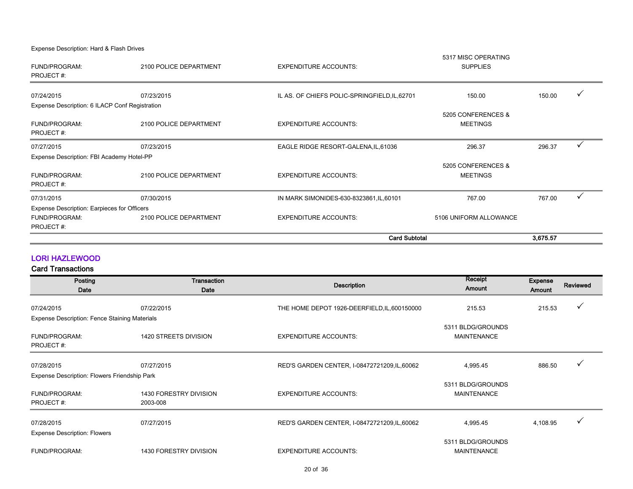Expense Description: Hard & Flash Drives

|                                                                                  |                        | <b>Card Subtotal</b>                          |                                       | 3,675.57 |              |
|----------------------------------------------------------------------------------|------------------------|-----------------------------------------------|---------------------------------------|----------|--------------|
| Expense Description: Earpieces for Officers<br><b>FUND/PROGRAM:</b><br>PROJECT#: | 2100 POLICE DEPARTMENT | <b>EXPENDITURE ACCOUNTS:</b>                  | 5106 UNIFORM ALLOWANCE                |          |              |
|                                                                                  |                        |                                               |                                       |          |              |
| 07/31/2015                                                                       | 07/30/2015             | IN MARK SIMONIDES-630-8323861, IL, 60101      | 767.00                                | 767.00   |              |
| <b>FUND/PROGRAM:</b><br><b>PROJECT#:</b>                                         | 2100 POLICE DEPARTMENT | <b>EXPENDITURE ACCOUNTS:</b>                  | 5205 CONFERENCES &<br><b>MEETINGS</b> |          |              |
| Expense Description: FBI Academy Hotel-PP                                        |                        |                                               |                                       |          |              |
| 07/27/2015                                                                       | 07/23/2015             | EAGLE RIDGE RESORT-GALENA, IL, 61036          | 296.37                                | 296.37   | $\checkmark$ |
| FUND/PROGRAM:<br><b>PROJECT#:</b>                                                | 2100 POLICE DEPARTMENT | <b>EXPENDITURE ACCOUNTS:</b>                  | 5205 CONFERENCES &<br><b>MEETINGS</b> |          |              |
| Expense Description: 6 ILACP Conf Registration                                   |                        |                                               |                                       |          |              |
| 07/24/2015                                                                       | 07/23/2015             | IL AS. OF CHIEFS POLIC-SPRINGFIELD, IL, 62701 | 150.00                                | 150.00   |              |
| <b>FUND/PROGRAM:</b><br>PROJECT#:                                                | 2100 POLICE DEPARTMENT | <b>EXPENDITURE ACCOUNTS:</b>                  | <b>SUPPLIES</b>                       |          |              |
|                                                                                  |                        |                                               | 5317 MISC OPERATING                   |          |              |

#### LORI HAZLEWOOD

| Posting<br>Date                               | Transaction<br>Date                       | <b>Description</b>                            | Receipt<br><b>Amount</b>                | <b>Expense</b><br>Amount | Reviewed     |
|-----------------------------------------------|-------------------------------------------|-----------------------------------------------|-----------------------------------------|--------------------------|--------------|
| 07/24/2015                                    | 07/22/2015                                | THE HOME DEPOT 1926-DEERFIELD, IL, 600150000  | 215.53                                  | 215.53                   | ✓            |
| Expense Description: Fence Staining Materials |                                           |                                               |                                         |                          |              |
| <b>FUND/PROGRAM:</b><br>PROJECT#:             | 1420 STREETS DIVISION                     | <b>EXPENDITURE ACCOUNTS:</b>                  | 5311 BLDG/GROUNDS<br><b>MAINTENANCE</b> |                          |              |
| 07/28/2015                                    | 07/27/2015                                | RED'S GARDEN CENTER, I-08472721209, IL, 60062 | 4,995.45                                | 886.50                   |              |
| Expense Description: Flowers Friendship Park  |                                           |                                               |                                         |                          |              |
| <b>FUND/PROGRAM:</b><br>PROJECT#:             | <b>1430 FORESTRY DIVISION</b><br>2003-008 | <b>EXPENDITURE ACCOUNTS:</b>                  | 5311 BLDG/GROUNDS<br><b>MAINTENANCE</b> |                          |              |
| 07/28/2015                                    | 07/27/2015                                | RED'S GARDEN CENTER, I-08472721209, IL, 60062 | 4,995.45                                | 4,108.95                 | $\checkmark$ |
| <b>Expense Description: Flowers</b>           |                                           |                                               |                                         |                          |              |
| <b>FUND/PROGRAM:</b>                          | <b>1430 FORESTRY DIVISION</b>             | <b>EXPENDITURE ACCOUNTS:</b>                  | 5311 BLDG/GROUNDS<br><b>MAINTENANCE</b> |                          |              |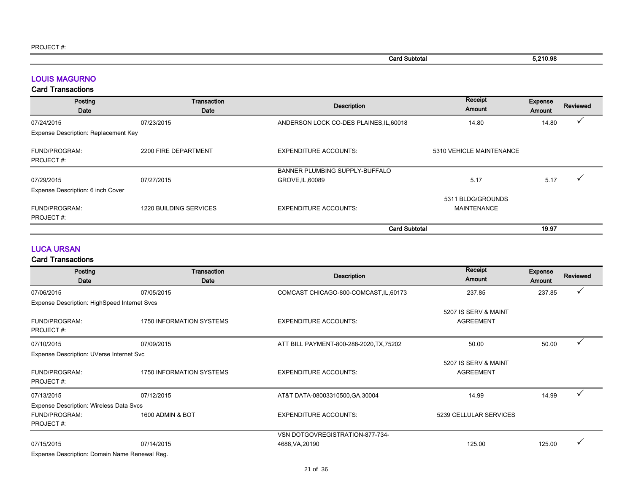| Subtotal<br>Card | 5,210.98 |
|------------------|----------|
|                  |          |

#### LOUIS MAGURNO

#### Card Transactions

| Posting<br>Date                      | Transaction<br>Date    | <b>Description</b>                      | Receipt<br>Amount                       | Expense<br><b>Amount</b> | Reviewed |
|--------------------------------------|------------------------|-----------------------------------------|-----------------------------------------|--------------------------|----------|
| 07/24/2015                           | 07/23/2015             | ANDERSON LOCK CO-DES PLAINES, IL, 60018 | 14.80                                   | 14.80                    |          |
| Expense Description: Replacement Key |                        |                                         |                                         |                          |          |
| FUND/PROGRAM:<br>PROJECT#:           | 2200 FIRE DEPARTMENT   | <b>EXPENDITURE ACCOUNTS:</b>            | 5310 VEHICLE MAINTENANCE                |                          |          |
|                                      |                        | BANNER PLUMBING SUPPLY-BUFFALO          |                                         |                          |          |
| 07/29/2015                           | 07/27/2015             | GROVE, IL, 60089                        | 5.17                                    | 5.17                     |          |
| Expense Description: 6 inch Cover    |                        |                                         |                                         |                          |          |
| FUND/PROGRAM:<br>PROJECT#:           | 1220 BUILDING SERVICES | <b>EXPENDITURE ACCOUNTS:</b>            | 5311 BLDG/GROUNDS<br><b>MAINTENANCE</b> |                          |          |
|                                      |                        | <b>Card Subtotal</b>                    |                                         | 19.97                    |          |

#### LUCA URSAN

| Posting<br>Date                               | Transaction<br>Date             | <b>Description</b>                       | Receipt<br>Amount                        | <b>Expense</b><br><b>Amount</b> | <b>Reviewed</b> |
|-----------------------------------------------|---------------------------------|------------------------------------------|------------------------------------------|---------------------------------|-----------------|
| 07/06/2015                                    | 07/05/2015                      | COMCAST CHICAGO-800-COMCAST, IL, 60173   | 237.85                                   | 237.85                          |                 |
| Expense Description: HighSpeed Internet Svcs  |                                 |                                          |                                          |                                 |                 |
| FUND/PROGRAM:<br>PROJECT#:                    | <b>1750 INFORMATION SYSTEMS</b> | <b>EXPENDITURE ACCOUNTS:</b>             | 5207 IS SERV & MAINT<br><b>AGREEMENT</b> |                                 |                 |
| 07/10/2015                                    | 07/09/2015                      | ATT BILL PAYMENT-800-288-2020, TX, 75202 | 50.00                                    | 50.00                           | $\checkmark$    |
| Expense Description: UVerse Internet Svc      |                                 |                                          |                                          |                                 |                 |
| FUND/PROGRAM:<br>PROJECT#:                    | <b>1750 INFORMATION SYSTEMS</b> | <b>EXPENDITURE ACCOUNTS:</b>             | 5207 IS SERV & MAINT<br><b>AGREEMENT</b> |                                 |                 |
| 07/13/2015                                    | 07/12/2015                      | AT&T DATA-08003310500, GA, 30004         | 14.99                                    | 14.99                           | ✓               |
| Expense Description: Wireless Data Svcs       |                                 |                                          |                                          |                                 |                 |
| <b>FUND/PROGRAM:</b><br>PROJECT#:             | 1600 ADMIN & BOT                | <b>EXPENDITURE ACCOUNTS:</b>             | 5239 CELLULAR SERVICES                   |                                 |                 |
|                                               |                                 | VSN DOTGOVREGISTRATION-877-734-          |                                          |                                 |                 |
| 07/15/2015                                    | 07/14/2015                      | 4688, VA, 20190                          | 125.00                                   | 125.00                          |                 |
| Expense Description: Domain Name Renewal Reg. |                                 |                                          |                                          |                                 |                 |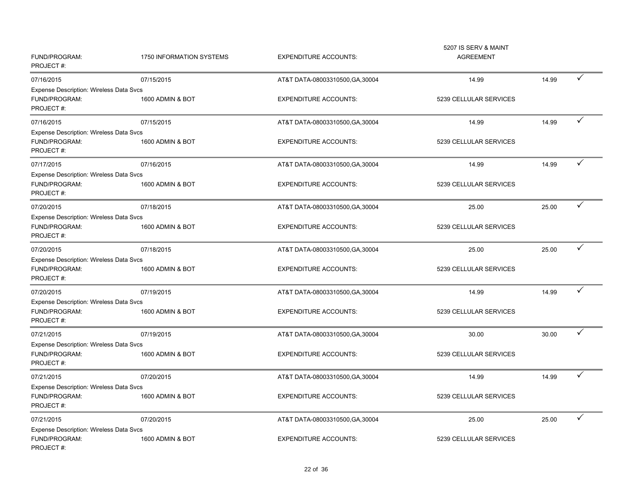| FUND/PROGRAM:<br>PROJECT#:                                                   | 1750 INFORMATION SYSTEMS | <b>EXPENDITURE ACCOUNTS:</b>     | 5207 IS SERV & MAINT<br><b>AGREEMENT</b> |       |              |
|------------------------------------------------------------------------------|--------------------------|----------------------------------|------------------------------------------|-------|--------------|
| 07/16/2015                                                                   | 07/15/2015               | AT&T DATA-08003310500, GA, 30004 | 14.99                                    | 14.99 | $\checkmark$ |
| <b>Expense Description: Wireless Data Svcs</b><br>FUND/PROGRAM:<br>PROJECT#: | 1600 ADMIN & BOT         | <b>EXPENDITURE ACCOUNTS:</b>     | 5239 CELLULAR SERVICES                   |       |              |
| 07/16/2015                                                                   | 07/15/2015               | AT&T DATA-08003310500, GA, 30004 | 14.99                                    | 14.99 | ✓            |
| Expense Description: Wireless Data Svcs<br>FUND/PROGRAM:<br>PROJECT#:        | 1600 ADMIN & BOT         | <b>EXPENDITURE ACCOUNTS:</b>     | 5239 CELLULAR SERVICES                   |       |              |
| 07/17/2015                                                                   | 07/16/2015               | AT&T DATA-08003310500, GA, 30004 | 14.99                                    | 14.99 | $\checkmark$ |
| Expense Description: Wireless Data Svcs<br>FUND/PROGRAM:<br>PROJECT#:        | 1600 ADMIN & BOT         | <b>EXPENDITURE ACCOUNTS:</b>     | 5239 CELLULAR SERVICES                   |       |              |
| 07/20/2015                                                                   | 07/18/2015               | AT&T DATA-08003310500, GA, 30004 | 25.00                                    | 25.00 | ✓            |
| Expense Description: Wireless Data Svcs<br>FUND/PROGRAM:<br>PROJECT#:        | 1600 ADMIN & BOT         | <b>EXPENDITURE ACCOUNTS:</b>     | 5239 CELLULAR SERVICES                   |       |              |
| 07/20/2015                                                                   | 07/18/2015               | AT&T DATA-08003310500, GA, 30004 | 25.00                                    | 25.00 | $\checkmark$ |
| Expense Description: Wireless Data Svcs<br>FUND/PROGRAM:<br>PROJECT#:        | 1600 ADMIN & BOT         | <b>EXPENDITURE ACCOUNTS:</b>     | 5239 CELLULAR SERVICES                   |       |              |
| 07/20/2015                                                                   | 07/19/2015               | AT&T DATA-08003310500, GA, 30004 | 14.99                                    | 14.99 |              |
| <b>Expense Description: Wireless Data Svcs</b><br>FUND/PROGRAM:<br>PROJECT#: | 1600 ADMIN & BOT         | <b>EXPENDITURE ACCOUNTS:</b>     | 5239 CELLULAR SERVICES                   |       |              |
| 07/21/2015                                                                   | 07/19/2015               | AT&T DATA-08003310500, GA, 30004 | 30.00                                    | 30.00 |              |
| <b>Expense Description: Wireless Data Svcs</b><br>FUND/PROGRAM:<br>PROJECT#: | 1600 ADMIN & BOT         | <b>EXPENDITURE ACCOUNTS:</b>     | 5239 CELLULAR SERVICES                   |       |              |
| 07/21/2015                                                                   | 07/20/2015               | AT&T DATA-08003310500, GA, 30004 | 14.99                                    | 14.99 | ✓            |
| Expense Description: Wireless Data Svcs<br>FUND/PROGRAM:<br>PROJECT#:        | 1600 ADMIN & BOT         | <b>EXPENDITURE ACCOUNTS:</b>     | 5239 CELLULAR SERVICES                   |       |              |
| 07/21/2015                                                                   | 07/20/2015               | AT&T DATA-08003310500, GA, 30004 | 25.00                                    | 25.00 | $\checkmark$ |
| Expense Description: Wireless Data Svcs<br>FUND/PROGRAM:<br>PROJECT#:        | 1600 ADMIN & BOT         | <b>EXPENDITURE ACCOUNTS:</b>     | 5239 CELLULAR SERVICES                   |       |              |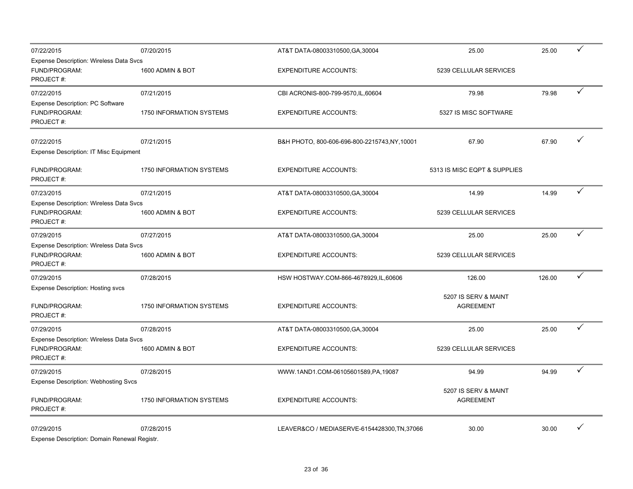| 07/22/2015                                                                   | 07/20/2015               | AT&T DATA-08003310500, GA, 30004              | 25.00                                    | 25.00  | ✓ |
|------------------------------------------------------------------------------|--------------------------|-----------------------------------------------|------------------------------------------|--------|---|
| <b>Expense Description: Wireless Data Svcs</b><br>FUND/PROGRAM:<br>PROJECT#: | 1600 ADMIN & BOT         | <b>EXPENDITURE ACCOUNTS:</b>                  | 5239 CELLULAR SERVICES                   |        |   |
| 07/22/2015                                                                   | 07/21/2015               | CBI ACRONIS-800-799-9570, IL, 60604           | 79.98                                    | 79.98  | ✓ |
| Expense Description: PC Software<br>FUND/PROGRAM:<br>PROJECT#:               | 1750 INFORMATION SYSTEMS | <b>EXPENDITURE ACCOUNTS:</b>                  | 5327 IS MISC SOFTWARE                    |        |   |
| 07/22/2015                                                                   | 07/21/2015               | B&H PHOTO, 800-606-696-800-2215743, NY, 10001 | 67.90                                    | 67.90  | ✓ |
| Expense Description: IT Misc Equipment                                       |                          |                                               |                                          |        |   |
| FUND/PROGRAM:<br>PROJECT#:                                                   | 1750 INFORMATION SYSTEMS | <b>EXPENDITURE ACCOUNTS:</b>                  | 5313 IS MISC EQPT & SUPPLIES             |        |   |
| 07/23/2015                                                                   | 07/21/2015               | AT&T DATA-08003310500, GA, 30004              | 14.99                                    | 14.99  | ✓ |
| <b>Expense Description: Wireless Data Svcs</b><br>FUND/PROGRAM:<br>PROJECT#: | 1600 ADMIN & BOT         | <b>EXPENDITURE ACCOUNTS:</b>                  | 5239 CELLULAR SERVICES                   |        |   |
| 07/29/2015                                                                   | 07/27/2015               | AT&T DATA-08003310500, GA, 30004              | 25.00                                    | 25.00  |   |
| <b>Expense Description: Wireless Data Svcs</b><br>FUND/PROGRAM:<br>PROJECT#: | 1600 ADMIN & BOT         | <b>EXPENDITURE ACCOUNTS:</b>                  | 5239 CELLULAR SERVICES                   |        |   |
| 07/29/2015                                                                   | 07/28/2015               | HSW HOSTWAY.COM-866-4678929,IL,60606          | 126.00                                   | 126.00 | ✓ |
| <b>Expense Description: Hosting svcs</b><br>FUND/PROGRAM:<br>PROJECT#:       | 1750 INFORMATION SYSTEMS | <b>EXPENDITURE ACCOUNTS:</b>                  | 5207 IS SERV & MAINT<br><b>AGREEMENT</b> |        |   |
| 07/29/2015                                                                   | 07/28/2015               | AT&T DATA-08003310500, GA, 30004              | 25.00                                    | 25.00  | ✓ |
| <b>Expense Description: Wireless Data Svcs</b><br>FUND/PROGRAM:<br>PROJECT#: | 1600 ADMIN & BOT         | <b>EXPENDITURE ACCOUNTS:</b>                  | 5239 CELLULAR SERVICES                   |        |   |
| 07/29/2015                                                                   | 07/28/2015               | WWW.1AND1.COM-06105601589,PA,19087            | 94.99                                    | 94.99  | ✓ |
| <b>Expense Description: Webhosting Svcs</b><br>FUND/PROGRAM:<br>PROJECT#:    | 1750 INFORMATION SYSTEMS | <b>EXPENDITURE ACCOUNTS:</b>                  | 5207 IS SERV & MAINT<br><b>AGREEMENT</b> |        |   |
| 07/29/2015                                                                   | 07/28/2015               | LEAVER&CO / MEDIASERVE-6154428300, TN, 37066  | 30.00                                    | 30.00  |   |

Expense Description: Domain Renewal Registr.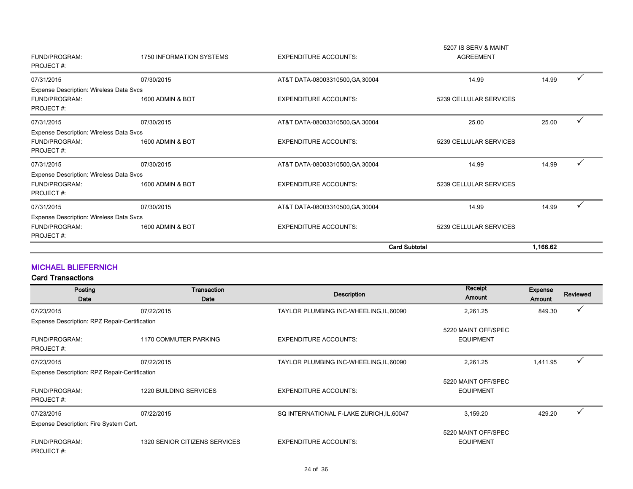|                                                          |                          |                                  | <b>Card Subtotal</b>   | 1,166.62 |   |
|----------------------------------------------------------|--------------------------|----------------------------------|------------------------|----------|---|
| FUND/PROGRAM:<br>PROJECT#:                               | 1600 ADMIN & BOT         | <b>EXPENDITURE ACCOUNTS:</b>     | 5239 CELLULAR SERVICES |          |   |
| Expense Description: Wireless Data Svcs                  |                          |                                  |                        |          |   |
| 07/31/2015                                               | 07/30/2015               | AT&T DATA-08003310500, GA, 30004 | 14.99                  | 14.99    |   |
| PROJECT#:                                                |                          |                                  |                        |          |   |
| Expense Description: Wireless Data Svcs<br>FUND/PROGRAM: | 1600 ADMIN & BOT         | <b>EXPENDITURE ACCOUNTS:</b>     | 5239 CELLULAR SERVICES |          |   |
|                                                          |                          |                                  |                        |          |   |
| 07/31/2015                                               | 07/30/2015               | AT&T DATA-08003310500, GA, 30004 | 14.99                  | 14.99    |   |
| FUND/PROGRAM:<br>PROJECT#:                               | 1600 ADMIN & BOT         | <b>EXPENDITURE ACCOUNTS:</b>     | 5239 CELLULAR SERVICES |          |   |
| Expense Description: Wireless Data Svcs                  |                          |                                  |                        |          |   |
| 07/31/2015                                               | 07/30/2015               | AT&T DATA-08003310500, GA, 30004 | 25.00                  | 25.00    | ✓ |
| PROJECT#:                                                |                          |                                  |                        |          |   |
| Expense Description: Wireless Data Svcs<br>FUND/PROGRAM: | 1600 ADMIN & BOT         | <b>EXPENDITURE ACCOUNTS:</b>     | 5239 CELLULAR SERVICES |          |   |
| 07/31/2015                                               | 07/30/2015               | AT&T DATA-08003310500, GA, 30004 | 14.99                  | 14.99    |   |
| PROJECT#:                                                |                          |                                  |                        |          |   |
| FUND/PROGRAM:                                            | 1750 INFORMATION SYSTEMS | <b>EXPENDITURE ACCOUNTS:</b>     | <b>AGREEMENT</b>       |          |   |
|                                                          |                          |                                  | 5207 IS SERV & MAINT   |          |   |

#### MICHAEL BLIEFERNICH

| Posting<br>Date                               | Transaction<br>Date           | <b>Description</b>                        | Receipt<br>Amount                       | Expense<br>Amount | <b>Reviewed</b> |
|-----------------------------------------------|-------------------------------|-------------------------------------------|-----------------------------------------|-------------------|-----------------|
| 07/23/2015                                    | 07/22/2015                    | TAYLOR PLUMBING INC-WHEELING, IL, 60090   | 2,261.25                                | 849.30            | $\checkmark$    |
| Expense Description: RPZ Repair-Certification |                               |                                           |                                         |                   |                 |
| <b>FUND/PROGRAM:</b><br>PROJECT#:             | 1170 COMMUTER PARKING         | <b>EXPENDITURE ACCOUNTS:</b>              | 5220 MAINT OFF/SPEC<br><b>EQUIPMENT</b> |                   |                 |
| 07/23/2015                                    | 07/22/2015                    | TAYLOR PLUMBING INC-WHEELING, IL, 60090   | 2,261.25                                | 1,411.95          | ν               |
| Expense Description: RPZ Repair-Certification |                               |                                           |                                         |                   |                 |
| FUND/PROGRAM:<br>PROJECT#:                    | 1220 BUILDING SERVICES        | <b>EXPENDITURE ACCOUNTS:</b>              | 5220 MAINT OFF/SPEC<br><b>EQUIPMENT</b> |                   |                 |
| 07/23/2015                                    | 07/22/2015                    | SQ INTERNATIONAL F-LAKE ZURICH, IL, 60047 | 3,159.20                                | 429.20            |                 |
| Expense Description: Fire System Cert.        |                               |                                           |                                         |                   |                 |
| FUND/PROGRAM:<br>PROJECT#:                    | 1320 SENIOR CITIZENS SERVICES | <b>EXPENDITURE ACCOUNTS:</b>              | 5220 MAINT OFF/SPEC<br><b>EQUIPMENT</b> |                   |                 |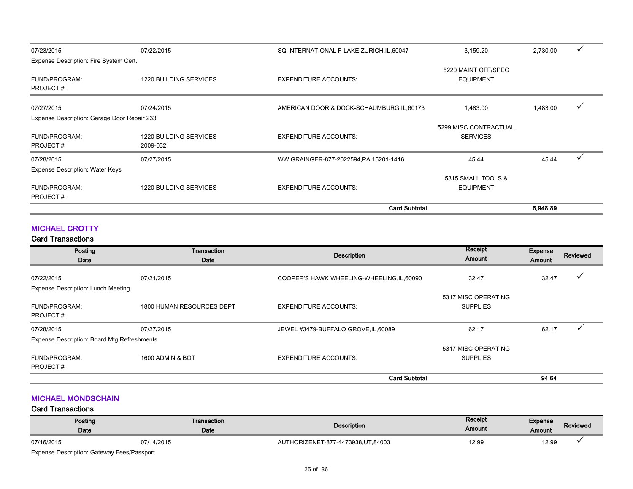| FUND/PROGRAM:                               | 1220 BUILDING SERVICES | <b>EXPENDITURE ACCOUNTS:</b>               | <b>EQUIPMENT</b>                         |          |   |
|---------------------------------------------|------------------------|--------------------------------------------|------------------------------------------|----------|---|
| Expense Description: Water Keys             |                        |                                            | 5315 SMALL TOOLS &                       |          |   |
| 07/28/2015                                  | 07/27/2015             | WW GRAINGER-877-2022594, PA, 15201-1416    | 45.44                                    | 45.44    |   |
| PROJECT#:                                   | 2009-032               |                                            |                                          |          |   |
| FUND/PROGRAM:                               | 1220 BUILDING SERVICES | <b>EXPENDITURE ACCOUNTS:</b>               | 5299 MISC CONTRACTUAL<br><b>SERVICES</b> |          |   |
| Expense Description: Garage Door Repair 233 |                        |                                            |                                          |          |   |
| 07/27/2015                                  | 07/24/2015             | AMERICAN DOOR & DOCK-SCHAUMBURG, IL, 60173 | 1,483.00                                 | 1,483.00 | v |
| PROJECT#:                                   |                        |                                            |                                          |          |   |
| FUND/PROGRAM:                               | 1220 BUILDING SERVICES | <b>EXPENDITURE ACCOUNTS:</b>               | 5220 MAINT OFF/SPEC<br><b>EQUIPMENT</b>  |          |   |
| Expense Description: Fire System Cert.      |                        |                                            |                                          |          |   |
| 07/23/2015                                  | 07/22/2015             | SQ INTERNATIONAL F-LAKE ZURICH, IL, 60047  | 3,159.20                                 | 2,730.00 | ✓ |

### MICHAEL CROTTY

#### Card Transactions

| Posting<br>Date                                                  | Transaction<br>Date       | <b>Description</b>                         | Receipt<br>Amount                      | Expense<br>Amount | Reviewed |
|------------------------------------------------------------------|---------------------------|--------------------------------------------|----------------------------------------|-------------------|----------|
| 07/22/2015                                                       | 07/21/2015                | COOPER'S HAWK WHEELING-WHEELING, IL, 60090 | 32.47                                  | 32.47             |          |
| Expense Description: Lunch Meeting<br>FUND/PROGRAM:<br>PROJECT#: | 1800 HUMAN RESOURCES DEPT | <b>EXPENDITURE ACCOUNTS:</b>               | 5317 MISC OPERATING<br><b>SUPPLIES</b> |                   |          |
| 07/28/2015                                                       | 07/27/2015                | JEWEL #3479-BUFFALO GROVE, IL, 60089       | 62.17                                  | 62.17             |          |
| Expense Description: Board Mtg Refreshments                      |                           |                                            |                                        |                   |          |
| <b>FUND/PROGRAM:</b><br>PROJECT#:                                | 1600 ADMIN & BOT          | <b>EXPENDITURE ACCOUNTS:</b>               | 5317 MISC OPERATING<br><b>SUPPLIES</b> |                   |          |
|                                                                  |                           | <b>Card Subtotal</b>                       |                                        | 94.64             |          |

#### MICHAEL MONDSCHAIN

| Posting<br>Date                                   | Transaction<br>Date | <b>Description</b>                  | Receipt<br>Amount | Expense<br>Amount | Reviewed |
|---------------------------------------------------|---------------------|-------------------------------------|-------------------|-------------------|----------|
| 07/16/2015                                        | 07/14/2015          | AUTHORIZENET-877-4473938, UT, 84003 | 12.99             | 12.99             |          |
| <b>Expense Description: Gateway Fees/Passport</b> |                     |                                     |                   |                   |          |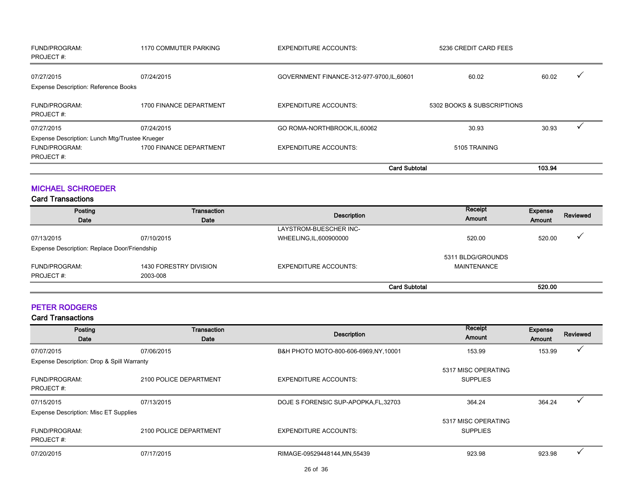| FUND/PROGRAM:<br>PROJECT#:                     | <b>1170 COMMUTER PARKING</b> | <b>EXPENDITURE ACCOUNTS:</b>               | 5236 CREDIT CARD FEES      |        |  |
|------------------------------------------------|------------------------------|--------------------------------------------|----------------------------|--------|--|
| 07/27/2015                                     | 07/24/2015                   | GOVERNMENT FINANCE-312-977-9700, IL, 60601 | 60.02                      | 60.02  |  |
| <b>Expense Description: Reference Books</b>    |                              |                                            |                            |        |  |
| <b>FUND/PROGRAM:</b><br>PROJECT#:              | 1700 FINANCE DEPARTMENT      | <b>EXPENDITURE ACCOUNTS:</b>               | 5302 BOOKS & SUBSCRIPTIONS |        |  |
| 07/27/2015                                     | 07/24/2015                   | GO ROMA-NORTHBROOK, IL, 60062              | 30.93                      | 30.93  |  |
| Expense Description: Lunch Mtg/Trustee Krueger |                              |                                            |                            |        |  |
| <b>FUND/PROGRAM:</b><br>PROJECT#:              | 1700 FINANCE DEPARTMENT      | <b>EXPENDITURE ACCOUNTS:</b>               | 5105 TRAINING              |        |  |
|                                                |                              | <b>Card Subtotal</b>                       |                            | 103.94 |  |

#### MICHAEL SCHROEDER

#### Card Transactions

| Posting<br>Date                              | Transaction<br>Date    | Description                  | Receipt<br>Amount    | Expense<br>Amount | Reviewed |
|----------------------------------------------|------------------------|------------------------------|----------------------|-------------------|----------|
|                                              |                        | LAYSTROM-BUESCHER INC-       |                      |                   |          |
| 07/13/2015                                   | 07/10/2015             | WHEELING, IL, 600900000      | 520.00               | 520.00            |          |
| Expense Description: Replace Door/Friendship |                        |                              |                      |                   |          |
|                                              |                        |                              | 5311 BLDG/GROUNDS    |                   |          |
| FUND/PROGRAM:                                | 1430 FORESTRY DIVISION | <b>EXPENDITURE ACCOUNTS:</b> | <b>MAINTENANCE</b>   |                   |          |
| PROJECT#:                                    | 2003-008               |                              |                      |                   |          |
|                                              |                        |                              | <b>Card Subtotal</b> | 520.00            |          |

#### PETER RODGERS

| Posting                                      | Transaction            | <b>Description</b>                     | Receipt             | Expense | Reviewed |
|----------------------------------------------|------------------------|----------------------------------------|---------------------|---------|----------|
| Date                                         | Date                   |                                        | Amount              | Amount  |          |
| 07/07/2015                                   | 07/06/2015             | B&H PHOTO MOTO-800-606-6969, NY, 10001 | 153.99              | 153.99  |          |
| Expense Description: Drop & Spill Warranty   |                        |                                        |                     |         |          |
|                                              |                        |                                        | 5317 MISC OPERATING |         |          |
| <b>FUND/PROGRAM:</b>                         | 2100 POLICE DEPARTMENT | <b>EXPENDITURE ACCOUNTS:</b>           | <b>SUPPLIES</b>     |         |          |
| PROJECT#:                                    |                        |                                        |                     |         |          |
| 07/15/2015                                   | 07/13/2015             | DOJE S FORENSIC SUP-APOPKA, FL, 32703  | 364.24              | 364.24  |          |
| <b>Expense Description: Misc ET Supplies</b> |                        |                                        |                     |         |          |
|                                              |                        |                                        | 5317 MISC OPERATING |         |          |
| <b>FUND/PROGRAM:</b>                         | 2100 POLICE DEPARTMENT | <b>EXPENDITURE ACCOUNTS:</b>           | <b>SUPPLIES</b>     |         |          |
| PROJECT#:                                    |                        |                                        |                     |         |          |
| 07/20/2015                                   | 07/17/2015             | RIMAGE-09529448144, MN, 55439          | 923.98              | 923.98  |          |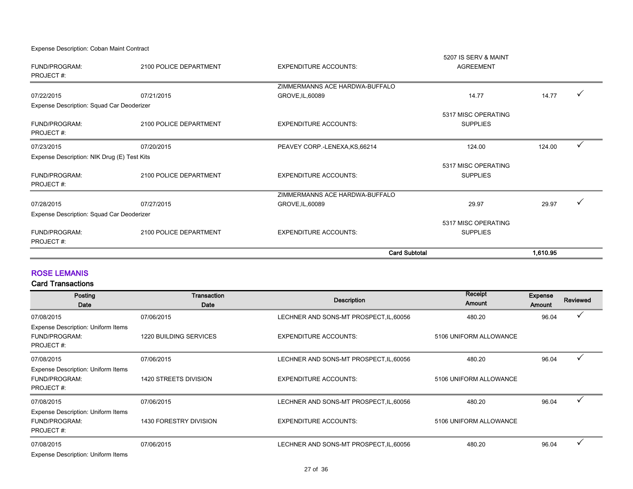Expense Description: Coban Maint Contract

|                                             |                        | <b>Card Subtotal</b>                               |                                        | 1,610.95 |  |
|---------------------------------------------|------------------------|----------------------------------------------------|----------------------------------------|----------|--|
| PROJECT#:                                   |                        |                                                    |                                        |          |  |
| <b>FUND/PROGRAM:</b>                        | 2100 POLICE DEPARTMENT | <b>EXPENDITURE ACCOUNTS:</b>                       | <b>SUPPLIES</b>                        |          |  |
|                                             |                        |                                                    | 5317 MISC OPERATING                    |          |  |
| Expense Description: Squad Car Deoderizer   |                        |                                                    |                                        |          |  |
| 07/28/2015                                  | 07/27/2015             | ZIMMERMANNS ACE HARDWA-BUFFALO<br>GROVE, IL, 60089 | 29.97                                  | 29.97    |  |
| PROJECT#:                                   |                        |                                                    |                                        |          |  |
| FUND/PROGRAM:                               | 2100 POLICE DEPARTMENT | <b>EXPENDITURE ACCOUNTS:</b>                       | 5317 MISC OPERATING<br><b>SUPPLIES</b> |          |  |
| Expense Description: NIK Drug (E) Test Kits |                        |                                                    |                                        |          |  |
| 07/23/2015                                  | 07/20/2015             | PEAVEY CORP.-LENEXA, KS, 66214                     | 124.00                                 | 124.00   |  |
| PROJECT#:                                   |                        |                                                    |                                        |          |  |
| <b>FUND/PROGRAM:</b>                        | 2100 POLICE DEPARTMENT | <b>EXPENDITURE ACCOUNTS:</b>                       | <b>SUPPLIES</b>                        |          |  |
| Expense Description: Squad Car Deoderizer   |                        |                                                    | 5317 MISC OPERATING                    |          |  |
| 07/22/2015                                  | 07/21/2015             | GROVE, IL, 60089                                   | 14.77                                  | 14.77    |  |
|                                             |                        | ZIMMERMANNS ACE HARDWA-BUFFALO                     |                                        |          |  |
| PROJECT#:                                   |                        |                                                    |                                        |          |  |
| FUND/PROGRAM:                               | 2100 POLICE DEPARTMENT | <b>EXPENDITURE ACCOUNTS:</b>                       | <b>AGREEMENT</b>                       |          |  |
|                                             |                        |                                                    | 5207 IS SERV & MAINT                   |          |  |

#### ROSE LEMANIS

| Posting<br>Date                                                         | Transaction<br>Date    | <b>Description</b>                      | Receipt<br><b>Amount</b> | <b>Expense</b><br>Amount | Reviewed |
|-------------------------------------------------------------------------|------------------------|-----------------------------------------|--------------------------|--------------------------|----------|
| 07/08/2015                                                              | 07/06/2015             | LECHNER AND SONS-MT PROSPECT, IL, 60056 | 480.20                   | 96.04                    |          |
| Expense Description: Uniform Items<br>FUND/PROGRAM:<br>PROJECT#:        | 1220 BUILDING SERVICES | <b>EXPENDITURE ACCOUNTS:</b>            | 5106 UNIFORM ALLOWANCE   |                          |          |
| 07/08/2015                                                              | 07/06/2015             | LECHNER AND SONS-MT PROSPECT, IL, 60056 | 480.20                   | 96.04                    | √        |
| Expense Description: Uniform Items<br>FUND/PROGRAM:<br>PROJECT#:        | 1420 STREETS DIVISION  | <b>EXPENDITURE ACCOUNTS:</b>            | 5106 UNIFORM ALLOWANCE   |                          |          |
| 07/08/2015                                                              | 07/06/2015             | LECHNER AND SONS-MT PROSPECT, IL, 60056 | 480.20                   | 96.04                    |          |
| Expense Description: Uniform Items<br><b>FUND/PROGRAM:</b><br>PROJECT#: | 1430 FORESTRY DIVISION | <b>EXPENDITURE ACCOUNTS:</b>            | 5106 UNIFORM ALLOWANCE   |                          |          |
| 07/08/2015<br>Expense Description: Uniform Items                        | 07/06/2015             | LECHNER AND SONS-MT PROSPECT, IL, 60056 | 480.20                   | 96.04                    | $\cdot$  |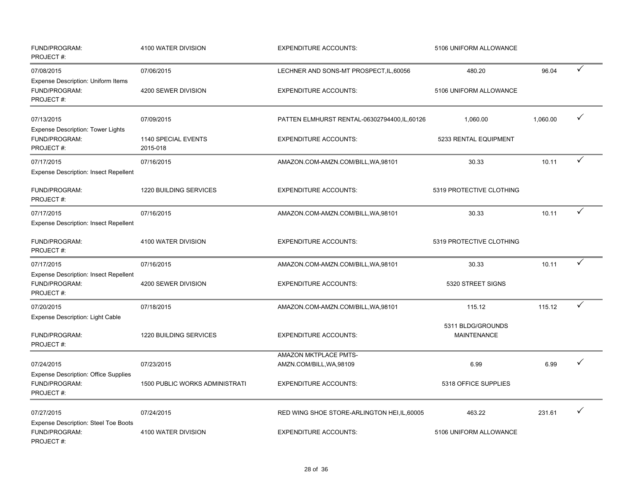| FUND/PROGRAM:<br>PROJECT#:                                                 | 4100 WATER DIVISION             | <b>EXPENDITURE ACCOUNTS:</b><br>5106 UNIFORM ALLOWANCE |                                         |          |              |
|----------------------------------------------------------------------------|---------------------------------|--------------------------------------------------------|-----------------------------------------|----------|--------------|
| 07/08/2015<br><b>Expense Description: Uniform Items</b>                    | 07/06/2015                      | LECHNER AND SONS-MT PROSPECT, IL, 60056                | 480.20                                  | 96.04    | ✓            |
| FUND/PROGRAM:<br>PROJECT#:                                                 | 4200 SEWER DIVISION             | <b>EXPENDITURE ACCOUNTS:</b>                           | 5106 UNIFORM ALLOWANCE                  |          |              |
| 07/13/2015                                                                 | 07/09/2015                      | PATTEN ELMHURST RENTAL-06302794400,IL,60126            | 1,060.00                                | 1,060.00 |              |
| <b>Expense Description: Tower Lights</b><br>FUND/PROGRAM:<br>PROJECT#:     | 1140 SPECIAL EVENTS<br>2015-018 | <b>EXPENDITURE ACCOUNTS:</b>                           | 5233 RENTAL EQUIPMENT                   |          |              |
| 07/17/2015<br><b>Expense Description: Insect Repellent</b>                 | 07/16/2015                      | AMAZON.COM-AMZN.COM/BILL, WA, 98101                    | 30.33                                   | 10.11    | $\checkmark$ |
| FUND/PROGRAM:<br>PROJECT#:                                                 | 1220 BUILDING SERVICES          | <b>EXPENDITURE ACCOUNTS:</b>                           | 5319 PROTECTIVE CLOTHING                |          |              |
| 07/17/2015<br><b>Expense Description: Insect Repellent</b>                 | 07/16/2015                      | AMAZON.COM-AMZN.COM/BILL, WA, 98101                    | 30.33                                   | 10.11    | $\checkmark$ |
| FUND/PROGRAM:<br>PROJECT#:                                                 | 4100 WATER DIVISION             | <b>EXPENDITURE ACCOUNTS:</b>                           | 5319 PROTECTIVE CLOTHING                |          |              |
| 07/17/2015                                                                 | 07/16/2015                      | AMAZON.COM-AMZN.COM/BILL, WA, 98101                    | 30.33                                   | 10.11    | ✓            |
| <b>Expense Description: Insect Repellent</b><br>FUND/PROGRAM:<br>PROJECT#: | 4200 SEWER DIVISION             | <b>EXPENDITURE ACCOUNTS:</b>                           | 5320 STREET SIGNS                       |          |              |
| 07/20/2015                                                                 | 07/18/2015                      | AMAZON.COM-AMZN.COM/BILL, WA, 98101                    | 115.12                                  | 115.12   | $\checkmark$ |
| Expense Description: Light Cable<br>FUND/PROGRAM:<br>PROJECT#:             | 1220 BUILDING SERVICES          | <b>EXPENDITURE ACCOUNTS:</b>                           | 5311 BLDG/GROUNDS<br><b>MAINTENANCE</b> |          |              |
| 07/24/2015                                                                 | 07/23/2015                      | AMAZON MKTPLACE PMTS-<br>AMZN.COM/BILL, WA, 98109      | 6.99                                    | 6.99     |              |
| <b>Expense Description: Office Supplies</b><br>FUND/PROGRAM:<br>PROJECT#:  | 1500 PUBLIC WORKS ADMINISTRATI  | <b>EXPENDITURE ACCOUNTS:</b>                           | 5318 OFFICE SUPPLIES                    |          |              |
| 07/27/2015                                                                 | 07/24/2015                      | RED WING SHOE STORE-ARLINGTON HEI, IL, 60005           | 463.22                                  | 231.61   | $\checkmark$ |
| <b>Expense Description: Steel Toe Boots</b><br>FUND/PROGRAM:<br>PROJECT#:  | 4100 WATER DIVISION             | <b>EXPENDITURE ACCOUNTS:</b>                           | 5106 UNIFORM ALLOWANCE                  |          |              |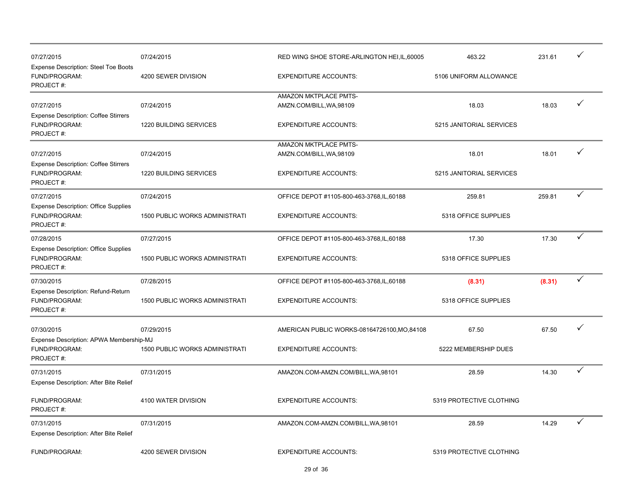| 07/27/2015                                                                | 07/24/2015                            | RED WING SHOE STORE-ARLINGTON HEI, IL, 60005 | 463.22                   | 231.61 | ✓            |
|---------------------------------------------------------------------------|---------------------------------------|----------------------------------------------|--------------------------|--------|--------------|
| <b>Expense Description: Steel Toe Boots</b><br>FUND/PROGRAM:<br>PROJECT#: | 4200 SEWER DIVISION                   | <b>EXPENDITURE ACCOUNTS:</b>                 | 5106 UNIFORM ALLOWANCE   |        |              |
|                                                                           |                                       | AMAZON MKTPLACE PMTS-                        |                          |        |              |
| 07/27/2015                                                                | 07/24/2015                            | AMZN.COM/BILL, WA, 98109                     | 18.03                    | 18.03  | ✓            |
| <b>Expense Description: Coffee Stirrers</b><br>FUND/PROGRAM:<br>PROJECT#: | 1220 BUILDING SERVICES                | <b>EXPENDITURE ACCOUNTS:</b>                 | 5215 JANITORIAL SERVICES |        |              |
|                                                                           |                                       | AMAZON MKTPLACE PMTS-                        |                          |        |              |
| 07/27/2015                                                                | 07/24/2015                            | AMZN.COM/BILL, WA, 98109                     | 18.01                    | 18.01  |              |
| <b>Expense Description: Coffee Stirrers</b><br>FUND/PROGRAM:<br>PROJECT#: | 1220 BUILDING SERVICES                | <b>EXPENDITURE ACCOUNTS:</b>                 | 5215 JANITORIAL SERVICES |        |              |
| 07/27/2015                                                                | 07/24/2015                            | OFFICE DEPOT #1105-800-463-3768, IL, 60188   | 259.81                   | 259.81 | ✓            |
| <b>Expense Description: Office Supplies</b><br>FUND/PROGRAM:<br>PROJECT#: | 1500 PUBLIC WORKS ADMINISTRATI        | <b>EXPENDITURE ACCOUNTS:</b>                 | 5318 OFFICE SUPPLIES     |        |              |
| 07/28/2015                                                                | 07/27/2015                            | OFFICE DEPOT #1105-800-463-3768, IL, 60188   | 17.30                    | 17.30  | ✓            |
| <b>Expense Description: Office Supplies</b><br>FUND/PROGRAM:<br>PROJECT#: | 1500 PUBLIC WORKS ADMINISTRATI        | <b>EXPENDITURE ACCOUNTS:</b>                 | 5318 OFFICE SUPPLIES     |        |              |
| 07/30/2015                                                                | 07/28/2015                            | OFFICE DEPOT #1105-800-463-3768, IL, 60188   | (8.31)                   | (8.31) | $\checkmark$ |
| Expense Description: Refund-Return<br>FUND/PROGRAM:<br>PROJECT#:          | <b>1500 PUBLIC WORKS ADMINISTRATI</b> | <b>EXPENDITURE ACCOUNTS:</b>                 | 5318 OFFICE SUPPLIES     |        |              |
| 07/30/2015                                                                | 07/29/2015                            | AMERICAN PUBLIC WORKS-08164726100, MO, 84108 | 67.50                    | 67.50  | ✓            |
| Expense Description: APWA Membership-MJ<br>FUND/PROGRAM:<br>PROJECT#:     | <b>1500 PUBLIC WORKS ADMINISTRATI</b> | <b>EXPENDITURE ACCOUNTS:</b>                 | 5222 MEMBERSHIP DUES     |        |              |
| 07/31/2015<br>Expense Description: After Bite Relief                      | 07/31/2015                            | AMAZON.COM-AMZN.COM/BILL, WA, 98101          | 28.59                    | 14.30  | ✓            |
| FUND/PROGRAM:<br>PROJECT#:                                                | 4100 WATER DIVISION                   | <b>EXPENDITURE ACCOUNTS:</b>                 | 5319 PROTECTIVE CLOTHING |        |              |
| 07/31/2015                                                                | 07/31/2015                            | AMAZON.COM-AMZN.COM/BILL, WA, 98101          | 28.59                    | 14.29  | ✓            |
| Expense Description: After Bite Relief                                    |                                       |                                              |                          |        |              |
| FUND/PROGRAM:                                                             | 4200 SEWER DIVISION                   | <b>EXPENDITURE ACCOUNTS:</b>                 | 5319 PROTECTIVE CLOTHING |        |              |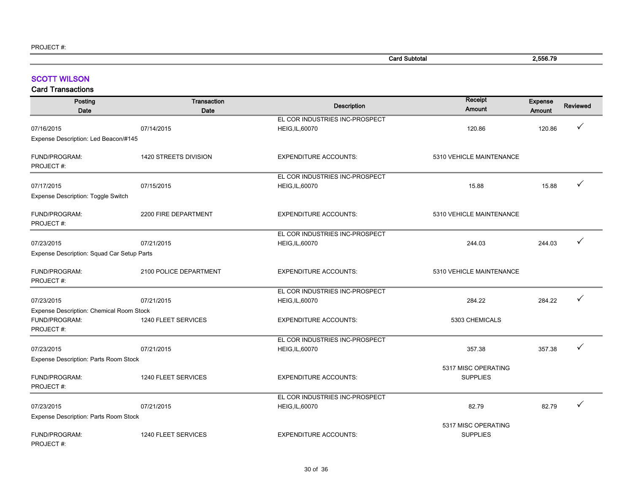| <b>Card Subtotal</b> | 2.556.79<br>. |
|----------------------|---------------|
|                      |               |

#### SCOTT WILSON

| Posting<br><b>Date</b>                     | Transaction<br>Date    | <b>Description</b>             | Receipt<br>Amount                      | Expense<br><b>Amount</b> | Reviewed     |
|--------------------------------------------|------------------------|--------------------------------|----------------------------------------|--------------------------|--------------|
|                                            |                        | EL COR INDUSTRIES INC-PROSPECT |                                        |                          |              |
| 07/16/2015                                 | 07/14/2015             | <b>HEIG, IL, 60070</b>         | 120.86                                 | 120.86                   | ✓            |
| Expense Description: Led Beacon/#145       |                        |                                |                                        |                          |              |
| FUND/PROGRAM:<br>PROJECT#:                 | 1420 STREETS DIVISION  | <b>EXPENDITURE ACCOUNTS:</b>   | 5310 VEHICLE MAINTENANCE               |                          |              |
|                                            |                        | EL COR INDUSTRIES INC-PROSPECT |                                        |                          |              |
| 07/17/2015                                 | 07/15/2015             | HEIG, IL, 60070                | 15.88                                  | 15.88                    |              |
| <b>Expense Description: Toggle Switch</b>  |                        |                                |                                        |                          |              |
| FUND/PROGRAM:<br>PROJECT#:                 | 2200 FIRE DEPARTMENT   | <b>EXPENDITURE ACCOUNTS:</b>   | 5310 VEHICLE MAINTENANCE               |                          |              |
|                                            |                        | EL COR INDUSTRIES INC-PROSPECT |                                        |                          |              |
| 07/23/2015                                 | 07/21/2015             | <b>HEIG, IL, 60070</b>         | 244.03                                 | 244.03                   |              |
| Expense Description: Squad Car Setup Parts |                        |                                |                                        |                          |              |
| FUND/PROGRAM:<br>PROJECT#:                 | 2100 POLICE DEPARTMENT | <b>EXPENDITURE ACCOUNTS:</b>   | 5310 VEHICLE MAINTENANCE               |                          |              |
|                                            |                        | EL COR INDUSTRIES INC-PROSPECT |                                        |                          |              |
| 07/23/2015                                 | 07/21/2015             | HEIG, IL, 60070                | 284.22                                 | 284.22                   | ✓            |
| Expense Description: Chemical Room Stock   |                        |                                |                                        |                          |              |
| FUND/PROGRAM:<br>PROJECT#:                 | 1240 FLEET SERVICES    | <b>EXPENDITURE ACCOUNTS:</b>   | 5303 CHEMICALS                         |                          |              |
|                                            |                        | EL COR INDUSTRIES INC-PROSPECT |                                        |                          |              |
| 07/23/2015                                 | 07/21/2015             | HEIG, IL, 60070                | 357.38                                 | 357.38                   | $\checkmark$ |
| Expense Description: Parts Room Stock      |                        |                                |                                        |                          |              |
| FUND/PROGRAM:<br>PROJECT#:                 | 1240 FLEET SERVICES    | <b>EXPENDITURE ACCOUNTS:</b>   | 5317 MISC OPERATING<br><b>SUPPLIES</b> |                          |              |
|                                            |                        | EL COR INDUSTRIES INC-PROSPECT |                                        |                          |              |
| 07/23/2015                                 | 07/21/2015             | <b>HEIG, IL, 60070</b>         | 82.79                                  | 82.79                    | $\checkmark$ |
| Expense Description: Parts Room Stock      |                        |                                |                                        |                          |              |
| FUND/PROGRAM:<br>PROJECT#:                 | 1240 FLEET SERVICES    | <b>EXPENDITURE ACCOUNTS:</b>   | 5317 MISC OPERATING<br><b>SUPPLIES</b> |                          |              |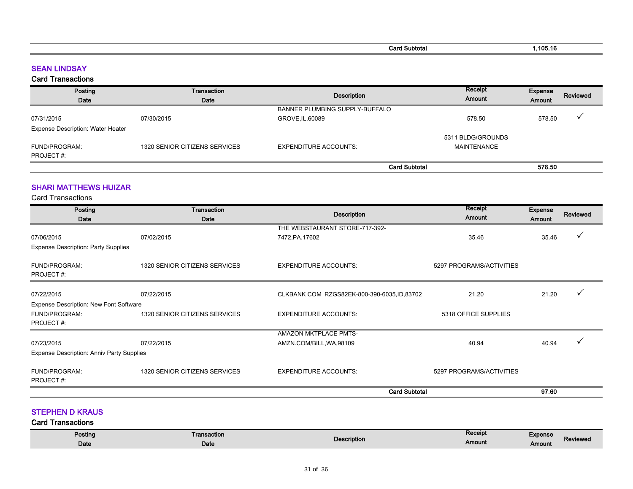| Subtotal<br>∹aro | .105.16 |
|------------------|---------|
|                  |         |

#### SEAN LINDSAY

#### Card Transactions

| Posting                                  | Transaction                   |                                | Receipt            | Expense | Reviewed                |
|------------------------------------------|-------------------------------|--------------------------------|--------------------|---------|-------------------------|
| Date                                     | Date                          | <b>Description</b>             | Amount             | Amount  |                         |
|                                          |                               | BANNER PLUMBING SUPPLY-BUFFALO |                    |         |                         |
| 07/31/2015                               | 07/30/2015                    | GROVE, IL, 60089               | 578.50             | 578.50  | $\overline{\mathbf{v}}$ |
| <b>Expense Description: Water Heater</b> |                               |                                |                    |         |                         |
|                                          |                               |                                | 5311 BLDG/GROUNDS  |         |                         |
| FUND/PROGRAM:                            | 1320 SENIOR CITIZENS SERVICES | <b>EXPENDITURE ACCOUNTS:</b>   | <b>MAINTENANCE</b> |         |                         |
| PROJECT#:                                |                               |                                |                    |         |                         |
|                                          |                               | <b>Card Subtotal</b>           |                    | 578.50  |                         |

#### SHARI MATTHEWS HUIZAR

Card Transactions

| Posting                                          | Transaction                   | Receipt                                    |                          | Expense |                 |
|--------------------------------------------------|-------------------------------|--------------------------------------------|--------------------------|---------|-----------------|
| Date                                             | Date                          | <b>Description</b>                         | Amount                   | Amount  | <b>Reviewed</b> |
|                                                  |                               | THE WEBSTAURANT STORE-717-392-             |                          |         |                 |
| 07/06/2015                                       | 07/02/2015                    | 7472, PA, 17602                            | 35.46                    | 35.46   |                 |
| <b>Expense Description: Party Supplies</b>       |                               |                                            |                          |         |                 |
| FUND/PROGRAM:<br>PROJECT#:                       | 1320 SENIOR CITIZENS SERVICES | <b>EXPENDITURE ACCOUNTS:</b>               | 5297 PROGRAMS/ACTIVITIES |         |                 |
| 07/22/2015                                       | 07/22/2015                    | CLKBANK COM_RZGS82EK-800-390-6035,ID,83702 | 21.20                    | 21.20   |                 |
| Expense Description: New Font Software           |                               |                                            |                          |         |                 |
| FUND/PROGRAM:                                    | 1320 SENIOR CITIZENS SERVICES | <b>EXPENDITURE ACCOUNTS:</b>               | 5318 OFFICE SUPPLIES     |         |                 |
| PROJECT#:                                        |                               |                                            |                          |         |                 |
|                                                  |                               | AMAZON MKTPLACE PMTS-                      |                          |         |                 |
| 07/23/2015                                       | 07/22/2015                    | AMZN.COM/BILL, WA, 98109                   | 40.94                    | 40.94   |                 |
| <b>Expense Description: Anniv Party Supplies</b> |                               |                                            |                          |         |                 |
| FUND/PROGRAM:<br>PROJECT#:                       | 1320 SENIOR CITIZENS SERVICES | <b>EXPENDITURE ACCOUNTS:</b>               | 5297 PROGRAMS/ACTIVITIES |         |                 |
|                                                  |                               | <b>Card Subtotal</b>                       |                          | 97.60   |                 |
|                                                  |                               |                                            |                          |         |                 |

STEPHEN D KRAUS

| Posting<br>Date | insaction<br>- 11<br>Date | <b>Description</b> | Receipt<br>Amount | <b>Expense</b><br>Amount | Reviewed |
|-----------------|---------------------------|--------------------|-------------------|--------------------------|----------|
|                 |                           |                    |                   |                          |          |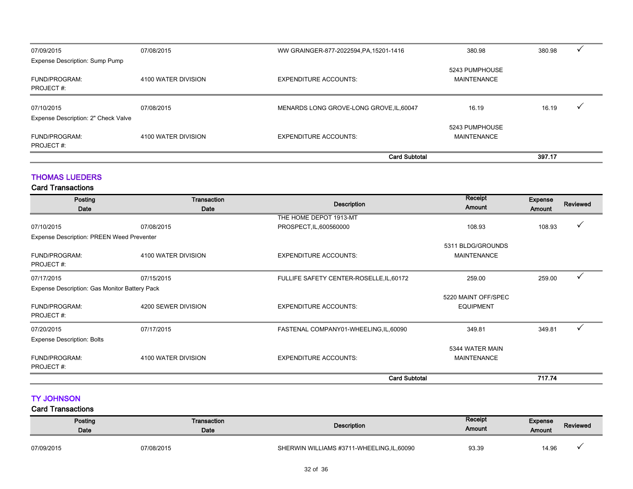| 07/09/2015                                        | 07/08/2015          | WW GRAINGER-877-2022594, PA, 15201-1416  | 380.98                               | 380.98 |  |
|---------------------------------------------------|---------------------|------------------------------------------|--------------------------------------|--------|--|
| Expense Description: Sump Pump                    |                     |                                          |                                      |        |  |
| FUND/PROGRAM:<br>PROJECT#:                        | 4100 WATER DIVISION | <b>EXPENDITURE ACCOUNTS:</b>             | 5243 PUMPHOUSE<br><b>MAINTENANCE</b> |        |  |
| 07/10/2015<br>Expense Description: 2" Check Valve | 07/08/2015          | MENARDS LONG GROVE-LONG GROVE, IL, 60047 | 16.19                                | 16.19  |  |
| FUND/PROGRAM:<br>PROJECT#:                        | 4100 WATER DIVISION | <b>EXPENDITURE ACCOUNTS:</b>             | 5243 PUMPHOUSE<br><b>MAINTENANCE</b> |        |  |
|                                                   |                     | <b>Card Subtotal</b>                     |                                      | 397.17 |  |

#### THOMAS LUEDERS

Card Transactions

| Posting                                          | Transaction         |                                          | Receipt                                 | Expense       |                 |
|--------------------------------------------------|---------------------|------------------------------------------|-----------------------------------------|---------------|-----------------|
| Date                                             | Date                | <b>Description</b>                       | Amount                                  | <b>Amount</b> | <b>Reviewed</b> |
|                                                  |                     | THE HOME DEPOT 1913-MT                   |                                         |               |                 |
| 07/10/2015                                       | 07/08/2015          | PROSPECT, IL, 600560000                  | 108.93                                  | 108.93        |                 |
| <b>Expense Description: PREEN Weed Preventer</b> |                     |                                          |                                         |               |                 |
| FUND/PROGRAM:<br>PROJECT#:                       | 4100 WATER DIVISION | <b>EXPENDITURE ACCOUNTS:</b>             | 5311 BLDG/GROUNDS<br><b>MAINTENANCE</b> |               |                 |
| 07/17/2015                                       | 07/15/2015          | FULLIFE SAFETY CENTER-ROSELLE, IL, 60172 | 259.00                                  | 259.00        |                 |
| Expense Description: Gas Monitor Battery Pack    |                     |                                          |                                         |               |                 |
| <b>FUND/PROGRAM:</b><br>PROJECT#:                | 4200 SEWER DIVISION | <b>EXPENDITURE ACCOUNTS:</b>             | 5220 MAINT OFF/SPEC<br><b>EQUIPMENT</b> |               |                 |
| 07/20/2015                                       | 07/17/2015          | FASTENAL COMPANY01-WHEELING,IL,60090     | 349.81                                  | 349.81        | ✓               |
| <b>Expense Description: Bolts</b>                |                     |                                          |                                         |               |                 |
| <b>FUND/PROGRAM:</b><br>PROJECT#:                | 4100 WATER DIVISION | <b>EXPENDITURE ACCOUNTS:</b>             | 5344 WATER MAIN<br><b>MAINTENANCE</b>   |               |                 |
|                                                  |                     | <b>Card Subtotal</b>                     |                                         | 717.74        |                 |

#### TY JOHNSON

| Posting<br>Date | Transaction<br>Date | <b>Description</b>                         | Receipt<br>Amount | <b>Expense</b><br>Amount | <b>Reviewed</b> |
|-----------------|---------------------|--------------------------------------------|-------------------|--------------------------|-----------------|
| 07/09/2015      | 07/08/2015          | SHERWIN WILLIAMS #3711-WHEELING, IL, 60090 | 93.39             | 14.96                    |                 |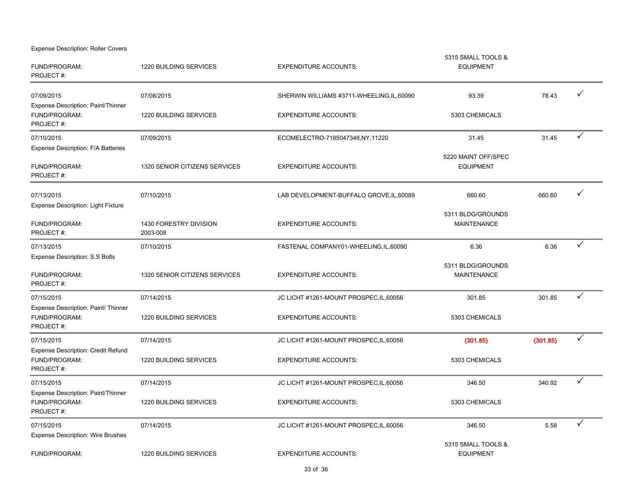Expense Description: Roller Covers

| FUND/PROGRAM:<br>PROJECT#:                                              | <b>1220 BUILDING SERVICES</b>      | <b>EXPENDITURE ACCOUNTS:</b>               | 5315 SMALL TOOLS &<br><b>EQUIPMENT</b>  |          |              |
|-------------------------------------------------------------------------|------------------------------------|--------------------------------------------|-----------------------------------------|----------|--------------|
| 07/09/2015<br>Expense Description: Paint/Thinner                        | 07/08/2015                         | SHERWIN WILLIAMS #3711-WHEELING, IL, 60090 | 93.39                                   | 78.43    | ✓            |
| FUND/PROGRAM:<br>PROJECT#:                                              | 1220 BUILDING SERVICES             | <b>EXPENDITURE ACCOUNTS:</b>               | 5303 CHEMICALS                          |          |              |
| 07/10/2015<br>Expense Description: F/A Batteries                        | 07/09/2015                         | ECOMELECTRO-7185047348,NY,11220            | 31.45                                   | 31.45    | $\checkmark$ |
| FUND/PROGRAM:<br>PROJECT#:                                              | 1320 SENIOR CITIZENS SERVICES      | <b>EXPENDITURE ACCOUNTS:</b>               | 5220 MAINT OFF/SPEC<br><b>EQUIPMENT</b> |          |              |
| 07/13/2015                                                              | 07/10/2015                         | LAB DEVELOPMENT-BUFFALO GROVE, IL, 60089   | 660.60                                  | 660.60   |              |
| <b>Expense Description: Light Fixture</b><br>FUND/PROGRAM:<br>PROJECT#: | 1430 FORESTRY DIVISION<br>2003-008 | <b>EXPENDITURE ACCOUNTS:</b>               | 5311 BLDG/GROUNDS<br><b>MAINTENANCE</b> |          |              |
| 07/13/2015                                                              | 07/10/2015                         | FASTENAL COMPANY01-WHEELING,IL,60090       | 6.36                                    | 6.36     | $\checkmark$ |
| <b>Expense Description: S.S Bolts</b><br>FUND/PROGRAM:<br>PROJECT#:     | 1320 SENIOR CITIZENS SERVICES      | <b>EXPENDITURE ACCOUNTS:</b>               | 5311 BLDG/GROUNDS<br><b>MAINTENANCE</b> |          |              |
| 07/15/2015                                                              | 07/14/2015                         | JC LICHT #1261-MOUNT PROSPEC, IL, 60056    | 301.85                                  | 301.85   | $\checkmark$ |
| Expense Description: Paint/ Thinner<br>FUND/PROGRAM:<br>PROJECT#:       | 1220 BUILDING SERVICES             | <b>EXPENDITURE ACCOUNTS:</b>               | 5303 CHEMICALS                          |          |              |
| 07/15/2015                                                              | 07/14/2015                         | JC LICHT #1261-MOUNT PROSPEC, IL, 60056    | (301.85)                                | (301.85) | $\checkmark$ |
| <b>Expense Description: Credit Refund</b><br>FUND/PROGRAM:<br>PROJECT#: | 1220 BUILDING SERVICES             | <b>EXPENDITURE ACCOUNTS:</b>               | 5303 CHEMICALS                          |          |              |
| 07/15/2015                                                              | 07/14/2015                         | JC LICHT #1261-MOUNT PROSPEC, IL, 60056    | 346.50                                  | 340.92   | ✓            |
| Expense Description: Paint/Thinner<br>FUND/PROGRAM:<br>PROJECT#:        | 1220 BUILDING SERVICES             | <b>EXPENDITURE ACCOUNTS:</b>               | 5303 CHEMICALS                          |          |              |
| 07/15/2015                                                              | 07/14/2015                         | JC LICHT #1261-MOUNT PROSPEC, IL, 60056    | 346.50                                  | 5.58     |              |
| <b>Expense Description: Wire Brushes</b><br>FUND/PROGRAM:               | <b>1220 BUILDING SERVICES</b>      | <b>EXPENDITURE ACCOUNTS:</b>               | 5315 SMALL TOOLS &<br><b>EQUIPMENT</b>  |          |              |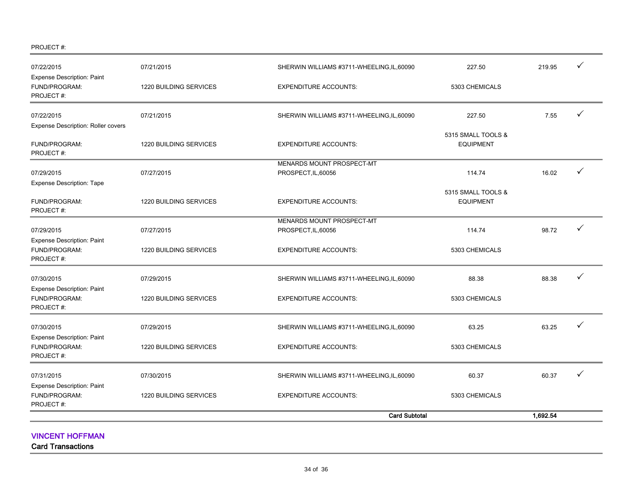PROJECT #:

| 07/22/2015                                                      | 07/21/2015                    | SHERWIN WILLIAMS #3711-WHEELING, IL, 60090 | 227.50                                 | 219.95   | ✓ |
|-----------------------------------------------------------------|-------------------------------|--------------------------------------------|----------------------------------------|----------|---|
| <b>Expense Description: Paint</b><br>FUND/PROGRAM:<br>PROJECT#: | 1220 BUILDING SERVICES        | <b>EXPENDITURE ACCOUNTS:</b>               | 5303 CHEMICALS                         |          |   |
| 07/22/2015                                                      | 07/21/2015                    | SHERWIN WILLIAMS #3711-WHEELING, IL, 60090 | 227.50                                 | 7.55     | ✓ |
| Expense Description: Roller covers                              |                               |                                            |                                        |          |   |
| FUND/PROGRAM:<br>PROJECT#:                                      | 1220 BUILDING SERVICES        | <b>EXPENDITURE ACCOUNTS:</b>               | 5315 SMALL TOOLS &<br><b>EQUIPMENT</b> |          |   |
|                                                                 |                               | MENARDS MOUNT PROSPECT-MT                  |                                        |          |   |
| 07/29/2015                                                      | 07/27/2015                    | PROSPECT, IL, 60056                        | 114.74                                 | 16.02    | ✓ |
| <b>Expense Description: Tape</b><br>FUND/PROGRAM:               | 1220 BUILDING SERVICES        | <b>EXPENDITURE ACCOUNTS:</b>               | 5315 SMALL TOOLS &<br><b>EQUIPMENT</b> |          |   |
| PROJECT#:                                                       |                               |                                            |                                        |          |   |
|                                                                 |                               | MENARDS MOUNT PROSPECT-MT                  |                                        |          |   |
| 07/29/2015                                                      | 07/27/2015                    | PROSPECT, IL, 60056                        | 114.74                                 | 98.72    |   |
| <b>Expense Description: Paint</b><br>FUND/PROGRAM:<br>PROJECT#: | <b>1220 BUILDING SERVICES</b> | <b>EXPENDITURE ACCOUNTS:</b>               | 5303 CHEMICALS                         |          |   |
| 07/30/2015                                                      | 07/29/2015                    | SHERWIN WILLIAMS #3711-WHEELING,IL,60090   | 88.38                                  | 88.38    |   |
| Expense Description: Paint<br>FUND/PROGRAM:<br>PROJECT#:        | <b>1220 BUILDING SERVICES</b> | <b>EXPENDITURE ACCOUNTS:</b>               | 5303 CHEMICALS                         |          |   |
| 07/30/2015                                                      | 07/29/2015                    | SHERWIN WILLIAMS #3711-WHEELING, IL, 60090 | 63.25                                  | 63.25    |   |
| <b>Expense Description: Paint</b><br>FUND/PROGRAM:<br>PROJECT#: | 1220 BUILDING SERVICES        | <b>EXPENDITURE ACCOUNTS:</b>               | 5303 CHEMICALS                         |          |   |
| 07/31/2015                                                      | 07/30/2015                    | SHERWIN WILLIAMS #3711-WHEELING, IL, 60090 | 60.37                                  | 60.37    |   |
| <b>Expense Description: Paint</b><br>FUND/PROGRAM:<br>PROJECT#: | 1220 BUILDING SERVICES        | <b>EXPENDITURE ACCOUNTS:</b>               | 5303 CHEMICALS                         |          |   |
|                                                                 |                               | <b>Card Subtotal</b>                       |                                        | 1.692.54 |   |

VINCENT HOFFMAN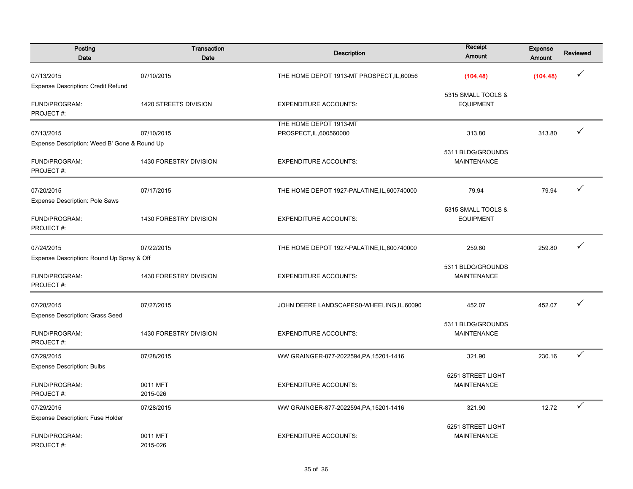| Posting<br>Date                              | Transaction<br>Date    | <b>Description</b>                          | Receipt<br><b>Amount</b>                | <b>Expense</b><br>Amount | <b>Reviewed</b> |
|----------------------------------------------|------------------------|---------------------------------------------|-----------------------------------------|--------------------------|-----------------|
| 07/13/2015                                   | 07/10/2015             | THE HOME DEPOT 1913-MT PROSPECT, IL, 60056  | (104.48)                                | (104.48)                 |                 |
| Expense Description: Credit Refund           |                        |                                             |                                         |                          |                 |
| FUND/PROGRAM:<br>PROJECT#:                   | 1420 STREETS DIVISION  | <b>EXPENDITURE ACCOUNTS:</b>                | 5315 SMALL TOOLS &<br><b>EQUIPMENT</b>  |                          |                 |
|                                              |                        | THE HOME DEPOT 1913-MT                      |                                         |                          |                 |
| 07/13/2015                                   | 07/10/2015             | PROSPECT, IL, 600560000                     | 313.80                                  | 313.80                   | $\checkmark$    |
| Expense Description: Weed B' Gone & Round Up |                        |                                             |                                         |                          |                 |
| FUND/PROGRAM:<br>PROJECT#:                   | 1430 FORESTRY DIVISION | <b>EXPENDITURE ACCOUNTS:</b>                | 5311 BLDG/GROUNDS<br><b>MAINTENANCE</b> |                          |                 |
| 07/20/2015                                   | 07/17/2015             | THE HOME DEPOT 1927-PALATINE, IL, 600740000 | 79.94                                   | 79.94                    | ✓               |
| <b>Expense Description: Pole Saws</b>        |                        |                                             |                                         |                          |                 |
| FUND/PROGRAM:<br>PROJECT#:                   | 1430 FORESTRY DIVISION | <b>EXPENDITURE ACCOUNTS:</b>                | 5315 SMALL TOOLS &<br><b>EQUIPMENT</b>  |                          |                 |
| 07/24/2015                                   | 07/22/2015             | THE HOME DEPOT 1927-PALATINE, IL, 600740000 | 259.80                                  | 259.80                   | ✓               |
| Expense Description: Round Up Spray & Off    |                        |                                             |                                         |                          |                 |
| FUND/PROGRAM:<br>PROJECT#:                   | 1430 FORESTRY DIVISION | <b>EXPENDITURE ACCOUNTS:</b>                | 5311 BLDG/GROUNDS<br><b>MAINTENANCE</b> |                          |                 |
| 07/28/2015                                   | 07/27/2015             | JOHN DEERE LANDSCAPES0-WHEELING, IL, 60090  | 452.07                                  | 452.07                   | ✓               |
| <b>Expense Description: Grass Seed</b>       |                        |                                             |                                         |                          |                 |
| FUND/PROGRAM:<br>PROJECT#:                   | 1430 FORESTRY DIVISION | <b>EXPENDITURE ACCOUNTS:</b>                | 5311 BLDG/GROUNDS<br><b>MAINTENANCE</b> |                          |                 |
| 07/29/2015                                   | 07/28/2015             | WW GRAINGER-877-2022594, PA, 15201-1416     | 321.90                                  | 230.16                   | ✓               |
| <b>Expense Description: Bulbs</b>            |                        |                                             |                                         |                          |                 |
| FUND/PROGRAM:                                | 0011 MFT               |                                             | 5251 STREET LIGHT                       |                          |                 |
| PROJECT#:                                    | 2015-026               | <b>EXPENDITURE ACCOUNTS:</b>                | <b>MAINTENANCE</b>                      |                          |                 |
| 07/29/2015                                   | 07/28/2015             | WW GRAINGER-877-2022594, PA, 15201-1416     | 321.90                                  | 12.72                    | ✓               |
| Expense Description: Fuse Holder             |                        |                                             |                                         |                          |                 |
| FUND/PROGRAM:<br>PROJECT#:                   | 0011 MFT<br>2015-026   | <b>EXPENDITURE ACCOUNTS:</b>                | 5251 STREET LIGHT<br><b>MAINTENANCE</b> |                          |                 |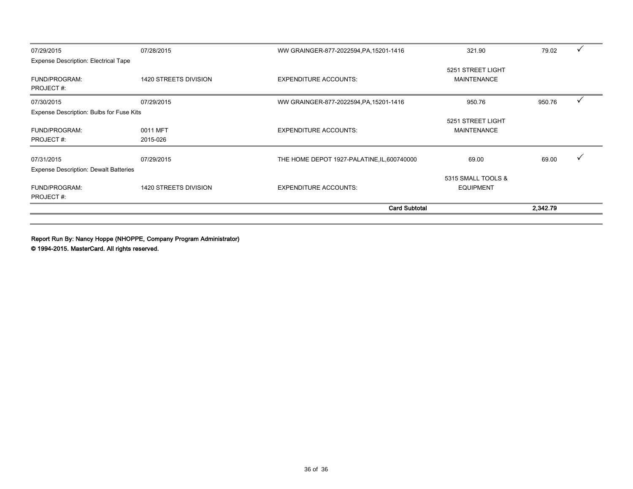| 07/29/2015                                   | 07/28/2015                   | WW GRAINGER-877-2022594, PA, 15201-1416     | 321.90                                  | 79.02    |  |
|----------------------------------------------|------------------------------|---------------------------------------------|-----------------------------------------|----------|--|
| Expense Description: Electrical Tape         |                              |                                             |                                         |          |  |
| <b>FUND/PROGRAM:</b><br>PROJECT#:            | 1420 STREETS DIVISION        | <b>EXPENDITURE ACCOUNTS:</b>                | 5251 STREET LIGHT<br><b>MAINTENANCE</b> |          |  |
| 07/30/2015                                   | 07/29/2015                   | WW GRAINGER-877-2022594, PA, 15201-1416     | 950.76                                  | 950.76   |  |
| Expense Description: Bulbs for Fuse Kits     |                              |                                             |                                         |          |  |
| <b>FUND/PROGRAM:</b><br>PROJECT#:            | 0011 MFT<br>2015-026         | <b>EXPENDITURE ACCOUNTS:</b>                | 5251 STREET LIGHT<br><b>MAINTENANCE</b> |          |  |
| 07/31/2015                                   | 07/29/2015                   | THE HOME DEPOT 1927-PALATINE, IL, 600740000 | 69.00                                   | 69.00    |  |
| <b>Expense Description: Dewalt Batteries</b> |                              |                                             |                                         |          |  |
| <b>FUND/PROGRAM:</b><br>PROJECT#:            | <b>1420 STREETS DIVISION</b> | <b>EXPENDITURE ACCOUNTS:</b>                | 5315 SMALL TOOLS &<br><b>EQUIPMENT</b>  |          |  |
|                                              |                              | <b>Card Subtotal</b>                        |                                         | 2,342.79 |  |

Report Run By: Nancy Hoppe (NHOPPE, Company Program Administrator)

© 1994-2015. MasterCard. All rights reserved.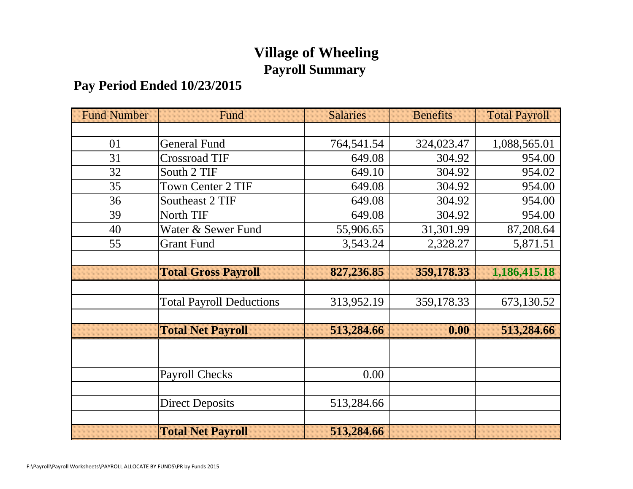# **Village of Wheeling Payroll Summary**

## **Pay Period Ended 10/23/2015**

| <b>Fund Number</b> | Fund                            | <b>Salaries</b> | <b>Benefits</b> | <b>Total Payroll</b> |
|--------------------|---------------------------------|-----------------|-----------------|----------------------|
|                    |                                 |                 |                 |                      |
| 01                 | <b>General Fund</b>             | 764,541.54      | 324,023.47      | 1,088,565.01         |
| 31                 | <b>Crossroad TIF</b>            | 649.08          | 304.92          | 954.00               |
| 32                 | South 2 TIF                     | 649.10          | 304.92          | 954.02               |
| 35                 | <b>Town Center 2 TIF</b>        | 649.08          | 304.92          | 954.00               |
| 36                 | Southeast 2 TIF                 | 649.08          | 304.92          | 954.00               |
| 39                 | North TIF                       | 649.08          | 304.92          | 954.00               |
| 40                 | Water & Sewer Fund              | 55,906.65       | 31,301.99       | 87,208.64            |
| 55                 | <b>Grant Fund</b>               | 3,543.24        | 2,328.27        | 5,871.51             |
|                    |                                 |                 |                 |                      |
|                    | <b>Total Gross Payroll</b>      | 827,236.85      | 359,178.33      | 1,186,415.18         |
|                    |                                 |                 |                 |                      |
|                    | <b>Total Payroll Deductions</b> | 313,952.19      | 359,178.33      | 673,130.52           |
|                    |                                 |                 |                 |                      |
|                    | <b>Total Net Payroll</b>        | 513,284.66      | 0.00            | 513,284.66           |
|                    |                                 |                 |                 |                      |
|                    |                                 |                 |                 |                      |
|                    | <b>Payroll Checks</b>           | 0.00            |                 |                      |
|                    |                                 |                 |                 |                      |
|                    | <b>Direct Deposits</b>          | 513,284.66      |                 |                      |
|                    |                                 |                 |                 |                      |
|                    | <b>Total Net Payroll</b>        | 513,284.66      |                 |                      |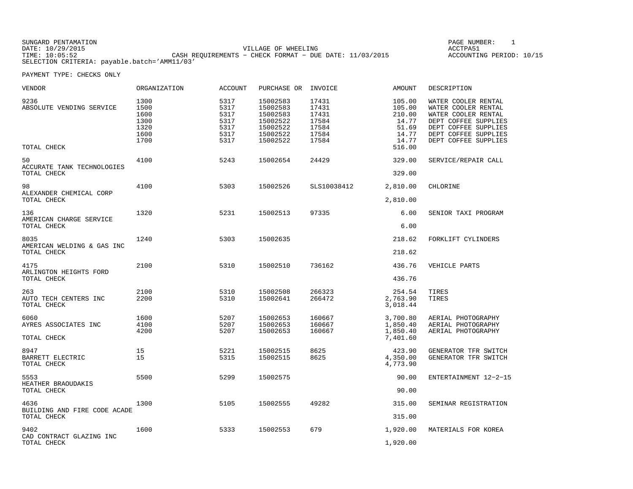SUNGARD PENTAMATION SUNGARD PENTAMATION SUNG PAGE NUMBER: 1 SUNGARD PENTAMATION SUNG PAGE NUMBER: 1 SUNG PAGE NUMBER: 1 SUNG PAGE NUMBER: 1 SUNG PAGE NUMBER: 1 SUNG PAGE NUMBER: 1 SUNG PAGE NUMBER: 1 SUNG PAGE NUMBER: 1 SU VILLAGE OF WHEELING **ACCTPA51** TIME: 10:05:52 CASH REQUIREMENTS − CHECK FORMAT − DUE DATE: 11/03/2015 SELECTION CRITERIA: payable.batch='AMM11/03'

ACCOUNTING PERIOD: 10/15

| VENDOR                                              | ORGANIZATION                                         | ACCOUNT                                              | PURCHASE OR INVOICE                                                              |                                                             | AMOUNT                                                                   | DESCRIPTION                                                                                                                                                       |
|-----------------------------------------------------|------------------------------------------------------|------------------------------------------------------|----------------------------------------------------------------------------------|-------------------------------------------------------------|--------------------------------------------------------------------------|-------------------------------------------------------------------------------------------------------------------------------------------------------------------|
| 9236<br>ABSOLUTE VENDING SERVICE<br>TOTAL CHECK     | 1300<br>1500<br>1600<br>1300<br>1320<br>1600<br>1700 | 5317<br>5317<br>5317<br>5317<br>5317<br>5317<br>5317 | 15002583<br>15002583<br>15002583<br>15002522<br>15002522<br>15002522<br>15002522 | 17431<br>17431<br>17431<br>17584<br>17584<br>17584<br>17584 | 105.00<br>105.00<br>210.00<br>14.77<br>51.69<br>14.77<br>14.77<br>516.00 | WATER COOLER RENTAL<br>WATER COOLER RENTAL<br>WATER COOLER RENTAL<br>DEPT COFFEE SUPPLIES<br>DEPT COFFEE SUPPLIES<br>DEPT COFFEE SUPPLIES<br>DEPT COFFEE SUPPLIES |
| 50<br>ACCURATE TANK TECHNOLOGIES<br>TOTAL CHECK     | 4100                                                 | 5243                                                 | 15002654                                                                         | 24429                                                       | 329.00<br>329.00                                                         | SERVICE/REPAIR CALL                                                                                                                                               |
| 98<br>ALEXANDER CHEMICAL CORP<br>TOTAL CHECK        | 4100                                                 | 5303                                                 | 15002526                                                                         | SLS10038412                                                 | 2,810.00<br>2,810.00                                                     | CHLORINE                                                                                                                                                          |
| 136<br>AMERICAN CHARGE SERVICE<br>TOTAL CHECK       | 1320                                                 | 5231                                                 | 15002513                                                                         | 97335                                                       | 6.00<br>6.00                                                             | SENIOR TAXI PROGRAM                                                                                                                                               |
| 8035<br>AMERICAN WELDING & GAS INC<br>TOTAL CHECK   | 1240                                                 | 5303                                                 | 15002635                                                                         |                                                             | 218.62<br>218.62                                                         | FORKLIFT CYLINDERS                                                                                                                                                |
| 4175<br>ARLINGTON HEIGHTS FORD<br>TOTAL CHECK       | 2100                                                 | 5310                                                 | 15002510                                                                         | 736162                                                      | 436.76<br>436.76                                                         | VEHICLE PARTS                                                                                                                                                     |
| 263<br>AUTO TECH CENTERS INC<br>TOTAL CHECK         | 2100<br>2200                                         | 5310<br>5310                                         | 15002508<br>15002641                                                             | 266323<br>266472                                            | 254.54<br>2,763.90<br>3,018.44                                           | TIRES<br>TIRES                                                                                                                                                    |
| 6060<br>AYRES ASSOCIATES INC<br>TOTAL CHECK         | 1600<br>4100<br>4200                                 | 5207<br>5207<br>5207                                 | 15002653<br>15002653<br>15002653                                                 | 160667<br>160667<br>160667                                  | 3,700.80<br>1,850.40<br>1,850.40<br>7,401.60                             | AERIAL PHOTOGRAPHY<br>AERIAL PHOTOGRAPHY<br>AERIAL PHOTOGRAPHY                                                                                                    |
| 8947<br>BARRETT ELECTRIC<br>TOTAL CHECK             | 15<br>15                                             | 5221<br>5315                                         | 15002515<br>15002515                                                             | 8625<br>8625                                                | 423.90<br>4,350.00<br>4,773.90                                           | GENERATOR TFR SWITCH<br>GENERATOR TFR SWITCH                                                                                                                      |
| 5553<br>HEATHER BRAOUDAKIS<br>TOTAL CHECK           | 5500                                                 | 5299                                                 | 15002575                                                                         |                                                             | 90.00<br>90.00                                                           | ENTERTAINMENT 12-2-15                                                                                                                                             |
| 4636<br>BUILDING AND FIRE CODE ACADE<br>TOTAL CHECK | 1300                                                 | 5105                                                 | 15002555                                                                         | 49282                                                       | 315.00<br>315.00                                                         | SEMINAR REGISTRATION                                                                                                                                              |
| 9402<br>CAD CONTRACT GLAZING INC<br>TOTAL CHECK     | 1600                                                 | 5333                                                 | 15002553                                                                         | 679                                                         | 1,920.00<br>1,920.00                                                     | MATERIALS FOR KOREA                                                                                                                                               |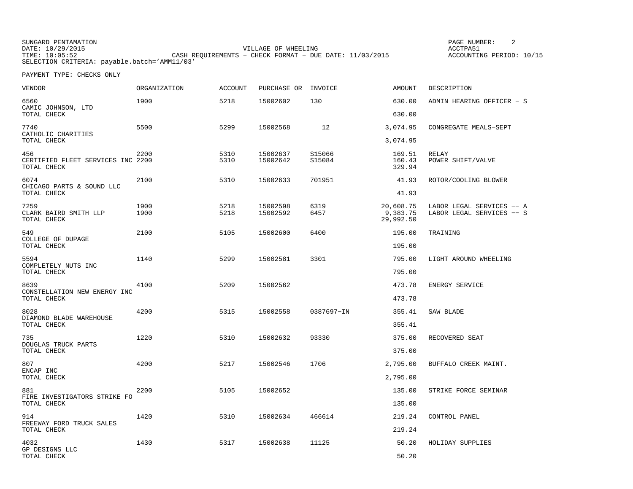SUNGARD PENTAMATION SUNGARD PENTAMATION SUNGARD PAGE NUMBER: 2 DATE: 10/29/2015 VILLAGE OF WHEELING ACCTPA51CASH REQUIREMENTS - CHECK FORMAT - DUE DATE: 11/03/2015 SELECTION CRITERIA: payable.batch='AMM11/03'

ACCOUNTING PERIOD: 10/15

| VENDOR                                                  | <b>ORGANIZATION</b> | <b>ACCOUNT</b> | PURCHASE OR          | INVOICE          | AMOUNT                             | DESCRIPTION                                            |
|---------------------------------------------------------|---------------------|----------------|----------------------|------------------|------------------------------------|--------------------------------------------------------|
| 6560<br>CAMIC JOHNSON, LTD                              | 1900                | 5218           | 15002602             | 130              | 630.00                             | ADMIN HEARING OFFICER - S                              |
| TOTAL CHECK                                             |                     |                |                      |                  | 630.00                             |                                                        |
| 7740<br>CATHOLIC CHARITIES<br>TOTAL CHECK               | 5500                | 5299           | 15002568             | 12               | 3,074.95<br>3,074.95               | CONGREGATE MEALS-SEPT                                  |
| 456<br>CERTIFIED FLEET SERVICES INC 2200<br>TOTAL CHECK | 2200                | 5310<br>5310   | 15002637<br>15002642 | S15066<br>S15084 | 169.51<br>160.43<br>329.94         | RELAY<br>POWER SHIFT/VALVE                             |
| 6074<br>CHICAGO PARTS & SOUND LLC                       | 2100                | 5310           | 15002633             | 701951           | 41.93                              | ROTOR/COOLING BLOWER                                   |
| TOTAL CHECK                                             |                     |                |                      |                  | 41.93                              |                                                        |
| 7259<br>CLARK BAIRD SMITH LLP<br>TOTAL CHECK            | 1900<br>1900        | 5218<br>5218   | 15002598<br>15002592 | 6319<br>6457     | 20,608.75<br>9,383.75<br>29,992.50 | LABOR LEGAL SERVICES -- A<br>LABOR LEGAL SERVICES -- S |
| 549<br>COLLEGE OF DUPAGE                                | 2100                | 5105           | 15002600             | 6400             | 195.00                             | TRAINING                                               |
| TOTAL CHECK                                             |                     |                |                      |                  | 195.00                             |                                                        |
| 5594<br>COMPLETELY NUTS INC<br>TOTAL CHECK              | 1140                | 5299           | 15002581             | 3301             | 795.00<br>795.00                   | LIGHT AROUND WHEELING                                  |
| 8639<br>CONSTELLATION NEW ENERGY INC                    | 4100                | 5209           | 15002562             |                  | 473.78                             | ENERGY SERVICE                                         |
| TOTAL CHECK                                             |                     |                |                      |                  | 473.78                             |                                                        |
| 8028<br>DIAMOND BLADE WAREHOUSE<br>TOTAL CHECK          | 4200                | 5315           | 15002558             | 0387697-IN       | 355.41<br>355.41                   | SAW BLADE                                              |
|                                                         |                     |                |                      |                  |                                    |                                                        |
| 735<br>DOUGLAS TRUCK PARTS                              | 1220                | 5310           | 15002632             | 93330            | 375.00                             | RECOVERED SEAT                                         |
| TOTAL CHECK                                             |                     |                |                      |                  | 375.00                             |                                                        |
| 807<br>ENCAP INC                                        | 4200                | 5217           | 15002546             | 1706             | 2,795.00                           | BUFFALO CREEK MAINT.                                   |
| TOTAL CHECK                                             |                     |                |                      |                  | 2,795.00                           |                                                        |
| 881<br>FIRE INVESTIGATORS STRIKE FO<br>TOTAL CHECK      | 2200                | 5105           | 15002652             |                  | 135.00<br>135.00                   | STRIKE FORCE SEMINAR                                   |
|                                                         |                     |                |                      |                  |                                    |                                                        |
| 914<br>FREEWAY FORD TRUCK SALES<br>TOTAL CHECK          | 1420                | 5310           | 15002634             | 466614           | 219.24<br>219.24                   | CONTROL PANEL                                          |
| 4032                                                    | 1430                | 5317           | 15002638             |                  | 50.20                              | HOLIDAY SUPPLIES                                       |
| GP DESIGNS LLC<br>TOTAL CHECK                           |                     |                |                      | 11125            | 50.20                              |                                                        |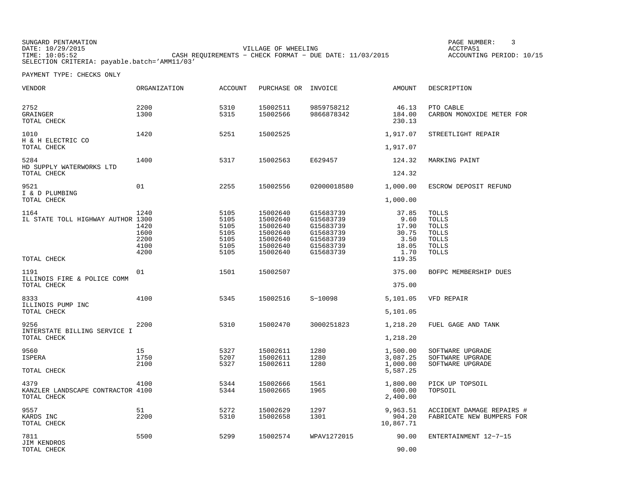SUNGARD PENTAMATION SUNGARD PENTAMATION SUNG PAGE NUMBER: 3 VILLAGE OF WHEELING **ACCTPA51** TIME: 10:05:52 CASH REQUIREMENTS − CHECK FORMAT − DUE DATE: 11/03/2015 SELECTION CRITERIA: payable.batch='AMM11/03'

ACCOUNTING PERIOD: 10/15

| VENDOR                                                   | ORGANIZATION                                 | ACCOUNT                                              | PURCHASE OR INVOICE                                                              |                                                                                         | AMOUNT                                                   | DESCRIPTION                                                                                                  |
|----------------------------------------------------------|----------------------------------------------|------------------------------------------------------|----------------------------------------------------------------------------------|-----------------------------------------------------------------------------------------|----------------------------------------------------------|--------------------------------------------------------------------------------------------------------------|
| 2752<br>GRAINGER<br>TOTAL CHECK                          | 2200<br>1300                                 | 5310<br>5315                                         | 15002511<br>15002566                                                             | 9859758212<br>9866878342                                                                | 46.13<br>184.00<br>230.13                                | PTO CABLE<br>CARBON MONOXIDE METER FOR                                                                       |
| 1010<br>H & H ELECTRIC CO<br>TOTAL CHECK                 | 1420                                         | 5251                                                 | 15002525                                                                         |                                                                                         | 1,917.07<br>1,917.07                                     | STREETLIGHT REPAIR                                                                                           |
| 5284<br>HD SUPPLY WATERWORKS LTD                         | 1400                                         | 5317                                                 | 15002563                                                                         | E629457                                                                                 | 124.32                                                   | MARKING PAINT                                                                                                |
| TOTAL CHECK<br>9521<br>I & D PLUMBING<br>TOTAL CHECK     | 01                                           | 2255                                                 | 15002556                                                                         | 02000018580                                                                             | 124.32<br>1,000.00<br>1,000.00                           | ESCROW DEPOSIT REFUND                                                                                        |
| 1164<br>IL STATE TOLL HIGHWAY AUTHOR 1300                | 1240<br>1420<br>1600<br>2200<br>4100<br>4200 | 5105<br>5105<br>5105<br>5105<br>5105<br>5105<br>5105 | 15002640<br>15002640<br>15002640<br>15002640<br>15002640<br>15002640<br>15002640 | G15683739<br>G15683739<br>G15683739<br>G15683739<br>G15683739<br>G15683739<br>G15683739 | 37.85<br>9.60<br>17.90<br>30.75<br>3.50<br>18.05<br>1.70 | <b>TOLLS</b><br><b>TOLLS</b><br><b>TOLLS</b><br><b>TOLLS</b><br><b>TOLLS</b><br><b>TOLLS</b><br><b>TOLLS</b> |
| TOTAL CHECK                                              |                                              |                                                      |                                                                                  |                                                                                         | 119.35                                                   |                                                                                                              |
| 1191<br>ILLINOIS FIRE & POLICE COMM<br>TOTAL CHECK       | 01                                           | 1501                                                 | 15002507                                                                         |                                                                                         | 375.00<br>375.00                                         | BOFPC MEMBERSHIP DUES                                                                                        |
| 8333<br>ILLINOIS PUMP INC<br>TOTAL CHECK                 | 4100                                         | 5345                                                 | 15002516                                                                         | $S-10098$                                                                               | 5,101.05<br>5,101.05                                     | VFD REPAIR                                                                                                   |
| 9256<br>INTERSTATE BILLING SERVICE I<br>TOTAL CHECK      | 2200                                         | 5310                                                 | 15002470                                                                         | 3000251823                                                                              | 1,218.20<br>1,218.20                                     | FUEL GAGE AND TANK                                                                                           |
| 9560<br>ISPERA<br>TOTAL CHECK                            | 15<br>1750<br>2100                           | 5327<br>5207<br>5327                                 | 15002611<br>15002611<br>15002611                                                 | 1280<br>1280<br>1280                                                                    | 1,500.00<br>3,087.25<br>1,000.00<br>5,587.25             | SOFTWARE UPGRADE<br>SOFTWARE UPGRADE<br>SOFTWARE UPGRADE                                                     |
| 4379<br>KANZLER LANDSCAPE CONTRACTOR 4100<br>TOTAL CHECK | 4100                                         | 5344<br>5344                                         | 15002666<br>15002665                                                             | 1561<br>1965                                                                            | 1,800.00<br>600.00<br>2,400.00                           | PICK UP TOPSOIL<br>TOPSOIL                                                                                   |
| 9557<br>KARDS INC<br>TOTAL CHECK                         | 51<br>2200                                   | 5272<br>5310                                         | 15002629<br>15002658                                                             | 1297<br>1301                                                                            | 9,963.51<br>904.20<br>10,867.71                          | ACCIDENT DAMAGE REPAIRS #<br>FABRICATE NEW BUMPERS FOR                                                       |
| 7811<br>JIM KENDROS<br>TOTAL CHECK                       | 5500                                         | 5299                                                 | 15002574                                                                         | WPAV1272015                                                                             | 90.00<br>90.00                                           | ENTERTAINMENT 12-7-15                                                                                        |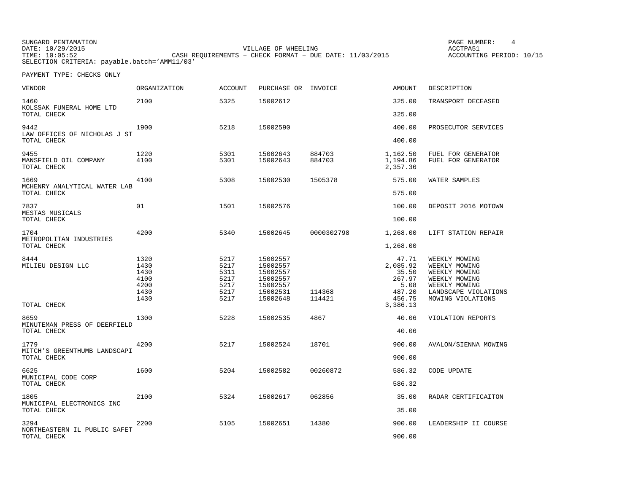SUNGARD PENTAMATION SUNGARD PENTAMATION SUNG PAGE NUMBER: 4 VILLAGE OF WHEELING **ACCTPA51** TIME: 10:05:52 CASH REQUIREMENTS − CHECK FORMAT − DUE DATE: 11/03/2015 SELECTION CRITERIA: payable.batch='AMM11/03'

ACCOUNTING PERIOD: 10/15

| VENDOR                                              | <b>ORGANIZATION</b>                                  | <b>ACCOUNT</b>                                       | PURCHASE OR INVOICE                                                              |                  | <b>AMOUNT</b>                                                    | DESCRIPTION                                                                                                                    |
|-----------------------------------------------------|------------------------------------------------------|------------------------------------------------------|----------------------------------------------------------------------------------|------------------|------------------------------------------------------------------|--------------------------------------------------------------------------------------------------------------------------------|
| 1460<br>KOLSSAK FUNERAL HOME LTD                    | 2100                                                 | 5325                                                 | 15002612                                                                         |                  | 325.00                                                           | TRANSPORT DECEASED                                                                                                             |
| TOTAL CHECK                                         |                                                      |                                                      |                                                                                  |                  | 325.00                                                           |                                                                                                                                |
| 9442<br>LAW OFFICES OF NICHOLAS J ST                | 1900                                                 | 5218                                                 | 15002590                                                                         |                  | 400.00                                                           | PROSECUTOR SERVICES                                                                                                            |
| TOTAL CHECK                                         |                                                      |                                                      |                                                                                  |                  | 400.00                                                           |                                                                                                                                |
| 9455<br>MANSFIELD OIL COMPANY<br>TOTAL CHECK        | 1220<br>4100                                         | 5301<br>5301                                         | 15002643<br>15002643                                                             | 884703<br>884703 | 1,162.50<br>1,194.86<br>2,357.36                                 | FUEL FOR GENERATOR<br>FUEL FOR GENERATOR                                                                                       |
| 1669<br>MCHENRY ANALYTICAL WATER LAB<br>TOTAL CHECK | 4100                                                 | 5308                                                 | 15002530                                                                         | 1505378          | 575.00<br>575.00                                                 | WATER SAMPLES                                                                                                                  |
|                                                     |                                                      |                                                      |                                                                                  |                  |                                                                  |                                                                                                                                |
| 7837<br>MESTAS MUSICALS<br>TOTAL CHECK              | 01                                                   | 1501                                                 | 15002576                                                                         |                  | 100.00<br>100.00                                                 | DEPOSIT 2016 MOTOWN                                                                                                            |
| 1704                                                | 4200                                                 | 5340                                                 | 15002645                                                                         | 0000302798       | 1,268.00                                                         | LIFT STATION REPAIR                                                                                                            |
| METROPOLITAN INDUSTRIES<br>TOTAL CHECK              |                                                      |                                                      |                                                                                  |                  | 1,268.00                                                         |                                                                                                                                |
| 8444<br>MILIEU DESIGN LLC                           | 1320<br>1430<br>1430<br>4100<br>4200<br>1430<br>1430 | 5217<br>5217<br>5311<br>5217<br>5217<br>5217<br>5217 | 15002557<br>15002557<br>15002557<br>15002557<br>15002557<br>15002531<br>15002648 | 114368<br>114421 | 47.71<br>2,085.92<br>35.50<br>267.97<br>5.08<br>487.20<br>456.75 | WEEKLY MOWING<br>WEEKLY MOWING<br>WEEKLY MOWING<br>WEEKLY MOWING<br>WEEKLY MOWING<br>LANDSCAPE VIOLATIONS<br>MOWING VIOLATIONS |
| TOTAL CHECK                                         |                                                      |                                                      |                                                                                  |                  | 3,386.13                                                         |                                                                                                                                |
| 8659<br>MINUTEMAN PRESS OF DEERFIELD                | 1300                                                 | 5228                                                 | 15002535                                                                         | 4867             | 40.06                                                            | VIOLATION REPORTS                                                                                                              |
| TOTAL CHECK                                         |                                                      |                                                      |                                                                                  |                  | 40.06                                                            |                                                                                                                                |
| 1779<br>MITCH'S GREENTHUMB LANDSCAPI<br>TOTAL CHECK | 4200                                                 | 5217                                                 | 15002524                                                                         | 18701            | 900.00<br>900.00                                                 | AVALON/SIENNA MOWING                                                                                                           |
| 6625<br>MUNICIPAL CODE CORP<br>TOTAL CHECK          | 1600                                                 | 5204                                                 | 15002582                                                                         | 00260872         | 586.32<br>586.32                                                 | CODE UPDATE                                                                                                                    |
| 1805                                                | 2100                                                 | 5324                                                 | 15002617                                                                         | 062856           | 35.00                                                            | RADAR CERTIFICAITON                                                                                                            |
| MUNICIPAL ELECTRONICS INC<br>TOTAL CHECK            |                                                      |                                                      |                                                                                  |                  | 35.00                                                            |                                                                                                                                |
| 3294                                                | 2200                                                 | 5105                                                 | 15002651                                                                         | 14380            | 900.00                                                           | LEADERSHIP II COURSE                                                                                                           |
| NORTHEASTERN IL PUBLIC SAFET<br>TOTAL CHECK         |                                                      |                                                      |                                                                                  |                  | 900.00                                                           |                                                                                                                                |
|                                                     |                                                      |                                                      |                                                                                  |                  |                                                                  |                                                                                                                                |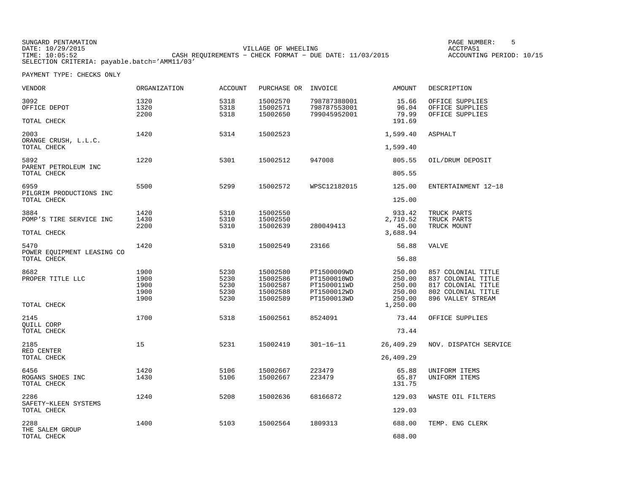SUNGARD PENTAMATION SUNGARD PENTAMATION SUNG PAGE NUMBER: 5 SENSING PAGE NUMBER: 5 SENSING PAGE NUMBER: 5 SENSI VILLAGE OF WHEELING **ACCTPA51** TIME: 10:05:52 CASH REQUIREMENTS − CHECK FORMAT − DUE DATE: 11/03/2015 SELECTION CRITERIA: payable.batch='AMM11/03'

ACCOUNTING PERIOD: 10/15

| VENDOR                                            | <b>ORGANIZATION</b>  | <b>ACCOUNT</b>       | PURCHASE OR                      | INVOICE                                      | <b>AMOUNT</b>                     | DESCRIPTION                                                    |
|---------------------------------------------------|----------------------|----------------------|----------------------------------|----------------------------------------------|-----------------------------------|----------------------------------------------------------------|
| 3092<br>OFFICE DEPOT<br>TOTAL CHECK               | 1320<br>1320<br>2200 | 5318<br>5318<br>5318 | 15002570<br>15002571<br>15002650 | 798787388001<br>798787553001<br>799045952001 | 15.66<br>96.04<br>79.99<br>191.69 | OFFICE SUPPLIES<br>OFFICE SUPPLIES<br>OFFICE SUPPLIES          |
| 2003                                              | 1420                 | 5314                 | 15002523                         |                                              | 1,599.40                          | ASPHALT                                                        |
| ORANGE CRUSH, L.L.C.<br>TOTAL CHECK               |                      |                      |                                  |                                              | 1,599.40                          |                                                                |
| 5892<br>PARENT PETROLEUM INC                      | 1220                 | 5301                 | 15002512                         | 947008                                       | 805.55                            | OIL/DRUM DEPOSIT                                               |
| TOTAL CHECK                                       |                      |                      |                                  |                                              | 805.55                            |                                                                |
| 6959<br>PILGRIM PRODUCTIONS INC                   | 5500                 | 5299                 | 15002572                         | WPSC12182015                                 | 125.00                            | ENTERTAINMENT 12-18                                            |
| TOTAL CHECK                                       |                      |                      |                                  |                                              | 125.00                            |                                                                |
| 3884<br>POMP'S TIRE SERVICE INC                   | 1420<br>1430<br>2200 | 5310<br>5310<br>5310 | 15002550<br>15002550<br>15002639 | 280049413                                    | 933.42<br>2,710.52<br>45.00       | TRUCK PARTS<br>TRUCK PARTS<br>TRUCK MOUNT                      |
| TOTAL CHECK                                       |                      |                      |                                  |                                              | 3,688.94                          |                                                                |
| 5470<br>POWER EQUIPMENT LEASING CO<br>TOTAL CHECK | 1420                 | 5310                 | 15002549                         | 23166                                        | 56.88<br>56.88                    | VALVE                                                          |
| 8682<br>PROPER TITLE LLC                          | 1900<br>1900<br>1900 | 5230<br>5230<br>5230 | 15002580<br>15002586<br>15002587 | PT1500009WD<br>PT1500010WD<br>PT1500011WD    | 250.00<br>250.00<br>250.00        | 857 COLONIAL TITLE<br>837 COLONIAL TITLE<br>817 COLONIAL TITLE |
|                                                   | 1900<br>1900         | 5230<br>5230         | 15002588<br>15002589             | PT1500012WD<br>PT1500013WD                   | 250.00<br>250.00                  | 802 COLONIAL TITLE<br>896 VALLEY STREAM                        |
| TOTAL CHECK                                       |                      |                      |                                  |                                              | 1,250.00                          |                                                                |
| 2145<br><b>OUILL CORP</b>                         | 1700                 | 5318                 | 15002561                         | 8524091                                      | 73.44                             | OFFICE SUPPLIES                                                |
| TOTAL CHECK                                       |                      |                      |                                  |                                              | 73.44                             |                                                                |
| 2185<br>RED CENTER                                | 15                   | 5231                 | 15002419                         | $301 - 16 - 11$                              | 26,409.29                         | NOV. DISPATCH SERVICE                                          |
| TOTAL CHECK                                       |                      |                      |                                  |                                              | 26,409.29                         |                                                                |
| 6456<br>ROGANS SHOES INC<br>TOTAL CHECK           | 1420<br>1430         | 5106<br>5106         | 15002667<br>15002667             | 223479<br>223479                             | 65.88<br>65.87<br>131.75          | UNIFORM ITEMS<br>UNIFORM ITEMS                                 |
| 2286<br>SAFETY-KLEEN SYSTEMS                      | 1240                 | 5208                 | 15002636                         | 68166872                                     | 129.03                            | WASTE OIL FILTERS                                              |
| TOTAL CHECK                                       |                      |                      |                                  |                                              | 129.03                            |                                                                |
| 2288                                              | 1400                 | 5103                 | 15002564                         | 1809313                                      | 688.00                            | TEMP. ENG CLERK                                                |
| THE SALEM GROUP<br>TOTAL CHECK                    |                      |                      |                                  |                                              | 688.00                            |                                                                |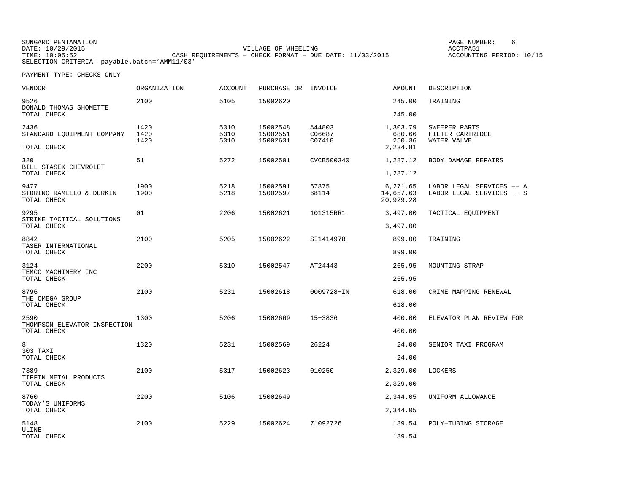SUNGARD PENTAMATION PAGE NUMBER: 6VILLAGE OF WHEELING **ACCTPA51** TIME: 10:05:52 CASH REQUIREMENTS − CHECK FORMAT − DUE DATE: 11/03/2015 SELECTION CRITERIA: payable.batch='AMM11/03'

ACCOUNTING PERIOD: 10/15

| VENDOR                                          | <b>ORGANIZATION</b>  | <b>ACCOUNT</b>       | PURCHASE OR INVOICE              |                            | <b>AMOUNT</b>                      | DESCRIPTION                                            |
|-------------------------------------------------|----------------------|----------------------|----------------------------------|----------------------------|------------------------------------|--------------------------------------------------------|
| 9526<br>DONALD THOMAS SHOMETTE                  | 2100                 | 5105                 | 15002620                         |                            | 245.00                             | TRAINING                                               |
| TOTAL CHECK                                     |                      |                      |                                  |                            | 245.00                             |                                                        |
| 2436<br>STANDARD EQUIPMENT COMPANY              | 1420<br>1420<br>1420 | 5310<br>5310<br>5310 | 15002548<br>15002551<br>15002631 | A44803<br>C06687<br>C07418 | 1,303.79<br>680.66<br>250.36       | SWEEPER PARTS<br>FILTER CARTRIDGE<br>WATER VALVE       |
| TOTAL CHECK                                     |                      |                      |                                  |                            | 2,234.81                           |                                                        |
| 320<br>BILL STASEK CHEVROLET                    | 51                   | 5272                 | 15002501                         | CVCB500340                 | 1,287.12                           | BODY DAMAGE REPAIRS                                    |
| TOTAL CHECK                                     |                      |                      |                                  |                            | 1,287.12                           |                                                        |
| 9477<br>STORINO RAMELLO & DURKIN<br>TOTAL CHECK | 1900<br>1900         | 5218<br>5218         | 15002591<br>15002597             | 67875<br>68114             | 6,271.65<br>14,657.63<br>20,929.28 | LABOR LEGAL SERVICES -- A<br>LABOR LEGAL SERVICES -- S |
| 9295                                            | 01                   | 2206                 | 15002621                         | 101315RR1                  | 3,497.00                           | TACTICAL EQUIPMENT                                     |
| STRIKE TACTICAL SOLUTIONS<br>TOTAL CHECK        |                      |                      |                                  |                            | 3,497.00                           |                                                        |
| 8842                                            | 2100                 | 5205                 | 15002622                         | SI1414978                  | 899.00                             | TRAINING                                               |
| TASER INTERNATIONAL<br>TOTAL CHECK              |                      |                      |                                  |                            | 899.00                             |                                                        |
| 3124<br>TEMCO MACHINERY INC                     | 2200                 | 5310                 | 15002547                         | AT24443                    | 265.95                             | MOUNTING STRAP                                         |
| TOTAL CHECK                                     |                      |                      |                                  |                            | 265.95                             |                                                        |
| 8796                                            | 2100                 | 5231                 | 15002618                         | 0009728-IN                 | 618.00                             | CRIME MAPPING RENEWAL                                  |
| THE OMEGA GROUP<br>TOTAL CHECK                  |                      |                      |                                  |                            | 618.00                             |                                                        |
| 2590                                            | 1300                 | 5206                 | 15002669                         | $15 - 3836$                | 400.00                             | ELEVATOR PLAN REVIEW FOR                               |
| THOMPSON ELEVATOR INSPECTION<br>TOTAL CHECK     |                      |                      |                                  |                            | 400.00                             |                                                        |
| 8                                               | 1320                 | 5231                 | 15002569                         | 26224                      | 24.00                              | SENIOR TAXI PROGRAM                                    |
| 303 TAXI<br>TOTAL CHECK                         |                      |                      |                                  |                            | 24.00                              |                                                        |
| 7389                                            | 2100                 | 5317                 | 15002623                         | 010250                     | 2,329.00                           | LOCKERS                                                |
| TIFFIN METAL PRODUCTS<br>TOTAL CHECK            |                      |                      |                                  |                            | 2,329.00                           |                                                        |
| 8760                                            | 2200                 | 5106                 | 15002649                         |                            | 2,344.05                           | UNIFORM ALLOWANCE                                      |
| TODAY'S UNIFORMS<br>TOTAL CHECK                 |                      |                      |                                  |                            | 2,344.05                           |                                                        |
| 5148                                            | 2100                 | 5229                 | 15002624                         | 71092726                   | 189.54                             | POLY-TUBING STORAGE                                    |
| ULINE<br>TOTAL CHECK                            |                      |                      |                                  |                            | 189.54                             |                                                        |